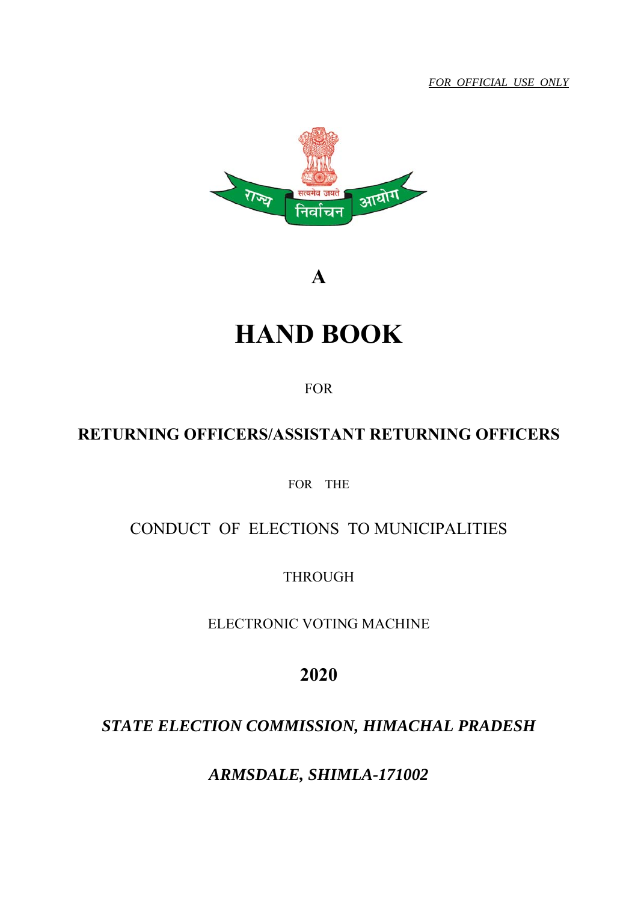*FOR OFFICIAL USE ONLY*



**A** 

# **HAND BOOK**

FOR

# **RETURNING OFFICERS/ASSISTANT RETURNING OFFICERS**

FOR THE

# CONDUCT OF ELECTIONS TO MUNICIPALITIES

THROUGH

ELECTRONIC VOTING MACHINE

**2020**

# *STATE ELECTION COMMISSION, HIMACHAL PRADESH*

*ARMSDALE, SHIMLA-171002*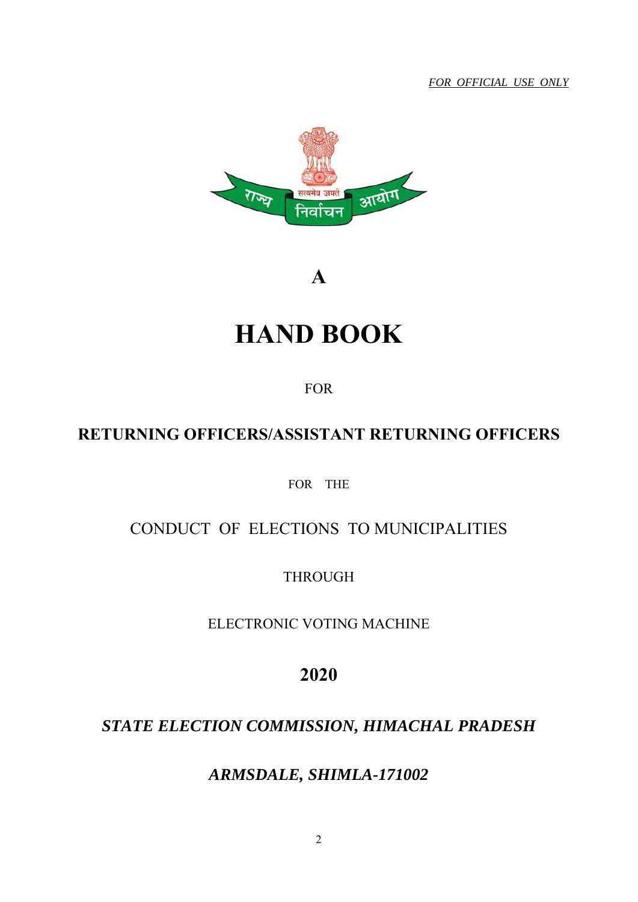*FOR OFFICIAL USE ONLY*



**A** 

# **HAND BOOK**

FOR

# **RETURNING OFFICERS/ASSISTANT RETURNING OFFICERS**

FOR THE

# CONDUCT OF ELECTIONS TO MUNICIPALITIES

THROUGH

ELECTRONIC VOTING MACHINE

**2020**

# *STATE ELECTION COMMISSION, HIMACHAL PRADESH*

*ARMSDALE, SHIMLA-171002*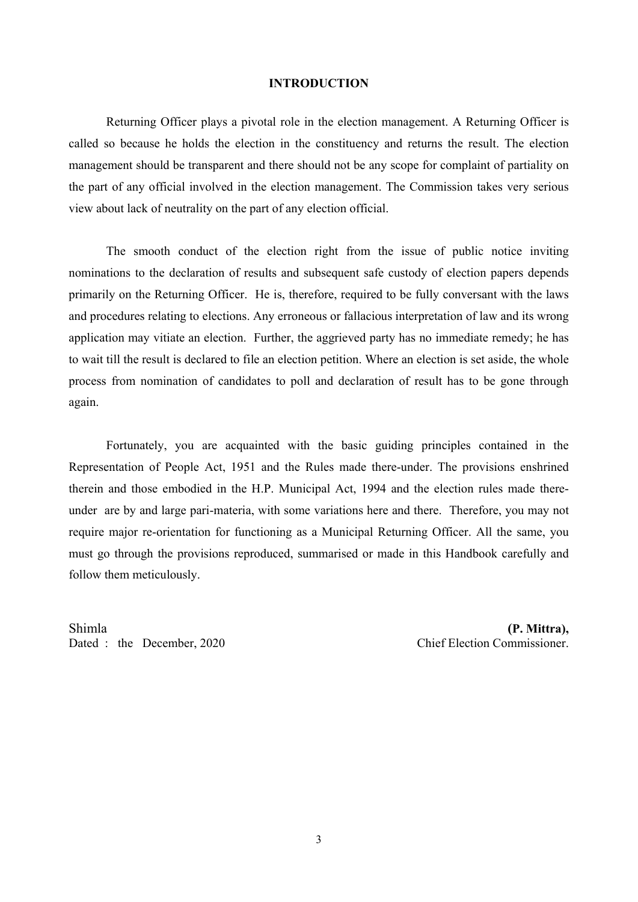#### **INTRODUCTION**

Returning Officer plays a pivotal role in the election management. A Returning Officer is called so because he holds the election in the constituency and returns the result. The election management should be transparent and there should not be any scope for complaint of partiality on the part of any official involved in the election management. The Commission takes very serious view about lack of neutrality on the part of any election official.

 The smooth conduct of the election right from the issue of public notice inviting nominations to the declaration of results and subsequent safe custody of election papers depends primarily on the Returning Officer. He is, therefore, required to be fully conversant with the laws and procedures relating to elections. Any erroneous or fallacious interpretation of law and its wrong application may vitiate an election. Further, the aggrieved party has no immediate remedy; he has to wait till the result is declared to file an election petition. Where an election is set aside, the whole process from nomination of candidates to poll and declaration of result has to be gone through again.

 Fortunately, you are acquainted with the basic guiding principles contained in the Representation of People Act, 1951 and the Rules made there-under. The provisions enshrined therein and those embodied in the H.P. Municipal Act, 1994 and the election rules made thereunder are by and large pari-materia, with some variations here and there. Therefore, you may not require major re-orientation for functioning as a Municipal Returning Officer. All the same, you must go through the provisions reproduced, summarised or made in this Handbook carefully and follow them meticulously.

Shimla **(P. Mittra),**

Dated : the December, 2020 Chief Election Commissioner.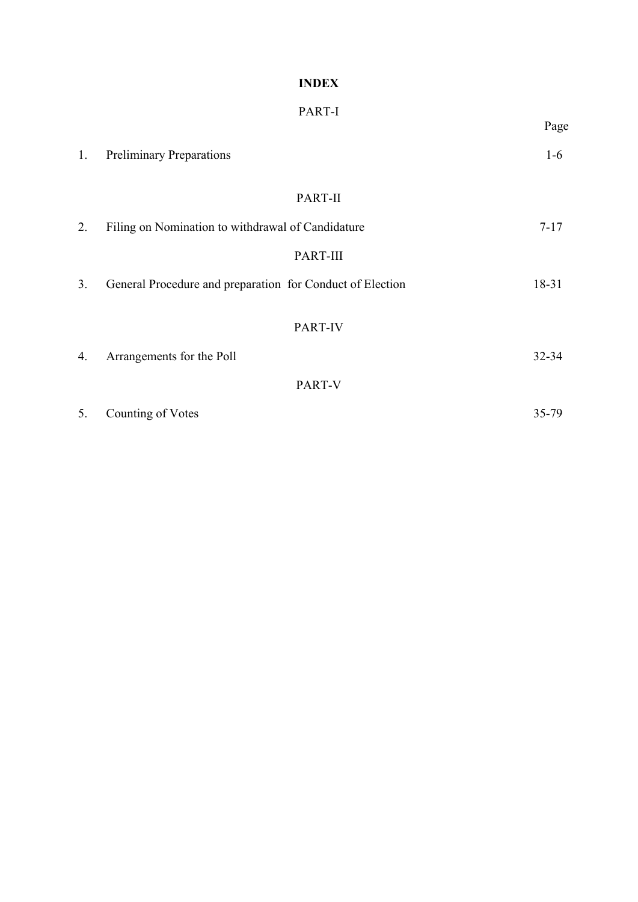# **INDEX**

|    |                                                           | Page     |
|----|-----------------------------------------------------------|----------|
| 1. | <b>Preliminary Preparations</b>                           | $1-6$    |
|    | PART-II                                                   |          |
| 2. | Filing on Nomination to withdrawal of Candidature         | $7 - 17$ |
|    | PART-III                                                  |          |
| 3. | General Procedure and preparation for Conduct of Election | 18-31    |
|    |                                                           |          |
|    | PART-IV                                                   |          |
| 4. | Arrangements for the Poll                                 | 32-34    |
|    | PART-V                                                    |          |
| 5. | Counting of Votes                                         | 35-79    |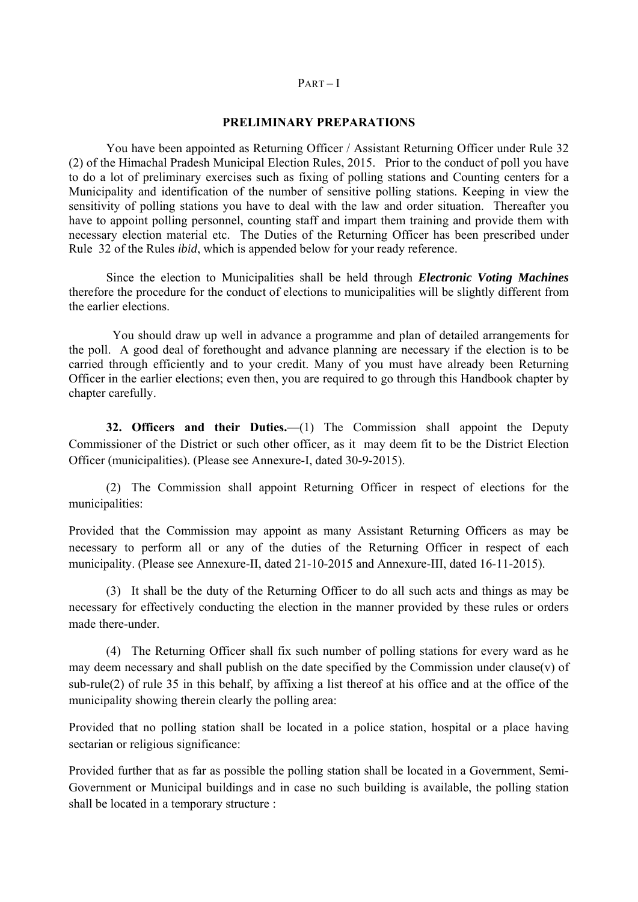#### $PART - I$

#### **PRELIMINARY PREPARATIONS**

You have been appointed as Returning Officer / Assistant Returning Officer under Rule 32 (2) of the Himachal Pradesh Municipal Election Rules, 2015. Prior to the conduct of poll you have to do a lot of preliminary exercises such as fixing of polling stations and Counting centers for a Municipality and identification of the number of sensitive polling stations. Keeping in view the sensitivity of polling stations you have to deal with the law and order situation. Thereafter you have to appoint polling personnel, counting staff and impart them training and provide them with necessary election material etc. The Duties of the Returning Officer has been prescribed under Rule 32 of the Rules *ibid*, which is appended below for your ready reference.

 Since the election to Municipalities shall be held through *Electronic Voting Machines* therefore the procedure for the conduct of elections to municipalities will be slightly different from the earlier elections.

 You should draw up well in advance a programme and plan of detailed arrangements for the poll. A good deal of forethought and advance planning are necessary if the election is to be carried through efficiently and to your credit. Many of you must have already been Returning Officer in the earlier elections; even then, you are required to go through this Handbook chapter by chapter carefully.

**32. Officers and their Duties.**—(1) The Commission shall appoint the Deputy Commissioner of the District or such other officer, as it may deem fit to be the District Election Officer (municipalities). (Please see Annexure-I, dated 30-9-2015).

 (2) The Commission shall appoint Returning Officer in respect of elections for the municipalities:

Provided that the Commission may appoint as many Assistant Returning Officers as may be necessary to perform all or any of the duties of the Returning Officer in respect of each municipality. (Please see Annexure-II, dated 21-10-2015 and Annexure-III, dated 16-11-2015).

 (3) It shall be the duty of the Returning Officer to do all such acts and things as may be necessary for effectively conducting the election in the manner provided by these rules or orders made there-under.

 (4) The Returning Officer shall fix such number of polling stations for every ward as he may deem necessary and shall publish on the date specified by the Commission under clause(v) of sub-rule(2) of rule 35 in this behalf, by affixing a list thereof at his office and at the office of the municipality showing therein clearly the polling area:

Provided that no polling station shall be located in a police station, hospital or a place having sectarian or religious significance:

Provided further that as far as possible the polling station shall be located in a Government, Semi-Government or Municipal buildings and in case no such building is available, the polling station shall be located in a temporary structure :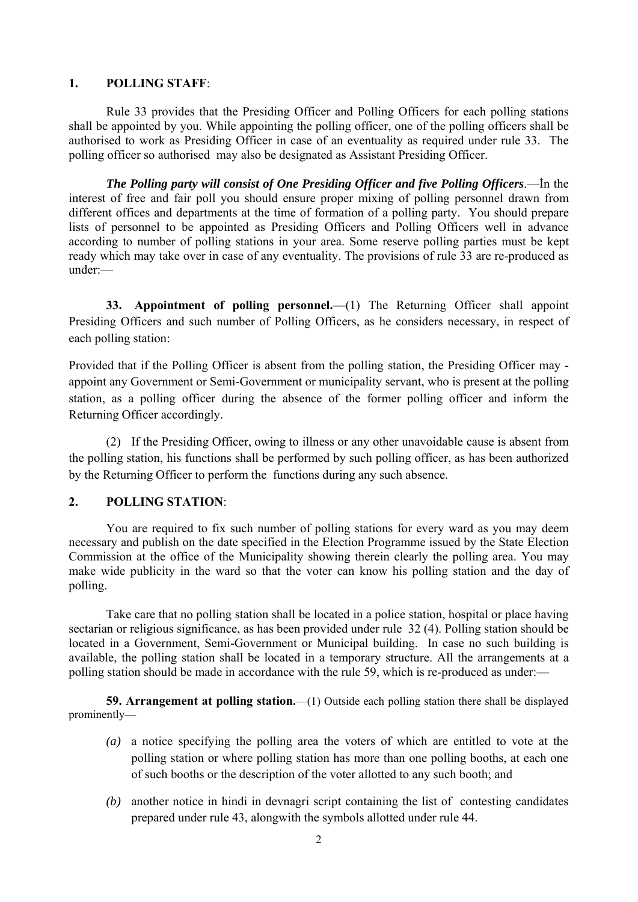# **1. POLLING STAFF**:

Rule 33 provides that the Presiding Officer and Polling Officers for each polling stations shall be appointed by you. While appointing the polling officer, one of the polling officers shall be authorised to work as Presiding Officer in case of an eventuality as required under rule 33. The polling officer so authorised may also be designated as Assistant Presiding Officer.

*The Polling party will consist of One Presiding Officer and five Polling Officers*.—ؙIn the interest of free and fair poll you should ensure proper mixing of polling personnel drawn from different offices and departments at the time of formation of a polling party. You should prepare lists of personnel to be appointed as Presiding Officers and Polling Officers well in advance according to number of polling stations in your area. Some reserve polling parties must be kept ready which may take over in case of any eventuality. The provisions of rule 33 are re-produced as under:—

**33. Appointment of polling personnel.**—(1) The Returning Officer shall appoint Presiding Officers and such number of Polling Officers, as he considers necessary, in respect of each polling station:

Provided that if the Polling Officer is absent from the polling station, the Presiding Officer may appoint any Government or Semi-Government or municipality servant, who is present at the polling station, as a polling officer during the absence of the former polling officer and inform the Returning Officer accordingly.

 (2) If the Presiding Officer, owing to illness or any other unavoidable cause is absent from the polling station, his functions shall be performed by such polling officer, as has been authorized by the Returning Officer to perform the functions during any such absence.

# **2. POLLING STATION**:

You are required to fix such number of polling stations for every ward as you may deem necessary and publish on the date specified in the Election Programme issued by the State Election Commission at the office of the Municipality showing therein clearly the polling area. You may make wide publicity in the ward so that the voter can know his polling station and the day of polling.

 Take care that no polling station shall be located in a police station, hospital or place having sectarian or religious significance, as has been provided under rule 32 (4). Polling station should be located in a Government, Semi-Government or Municipal building. In case no such building is available, the polling station shall be located in a temporary structure. All the arrangements at a polling station should be made in accordance with the rule 59, which is re-produced as under:—

**59. Arrangement at polling station.**—(1) Outside each polling station there shall be displayed prominently—

- *(a)* a notice specifying the polling area the voters of which are entitled to vote at the polling station or where polling station has more than one polling booths, at each one of such booths or the description of the voter allotted to any such booth; and
- *(b)* another notice in hindi in devnagri script containing the list of contesting candidates prepared under rule 43, alongwith the symbols allotted under rule 44.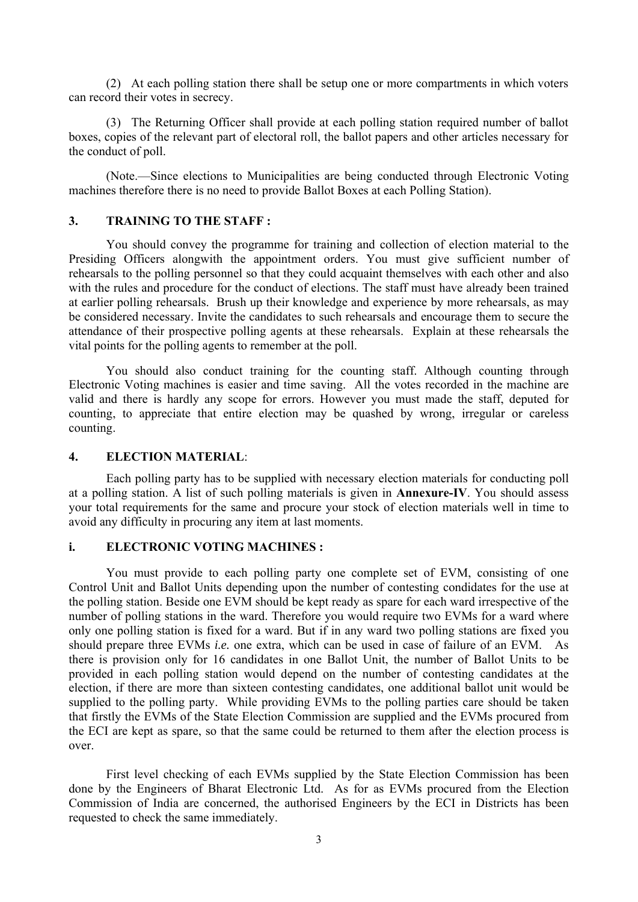(2) At each polling station there shall be setup one or more compartments in which voters can record their votes in secrecy.

 (3) The Returning Officer shall provide at each polling station required number of ballot boxes, copies of the relevant part of electoral roll, the ballot papers and other articles necessary for the conduct of poll.

 (Note.—Since elections to Municipalities are being conducted through Electronic Voting machines therefore there is no need to provide Ballot Boxes at each Polling Station).

# **3. TRAINING TO THE STAFF :**

 You should convey the programme for training and collection of election material to the Presiding Officers alongwith the appointment orders. You must give sufficient number of rehearsals to the polling personnel so that they could acquaint themselves with each other and also with the rules and procedure for the conduct of elections. The staff must have already been trained at earlier polling rehearsals. Brush up their knowledge and experience by more rehearsals, as may be considered necessary. Invite the candidates to such rehearsals and encourage them to secure the attendance of their prospective polling agents at these rehearsals. Explain at these rehearsals the vital points for the polling agents to remember at the poll.

 You should also conduct training for the counting staff. Although counting through Electronic Voting machines is easier and time saving. All the votes recorded in the machine are valid and there is hardly any scope for errors. However you must made the staff, deputed for counting, to appreciate that entire election may be quashed by wrong, irregular or careless counting.

# **4. ELECTION MATERIAL**:

 Each polling party has to be supplied with necessary election materials for conducting poll at a polling station. A list of such polling materials is given in **Annexure-IV**. You should assess your total requirements for the same and procure your stock of election materials well in time to avoid any difficulty in procuring any item at last moments.

# **i. ELECTRONIC VOTING MACHINES :**

 You must provide to each polling party one complete set of EVM, consisting of one Control Unit and Ballot Units depending upon the number of contesting condidates for the use at the polling station. Beside one EVM should be kept ready as spare for each ward irrespective of the number of polling stations in the ward. Therefore you would require two EVMs for a ward where only one polling station is fixed for a ward. But if in any ward two polling stations are fixed you should prepare three EVMs *i.e.* one extra, which can be used in case of failure of an EVM. As there is provision only for 16 candidates in one Ballot Unit, the number of Ballot Units to be provided in each polling station would depend on the number of contesting candidates at the election, if there are more than sixteen contesting candidates, one additional ballot unit would be supplied to the polling party. While providing EVMs to the polling parties care should be taken that firstly the EVMs of the State Election Commission are supplied and the EVMs procured from the ECI are kept as spare, so that the same could be returned to them after the election process is over.

 First level checking of each EVMs supplied by the State Election Commission has been done by the Engineers of Bharat Electronic Ltd. As for as EVMs procured from the Election Commission of India are concerned, the authorised Engineers by the ECI in Districts has been requested to check the same immediately.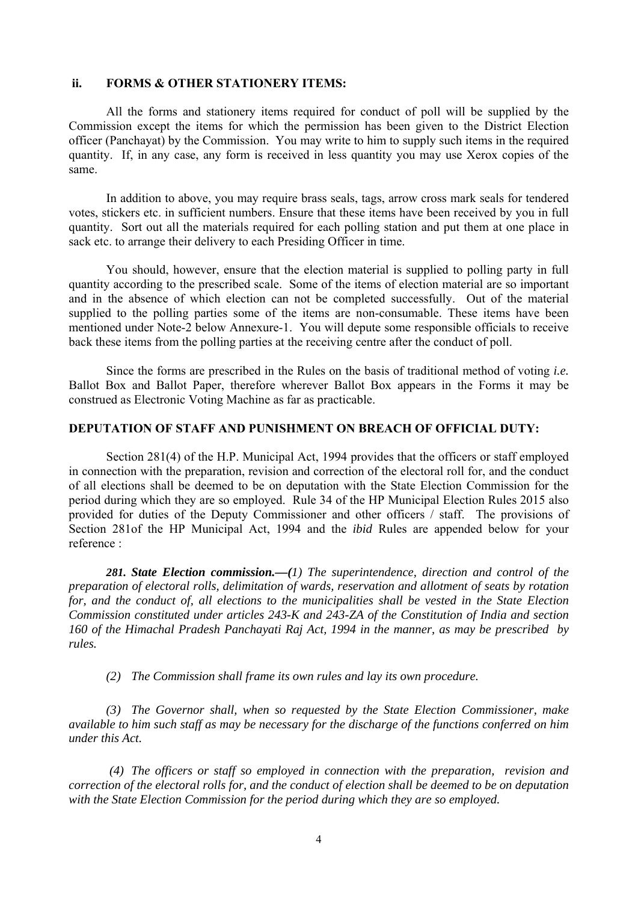## **ii. FORMS & OTHER STATIONERY ITEMS:**

All the forms and stationery items required for conduct of poll will be supplied by the Commission except the items for which the permission has been given to the District Election officer (Panchayat) by the Commission. You may write to him to supply such items in the required quantity. If, in any case, any form is received in less quantity you may use Xerox copies of the same.

 In addition to above, you may require brass seals, tags, arrow cross mark seals for tendered votes, stickers etc. in sufficient numbers. Ensure that these items have been received by you in full quantity. Sort out all the materials required for each polling station and put them at one place in sack etc. to arrange their delivery to each Presiding Officer in time.

 You should, however, ensure that the election material is supplied to polling party in full quantity according to the prescribed scale. Some of the items of election material are so important and in the absence of which election can not be completed successfully. Out of the material supplied to the polling parties some of the items are non-consumable. These items have been mentioned under Note-2 below Annexure-1. You will depute some responsible officials to receive back these items from the polling parties at the receiving centre after the conduct of poll.

Since the forms are prescribed in the Rules on the basis of traditional method of voting *i.e.* Ballot Box and Ballot Paper, therefore wherever Ballot Box appears in the Forms it may be construed as Electronic Voting Machine as far as practicable.

#### **DEPUTATION OF STAFF AND PUNISHMENT ON BREACH OF OFFICIAL DUTY:**

Section 281(4) of the H.P. Municipal Act, 1994 provides that the officers or staff employed in connection with the preparation, revision and correction of the electoral roll for, and the conduct of all elections shall be deemed to be on deputation with the State Election Commission for the period during which they are so employed. Rule 34 of the HP Municipal Election Rules 2015 also provided for duties of the Deputy Commissioner and other officers / staff. The provisions of Section 281of the HP Municipal Act, 1994 and the *ibid* Rules are appended below for your reference :

*281. State Election commission.—(1) The superintendence, direction and control of the preparation of electoral rolls, delimitation of wards, reservation and allotment of seats by rotation for, and the conduct of, all elections to the municipalities shall be vested in the State Election Commission constituted under articles 243-K and 243-ZA of the Constitution of India and section 160 of the Himachal Pradesh Panchayati Raj Act, 1994 in the manner, as may be prescribed by rules.* 

 *(2) The Commission shall frame its own rules and lay its own procedure.* 

 *(3) The Governor shall, when so requested by the State Election Commissioner, make available to him such staff as may be necessary for the discharge of the functions conferred on him under this Act.* 

 *(4) The officers or staff so employed in connection with the preparation, revision and correction of the electoral rolls for, and the conduct of election shall be deemed to be on deputation with the State Election Commission for the period during which they are so employed.*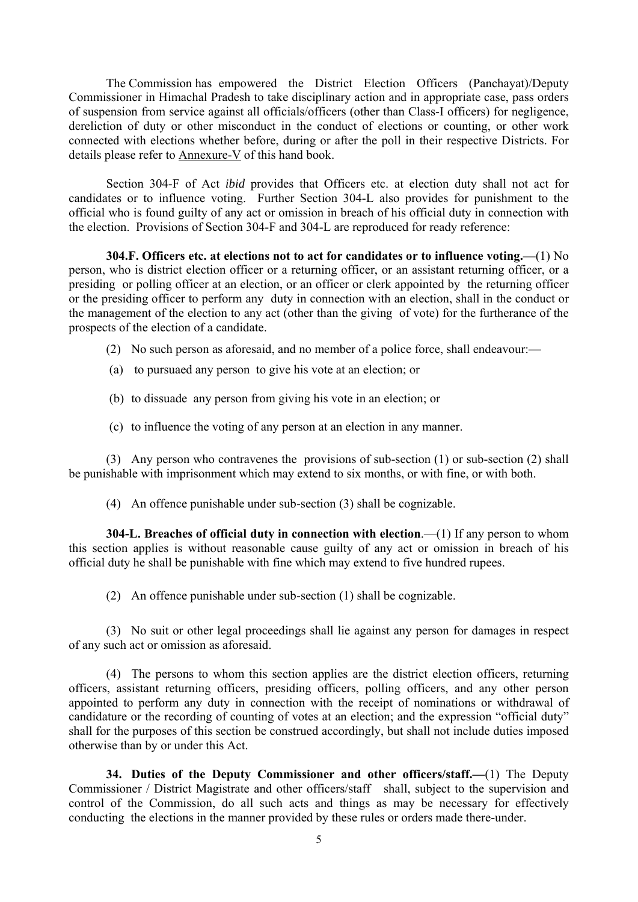The Commission has empowered the District Election Officers (Panchayat)/Deputy Commissioner in Himachal Pradesh to take disciplinary action and in appropriate case, pass orders of suspension from service against all officials/officers (other than Class-I officers) for negligence, dereliction of duty or other misconduct in the conduct of elections or counting, or other work connected with elections whether before, during or after the poll in their respective Districts. For details please refer to Annexure-V of this hand book.

 Section 304-F of Act *ibid* provides that Officers etc. at election duty shall not act for candidates or to influence voting. Further Section 304-L also provides for punishment to the official who is found guilty of any act or omission in breach of his official duty in connection with the election. Provisions of Section 304-F and 304-L are reproduced for ready reference:

**304.F. Officers etc. at elections not to act for candidates or to influence voting.—**(1) No person, who is district election officer or a returning officer, or an assistant returning officer, or a presiding or polling officer at an election, or an officer or clerk appointed by the returning officer or the presiding officer to perform any duty in connection with an election, shall in the conduct or the management of the election to any act (other than the giving of vote) for the furtherance of the prospects of the election of a candidate.

- (2) No such person as aforesaid, and no member of a police force, shall endeavour:—
- (a) to pursuaed any person to give his vote at an election; or
- (b) to dissuade any person from giving his vote in an election; or
- (c) to influence the voting of any person at an election in any manner.

 (3) Any person who contravenes the provisions of sub-section (1) or sub-section (2) shall be punishable with imprisonment which may extend to six months, or with fine, or with both.

(4) An offence punishable under sub-section (3) shall be cognizable.

 **304-L. Breaches of official duty in connection with election**.—(1) If any person to whom this section applies is without reasonable cause guilty of any act or omission in breach of his official duty he shall be punishable with fine which may extend to five hundred rupees.

(2) An offence punishable under sub-section (1) shall be cognizable.

 (3) No suit or other legal proceedings shall lie against any person for damages in respect of any such act or omission as aforesaid.

 (4) The persons to whom this section applies are the district election officers, returning officers, assistant returning officers, presiding officers, polling officers, and any other person appointed to perform any duty in connection with the receipt of nominations or withdrawal of candidature or the recording of counting of votes at an election; and the expression "official duty" shall for the purposes of this section be construed accordingly, but shall not include duties imposed otherwise than by or under this Act.

**34. Duties of the Deputy Commissioner and other officers/staff.—**(1) The Deputy Commissioner / District Magistrate and other officers/staff shall, subject to the supervision and control of the Commission, do all such acts and things as may be necessary for effectively conducting the elections in the manner provided by these rules or orders made there-under.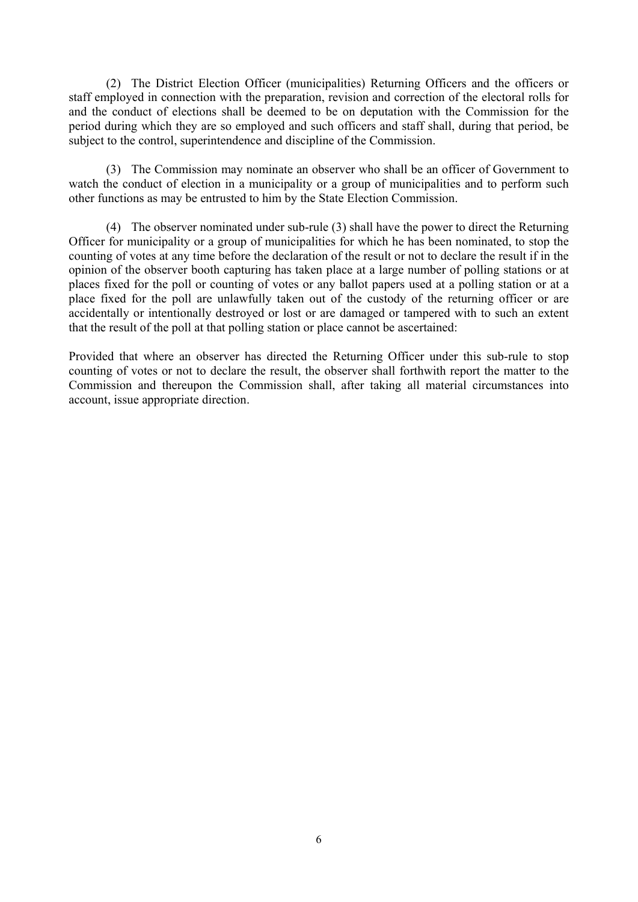(2) The District Election Officer (municipalities) Returning Officers and the officers or staff employed in connection with the preparation, revision and correction of the electoral rolls for and the conduct of elections shall be deemed to be on deputation with the Commission for the period during which they are so employed and such officers and staff shall, during that period, be subject to the control, superintendence and discipline of the Commission.

 (3) The Commission may nominate an observer who shall be an officer of Government to watch the conduct of election in a municipality or a group of municipalities and to perform such other functions as may be entrusted to him by the State Election Commission.

 (4) The observer nominated under sub-rule (3) shall have the power to direct the Returning Officer for municipality or a group of municipalities for which he has been nominated, to stop the counting of votes at any time before the declaration of the result or not to declare the result if in the opinion of the observer booth capturing has taken place at a large number of polling stations or at places fixed for the poll or counting of votes or any ballot papers used at a polling station or at a place fixed for the poll are unlawfully taken out of the custody of the returning officer or are accidentally or intentionally destroyed or lost or are damaged or tampered with to such an extent that the result of the poll at that polling station or place cannot be ascertained:

Provided that where an observer has directed the Returning Officer under this sub-rule to stop counting of votes or not to declare the result, the observer shall forthwith report the matter to the Commission and thereupon the Commission shall, after taking all material circumstances into account, issue appropriate direction.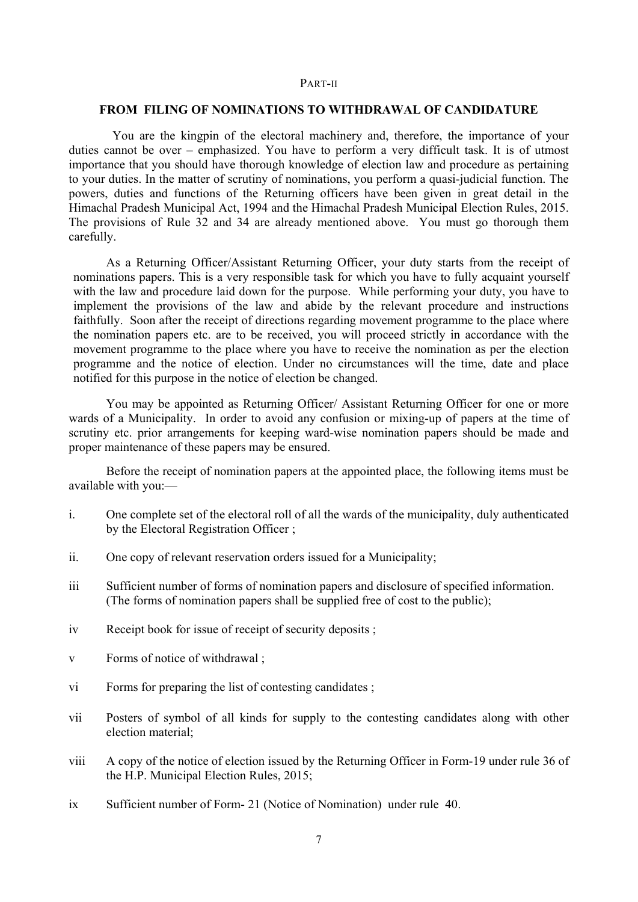#### PART-II

#### **FROM FILING OF NOMINATIONS TO WITHDRAWAL OF CANDIDATURE**

 You are the kingpin of the electoral machinery and, therefore, the importance of your duties cannot be over – emphasized. You have to perform a very difficult task. It is of utmost importance that you should have thorough knowledge of election law and procedure as pertaining to your duties. In the matter of scrutiny of nominations, you perform a quasi-judicial function. The powers, duties and functions of the Returning officers have been given in great detail in the Himachal Pradesh Municipal Act, 1994 and the Himachal Pradesh Municipal Election Rules, 2015. The provisions of Rule 32 and 34 are already mentioned above. You must go thorough them carefully.

As a Returning Officer/Assistant Returning Officer, your duty starts from the receipt of nominations papers. This is a very responsible task for which you have to fully acquaint yourself with the law and procedure laid down for the purpose. While performing your duty, you have to implement the provisions of the law and abide by the relevant procedure and instructions faithfully. Soon after the receipt of directions regarding movement programme to the place where the nomination papers etc. are to be received, you will proceed strictly in accordance with the movement programme to the place where you have to receive the nomination as per the election programme and the notice of election. Under no circumstances will the time, date and place notified for this purpose in the notice of election be changed.

 You may be appointed as Returning Officer/ Assistant Returning Officer for one or more wards of a Municipality. In order to avoid any confusion or mixing-up of papers at the time of scrutiny etc. prior arrangements for keeping ward-wise nomination papers should be made and proper maintenance of these papers may be ensured.

 Before the receipt of nomination papers at the appointed place, the following items must be available with you:—

- i. One complete set of the electoral roll of all the wards of the municipality, duly authenticated by the Electoral Registration Officer ;
- ii. One copy of relevant reservation orders issued for a Municipality;
- iii Sufficient number of forms of nomination papers and disclosure of specified information. (The forms of nomination papers shall be supplied free of cost to the public);
- iv Receipt book for issue of receipt of security deposits ;
- v Forms of notice of withdrawal ;
- vi Forms for preparing the list of contesting candidates ;
- vii Posters of symbol of all kinds for supply to the contesting candidates along with other election material;
- viii A copy of the notice of election issued by the Returning Officer in Form-19 under rule 36 of the H.P. Municipal Election Rules, 2015;
- ix Sufficient number of Form- 21 (Notice of Nomination) under rule 40.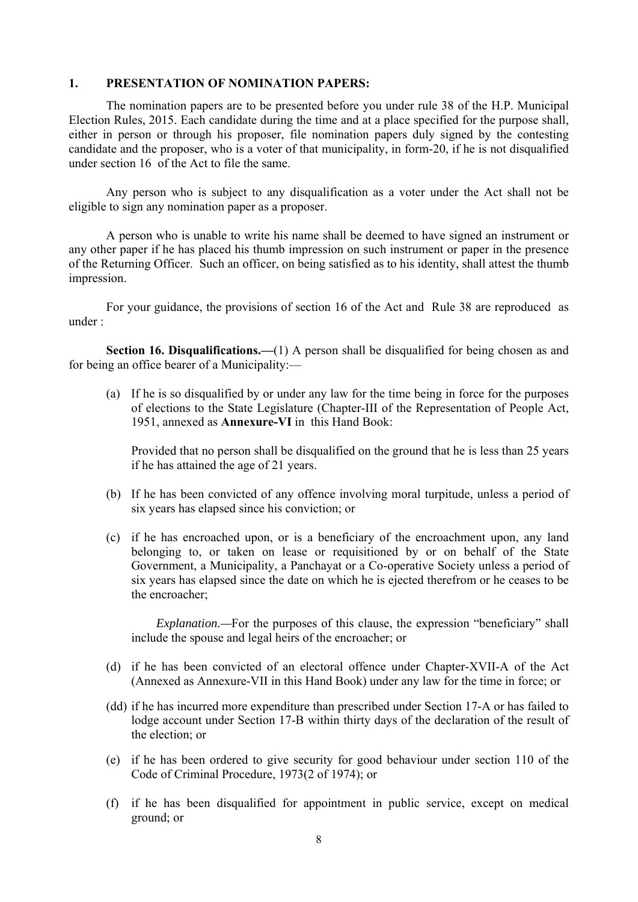## **1. PRESENTATION OF NOMINATION PAPERS:**

 The nomination papers are to be presented before you under rule 38 of the H.P. Municipal Election Rules, 2015. Each candidate during the time and at a place specified for the purpose shall, either in person or through his proposer, file nomination papers duly signed by the contesting candidate and the proposer, who is a voter of that municipality, in form-20, if he is not disqualified under section 16 of the Act to file the same.

 Any person who is subject to any disqualification as a voter under the Act shall not be eligible to sign any nomination paper as a proposer.

 A person who is unable to write his name shall be deemed to have signed an instrument or any other paper if he has placed his thumb impression on such instrument or paper in the presence of the Returning Officer. Such an officer, on being satisfied as to his identity, shall attest the thumb impression.

 For your guidance, the provisions of section 16 of the Act and Rule 38 are reproduced as under :

**Section 16. Disqualifications.—(1)** A person shall be disqualified for being chosen as and for being an office bearer of a Municipality:—

 (a) If he is so disqualified by or under any law for the time being in force for the purposes of elections to the State Legislature (Chapter-III of the Representation of People Act, 1951, annexed as **Annexure-VI** in this Hand Book:

 Provided that no person shall be disqualified on the ground that he is less than 25 years if he has attained the age of 21 years.

- (b) If he has been convicted of any offence involving moral turpitude, unless a period of six years has elapsed since his conviction; or
- (c) if he has encroached upon, or is a beneficiary of the encroachment upon, any land belonging to, or taken on lease or requisitioned by or on behalf of the State Government, a Municipality, a Panchayat or a Co-operative Society unless a period of six years has elapsed since the date on which he is ejected therefrom or he ceases to be the encroacher;

*Explanation.*—For the purposes of this clause, the expression "beneficiary" shall include the spouse and legal heirs of the encroacher; or

- (d) if he has been convicted of an electoral offence under Chapter-XVII-A of the Act (Annexed as Annexure-VII in this Hand Book) under any law for the time in force; or
- (dd) if he has incurred more expenditure than prescribed under Section 17-A or has failed to lodge account under Section 17-B within thirty days of the declaration of the result of the election; or
- (e) if he has been ordered to give security for good behaviour under section 110 of the Code of Criminal Procedure, 1973(2 of 1974); or
- (f) if he has been disqualified for appointment in public service, except on medical ground; or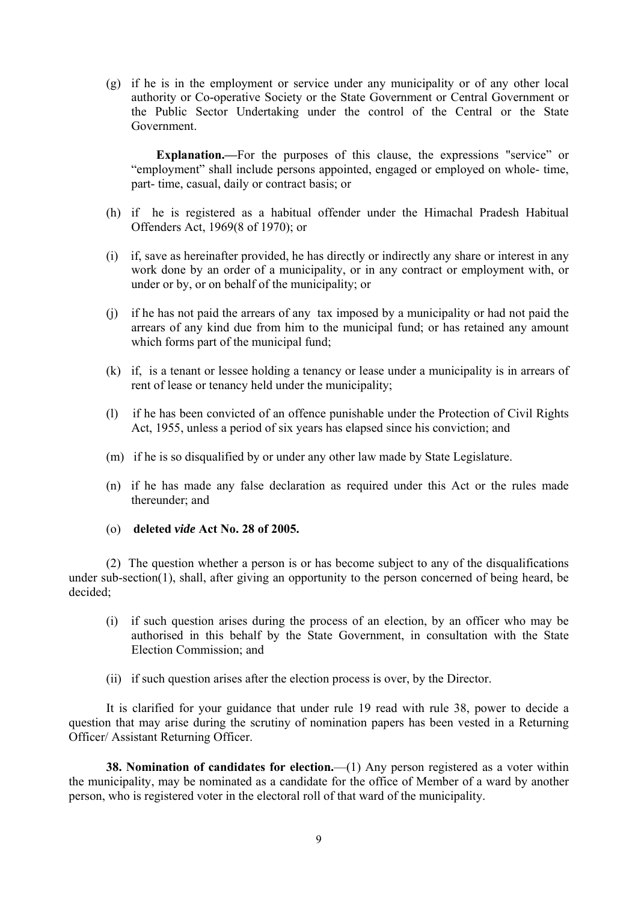(g) if he is in the employment or service under any municipality or of any other local authority or Co-operative Society or the State Government or Central Government or the Public Sector Undertaking under the control of the Central or the State Government.

 **Explanation.—**For the purposes of this clause, the expressions "service" or "employment" shall include persons appointed, engaged or employed on whole- time, part- time, casual, daily or contract basis; or

- (h) if he is registered as a habitual offender under the Himachal Pradesh Habitual Offenders Act, 1969(8 of 1970); or
- (i) if, save as hereinafter provided, he has directly or indirectly any share or interest in any work done by an order of a municipality, or in any contract or employment with, or under or by, or on behalf of the municipality; or
- (j) if he has not paid the arrears of any tax imposed by a municipality or had not paid the arrears of any kind due from him to the municipal fund; or has retained any amount which forms part of the municipal fund;
- (k) if, is a tenant or lessee holding a tenancy or lease under a municipality is in arrears of rent of lease or tenancy held under the municipality;
- (l) if he has been convicted of an offence punishable under the Protection of Civil Rights Act, 1955, unless a period of six years has elapsed since his conviction; and
- (m) if he is so disqualified by or under any other law made by State Legislature.
- (n) if he has made any false declaration as required under this Act or the rules made thereunder; and
- (o) **deleted** *vide* **Act No. 28 of 2005.**

 (2) The question whether a person is or has become subject to any of the disqualifications under sub-section(1), shall, after giving an opportunity to the person concerned of being heard, be decided;

- (i) if such question arises during the process of an election, by an officer who may be authorised in this behalf by the State Government, in consultation with the State Election Commission; and
- (ii) if such question arises after the election process is over, by the Director.

 It is clarified for your guidance that under rule 19 read with rule 38, power to decide a question that may arise during the scrutiny of nomination papers has been vested in a Returning Officer/ Assistant Returning Officer.

**38. Nomination of candidates for election.**—(1) Any person registered as a voter within the municipality, may be nominated as a candidate for the office of Member of a ward by another person, who is registered voter in the electoral roll of that ward of the municipality.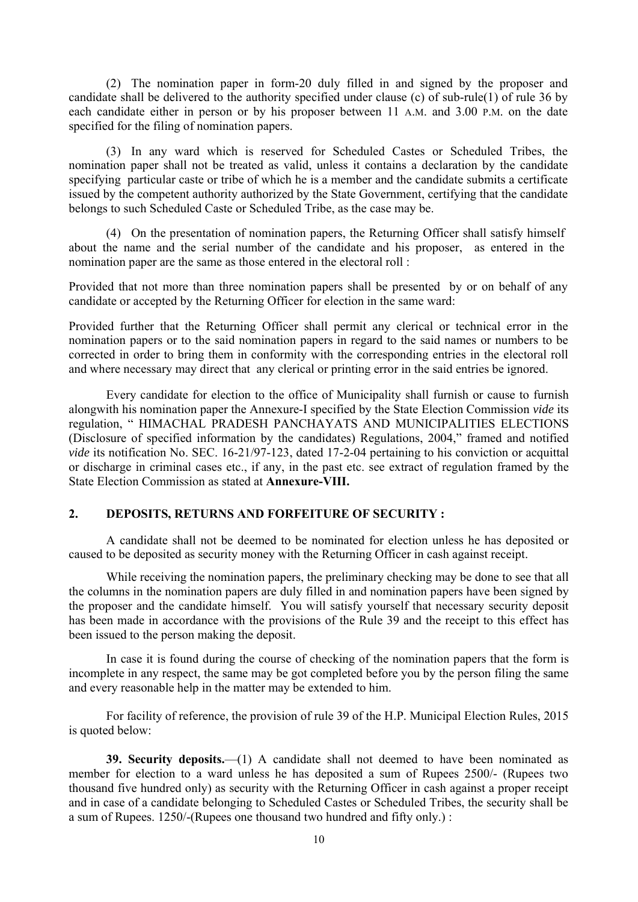(2) The nomination paper in form-20 duly filled in and signed by the proposer and candidate shall be delivered to the authority specified under clause (c) of sub-rule(1) of rule 36 by each candidate either in person or by his proposer between 11 A.M. and 3.00 P.M. on the date specified for the filing of nomination papers.

 (3) In any ward which is reserved for Scheduled Castes or Scheduled Tribes, the nomination paper shall not be treated as valid, unless it contains a declaration by the candidate specifying particular caste or tribe of which he is a member and the candidate submits a certificate issued by the competent authority authorized by the State Government, certifying that the candidate belongs to such Scheduled Caste or Scheduled Tribe, as the case may be.

 (4) On the presentation of nomination papers, the Returning Officer shall satisfy himself about the name and the serial number of the candidate and his proposer, as entered in the nomination paper are the same as those entered in the electoral roll :

Provided that not more than three nomination papers shall be presented by or on behalf of any candidate or accepted by the Returning Officer for election in the same ward:

Provided further that the Returning Officer shall permit any clerical or technical error in the nomination papers or to the said nomination papers in regard to the said names or numbers to be corrected in order to bring them in conformity with the corresponding entries in the electoral roll and where necessary may direct that any clerical or printing error in the said entries be ignored.

 Every candidate for election to the office of Municipality shall furnish or cause to furnish alongwith his nomination paper the Annexure-I specified by the State Election Commission *vide* its regulation, " HIMACHAL PRADESH PANCHAYATS AND MUNICIPALITIES ELECTIONS (Disclosure of specified information by the candidates) Regulations, 2004," framed and notified *vide* its notification No. SEC. 16-21/97-123, dated 17-2-04 pertaining to his conviction or acquittal or discharge in criminal cases etc., if any, in the past etc. see extract of regulation framed by the State Election Commission as stated at **Annexure-VIII.** 

## **2. DEPOSITS, RETURNS AND FORFEITURE OF SECURITY :**

 A candidate shall not be deemed to be nominated for election unless he has deposited or caused to be deposited as security money with the Returning Officer in cash against receipt.

 While receiving the nomination papers, the preliminary checking may be done to see that all the columns in the nomination papers are duly filled in and nomination papers have been signed by the proposer and the candidate himself. You will satisfy yourself that necessary security deposit has been made in accordance with the provisions of the Rule 39 and the receipt to this effect has been issued to the person making the deposit.

 In case it is found during the course of checking of the nomination papers that the form is incomplete in any respect, the same may be got completed before you by the person filing the same and every reasonable help in the matter may be extended to him.

 For facility of reference, the provision of rule 39 of the H.P. Municipal Election Rules, 2015 is quoted below:

**39. Security deposits.**—(1) A candidate shall not deemed to have been nominated as member for election to a ward unless he has deposited a sum of Rupees 2500/- (Rupees two thousand five hundred only) as security with the Returning Officer in cash against a proper receipt and in case of a candidate belonging to Scheduled Castes or Scheduled Tribes, the security shall be a sum of Rupees. 1250/-(Rupees one thousand two hundred and fifty only.) :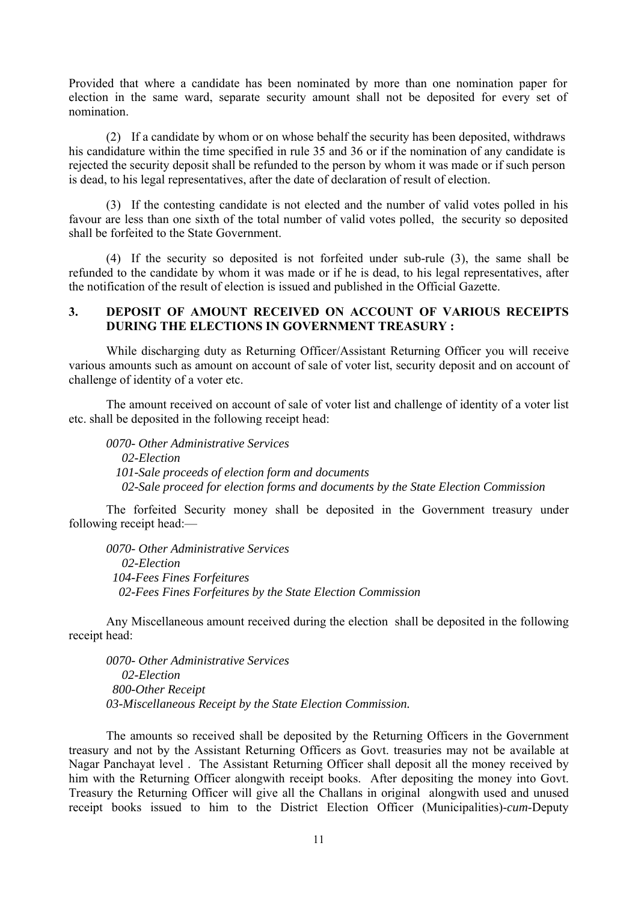Provided that where a candidate has been nominated by more than one nomination paper for election in the same ward, separate security amount shall not be deposited for every set of nomination.

 (2) If a candidate by whom or on whose behalf the security has been deposited, withdraws his candidature within the time specified in rule 35 and 36 or if the nomination of any candidate is rejected the security deposit shall be refunded to the person by whom it was made or if such person is dead, to his legal representatives, after the date of declaration of result of election.

 (3) If the contesting candidate is not elected and the number of valid votes polled in his favour are less than one sixth of the total number of valid votes polled, the security so deposited shall be forfeited to the State Government.

 (4) If the security so deposited is not forfeited under sub-rule (3), the same shall be refunded to the candidate by whom it was made or if he is dead, to his legal representatives, after the notification of the result of election is issued and published in the Official Gazette.

# **3. DEPOSIT OF AMOUNT RECEIVED ON ACCOUNT OF VARIOUS RECEIPTS DURING THE ELECTIONS IN GOVERNMENT TREASURY :**

 While discharging duty as Returning Officer/Assistant Returning Officer you will receive various amounts such as amount on account of sale of voter list, security deposit and on account of challenge of identity of a voter etc.

 The amount received on account of sale of voter list and challenge of identity of a voter list etc. shall be deposited in the following receipt head:

*0070- Other Administrative Services 02-Election 101-Sale proceeds of election form and documents 02-Sale proceed for election forms and documents by the State Election Commission* 

 The forfeited Security money shall be deposited in the Government treasury under following receipt head:—

*0070- Other Administrative Services 02-Election 104-Fees Fines Forfeitures 02-Fees Fines Forfeitures by the State Election Commission* 

 Any Miscellaneous amount received during the election shall be deposited in the following receipt head:

*0070- Other Administrative Services 02-Election 800-Other Receipt 03-Miscellaneous Receipt by the State Election Commission.* 

 The amounts so received shall be deposited by the Returning Officers in the Government treasury and not by the Assistant Returning Officers as Govt. treasuries may not be available at Nagar Panchayat level . The Assistant Returning Officer shall deposit all the money received by him with the Returning Officer alongwith receipt books. After depositing the money into Govt. Treasury the Returning Officer will give all the Challans in original alongwith used and unused receipt books issued to him to the District Election Officer (Municipalities)-*cum*-Deputy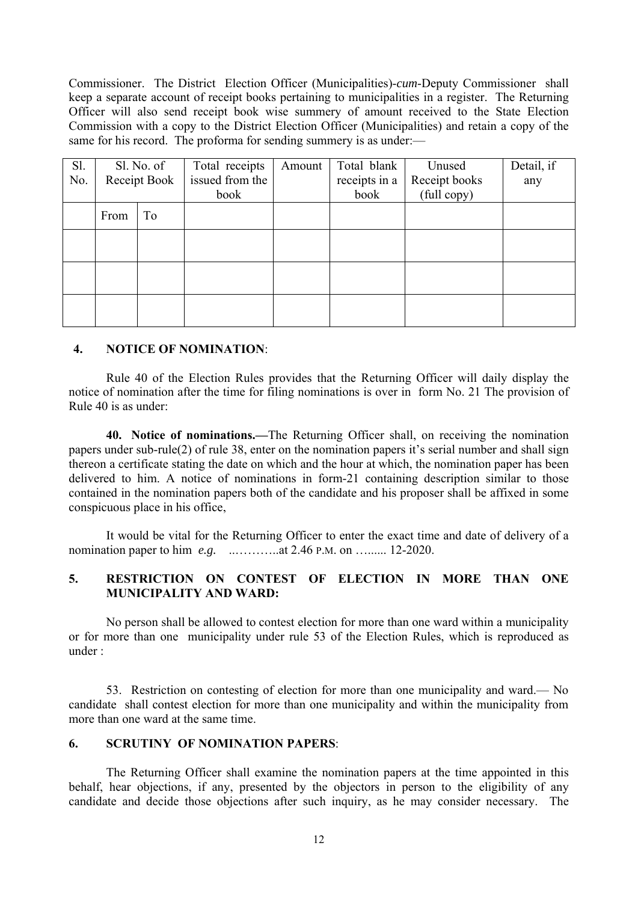Commissioner. The District Election Officer (Municipalities)-*cum*-Deputy Commissioner shall keep a separate account of receipt books pertaining to municipalities in a register. The Returning Officer will also send receipt book wise summery of amount received to the State Election Commission with a copy to the District Election Officer (Municipalities) and retain a copy of the same for his record. The proforma for sending summery is as under:—

| Sl.<br>No. | Sl. No. of<br>Receipt Book |    | Total receipts<br>issued from the | Amount | Total blank<br>receipts in a | Unused<br>Receipt books | Detail, if<br>any |
|------------|----------------------------|----|-----------------------------------|--------|------------------------------|-------------------------|-------------------|
|            |                            |    | book                              |        | book                         | (full copy)             |                   |
|            | From                       | To |                                   |        |                              |                         |                   |
|            |                            |    |                                   |        |                              |                         |                   |
|            |                            |    |                                   |        |                              |                         |                   |
|            |                            |    |                                   |        |                              |                         |                   |

# **4. NOTICE OF NOMINATION**:

 Rule 40 of the Election Rules provides that the Returning Officer will daily display the notice of nomination after the time for filing nominations is over in form No. 21 The provision of Rule 40 is as under:

**40. Notice of nominations.—**The Returning Officer shall, on receiving the nomination papers under sub-rule(2) of rule 38, enter on the nomination papers it's serial number and shall sign thereon a certificate stating the date on which and the hour at which, the nomination paper has been delivered to him. A notice of nominations in form-21 containing description similar to those contained in the nomination papers both of the candidate and his proposer shall be affixed in some conspicuous place in his office,

 It would be vital for the Returning Officer to enter the exact time and date of delivery of a nomination paper to him *e.g.* ..………..at 2.46 P.M. on …...... 12-2020.

# **5. RESTRICTION ON CONTEST OF ELECTION IN MORE THAN ONE MUNICIPALITY AND WARD:**

 No person shall be allowed to contest election for more than one ward within a municipality or for more than one municipality under rule 53 of the Election Rules, which is reproduced as under :

 53. Restriction on contesting of election for more than one municipality and ward.— No candidate shall contest election for more than one municipality and within the municipality from more than one ward at the same time.

## **6. SCRUTINY OF NOMINATION PAPERS**:

 The Returning Officer shall examine the nomination papers at the time appointed in this behalf, hear objections, if any, presented by the objectors in person to the eligibility of any candidate and decide those objections after such inquiry, as he may consider necessary. The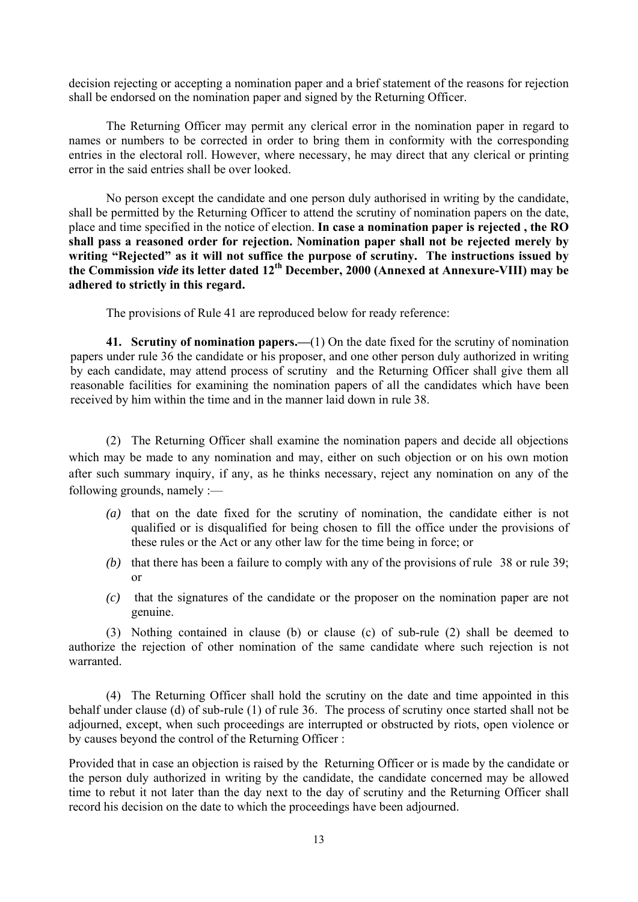decision rejecting or accepting a nomination paper and a brief statement of the reasons for rejection shall be endorsed on the nomination paper and signed by the Returning Officer.

 The Returning Officer may permit any clerical error in the nomination paper in regard to names or numbers to be corrected in order to bring them in conformity with the corresponding entries in the electoral roll. However, where necessary, he may direct that any clerical or printing error in the said entries shall be over looked.

 No person except the candidate and one person duly authorised in writing by the candidate, shall be permitted by the Returning Officer to attend the scrutiny of nomination papers on the date, place and time specified in the notice of election. **In case a nomination paper is rejected , the RO shall pass a reasoned order for rejection. Nomination paper shall not be rejected merely by writing "Rejected" as it will not suffice the purpose of scrutiny. The instructions issued by the Commission** *vide* **its letter dated 12th December, 2000 (Annexed at Annexure-VIII) may be adhered to strictly in this regard.** 

The provisions of Rule 41 are reproduced below for ready reference:

**41. Scrutiny of nomination papers.—**(1) On the date fixed for the scrutiny of nomination papers under rule 36 the candidate or his proposer, and one other person duly authorized in writing by each candidate, may attend process of scrutiny and the Returning Officer shall give them all reasonable facilities for examining the nomination papers of all the candidates which have been received by him within the time and in the manner laid down in rule 38.

 (2) The Returning Officer shall examine the nomination papers and decide all objections which may be made to any nomination and may, either on such objection or on his own motion after such summary inquiry, if any, as he thinks necessary, reject any nomination on any of the following grounds, namely :—

- *(a)* that on the date fixed for the scrutiny of nomination, the candidate either is not qualified or is disqualified for being chosen to fill the office under the provisions of these rules or the Act or any other law for the time being in force; or
- *(b)* that there has been a failure to comply with any of the provisions of rule 38 or rule 39; or
- *(c)* that the signatures of the candidate or the proposer on the nomination paper are not genuine.

 (3) Nothing contained in clause (b) or clause (c) of sub-rule (2) shall be deemed to authorize the rejection of other nomination of the same candidate where such rejection is not warranted.

 (4) The Returning Officer shall hold the scrutiny on the date and time appointed in this behalf under clause (d) of sub-rule (1) of rule 36. The process of scrutiny once started shall not be adjourned, except, when such proceedings are interrupted or obstructed by riots, open violence or by causes beyond the control of the Returning Officer :

Provided that in case an objection is raised by the Returning Officer or is made by the candidate or the person duly authorized in writing by the candidate, the candidate concerned may be allowed time to rebut it not later than the day next to the day of scrutiny and the Returning Officer shall record his decision on the date to which the proceedings have been adjourned.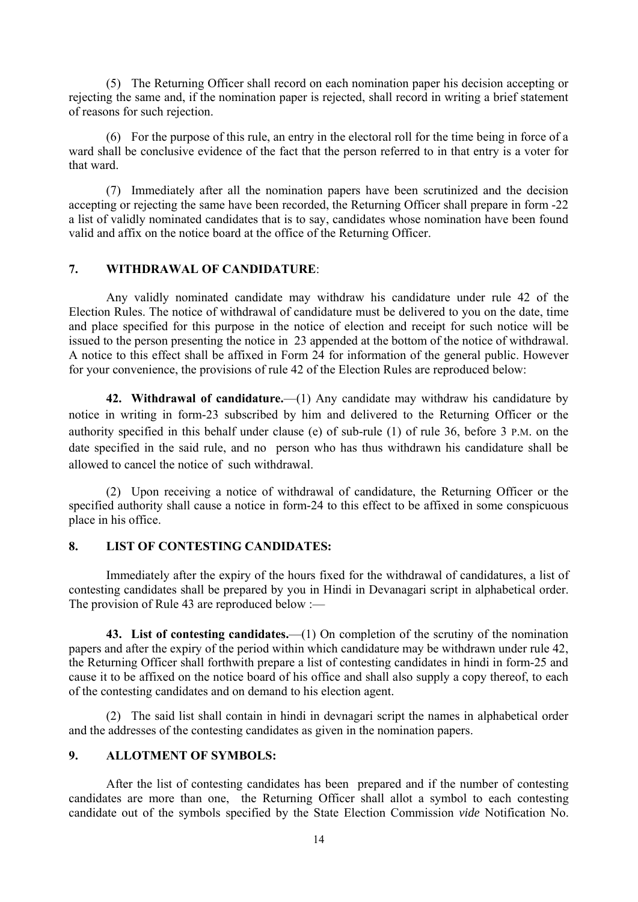(5) The Returning Officer shall record on each nomination paper his decision accepting or rejecting the same and, if the nomination paper is rejected, shall record in writing a brief statement of reasons for such rejection.

 (6) For the purpose of this rule, an entry in the electoral roll for the time being in force of a ward shall be conclusive evidence of the fact that the person referred to in that entry is a voter for that ward.

 (7) Immediately after all the nomination papers have been scrutinized and the decision accepting or rejecting the same have been recorded, the Returning Officer shall prepare in form -22 a list of validly nominated candidates that is to say, candidates whose nomination have been found valid and affix on the notice board at the office of the Returning Officer.

# **7. WITHDRAWAL OF CANDIDATURE**:

 Any validly nominated candidate may withdraw his candidature under rule 42 of the Election Rules. The notice of withdrawal of candidature must be delivered to you on the date, time and place specified for this purpose in the notice of election and receipt for such notice will be issued to the person presenting the notice in 23 appended at the bottom of the notice of withdrawal. A notice to this effect shall be affixed in Form 24 for information of the general public. However for your convenience, the provisions of rule 42 of the Election Rules are reproduced below:

**42. Withdrawal of candidature.**—(1) Any candidate may withdraw his candidature by notice in writing in form-23 subscribed by him and delivered to the Returning Officer or the authority specified in this behalf under clause (e) of sub-rule (1) of rule 36, before 3 P.M. on the date specified in the said rule, and no person who has thus withdrawn his candidature shall be allowed to cancel the notice of such withdrawal.

 (2) Upon receiving a notice of withdrawal of candidature, the Returning Officer or the specified authority shall cause a notice in form-24 to this effect to be affixed in some conspicuous place in his office.

# **8. LIST OF CONTESTING CANDIDATES:**

 Immediately after the expiry of the hours fixed for the withdrawal of candidatures, a list of contesting candidates shall be prepared by you in Hindi in Devanagari script in alphabetical order. The provision of Rule 43 are reproduced below :—

**43. List of contesting candidates.**—(1) On completion of the scrutiny of the nomination papers and after the expiry of the period within which candidature may be withdrawn under rule 42, the Returning Officer shall forthwith prepare a list of contesting candidates in hindi in form-25 and cause it to be affixed on the notice board of his office and shall also supply a copy thereof, to each of the contesting candidates and on demand to his election agent.

 (2) The said list shall contain in hindi in devnagari script the names in alphabetical order and the addresses of the contesting candidates as given in the nomination papers.

# **9. ALLOTMENT OF SYMBOLS:**

 After the list of contesting candidates has been prepared and if the number of contesting candidates are more than one, the Returning Officer shall allot a symbol to each contesting candidate out of the symbols specified by the State Election Commission *vide* Notification No.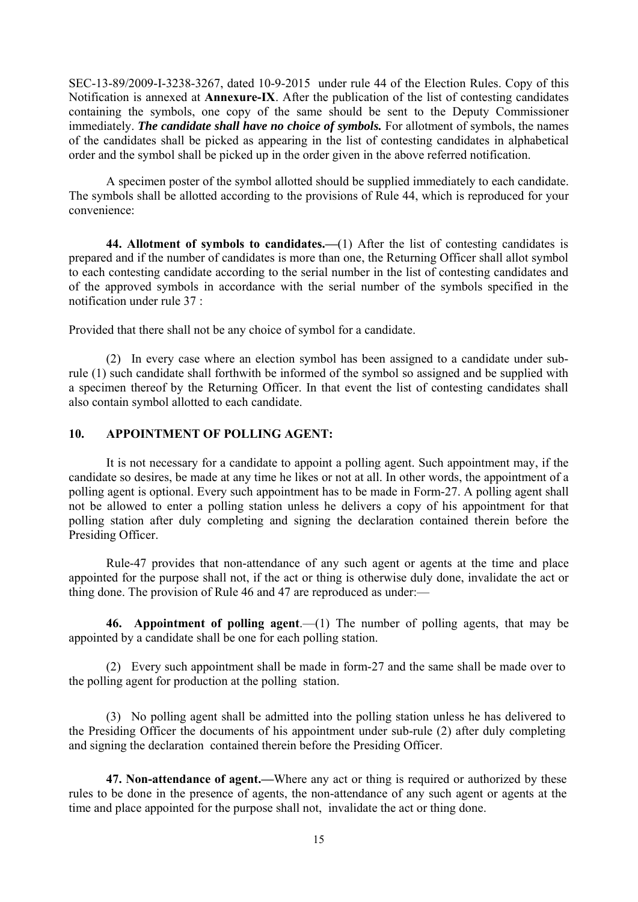SEC-13-89/2009-I-3238-3267, dated 10-9-2015 under rule 44 of the Election Rules. Copy of this Notification is annexed at **Annexure-IX**. After the publication of the list of contesting candidates containing the symbols, one copy of the same should be sent to the Deputy Commissioner immediately. *The candidate shall have no choice of symbols.* For allotment of symbols, the names of the candidates shall be picked as appearing in the list of contesting candidates in alphabetical order and the symbol shall be picked up in the order given in the above referred notification.

 A specimen poster of the symbol allotted should be supplied immediately to each candidate. The symbols shall be allotted according to the provisions of Rule 44, which is reproduced for your convenience:

**44. Allotment of symbols to candidates.—**(1) After the list of contesting candidates is prepared and if the number of candidates is more than one, the Returning Officer shall allot symbol to each contesting candidate according to the serial number in the list of contesting candidates and of the approved symbols in accordance with the serial number of the symbols specified in the notification under rule 37 :

Provided that there shall not be any choice of symbol for a candidate.

 (2) In every case where an election symbol has been assigned to a candidate under subrule (1) such candidate shall forthwith be informed of the symbol so assigned and be supplied with a specimen thereof by the Returning Officer. In that event the list of contesting candidates shall also contain symbol allotted to each candidate.

# **10. APPOINTMENT OF POLLING AGENT:**

It is not necessary for a candidate to appoint a polling agent. Such appointment may, if the candidate so desires, be made at any time he likes or not at all. In other words, the appointment of a polling agent is optional. Every such appointment has to be made in Form-27. A polling agent shall not be allowed to enter a polling station unless he delivers a copy of his appointment for that polling station after duly completing and signing the declaration contained therein before the Presiding Officer.

Rule-47 provides that non-attendance of any such agent or agents at the time and place appointed for the purpose shall not, if the act or thing is otherwise duly done, invalidate the act or thing done. The provision of Rule 46 and 47 are reproduced as under:—

 **46. Appointment of polling agent**.—(1) The number of polling agents, that may be appointed by a candidate shall be one for each polling station.

 (2) Every such appointment shall be made in form-27 and the same shall be made over to the polling agent for production at the polling station.

 (3) No polling agent shall be admitted into the polling station unless he has delivered to the Presiding Officer the documents of his appointment under sub-rule (2) after duly completing and signing the declaration contained therein before the Presiding Officer.

**47. Non-attendance of agent.—**Where any act or thing is required or authorized by these rules to be done in the presence of agents, the non-attendance of any such agent or agents at the time and place appointed for the purpose shall not, invalidate the act or thing done.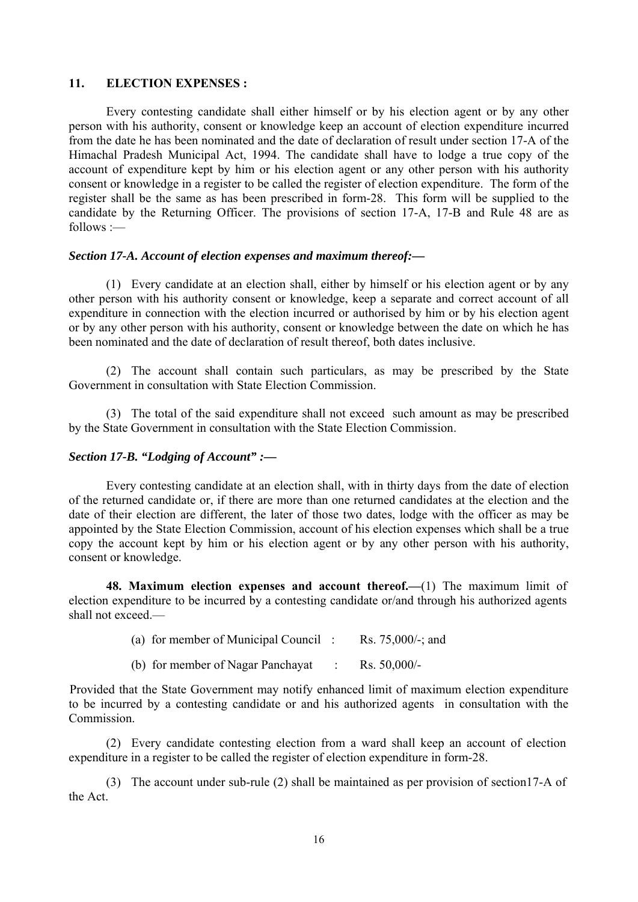# **11. ELECTION EXPENSES :**

 Every contesting candidate shall either himself or by his election agent or by any other person with his authority, consent or knowledge keep an account of election expenditure incurred from the date he has been nominated and the date of declaration of result under section 17-A of the Himachal Pradesh Municipal Act, 1994. The candidate shall have to lodge a true copy of the account of expenditure kept by him or his election agent or any other person with his authority consent or knowledge in a register to be called the register of election expenditure. The form of the register shall be the same as has been prescribed in form-28. This form will be supplied to the candidate by the Returning Officer. The provisions of section 17-A, 17-B and Rule 48 are as follows :—

#### *Section 17-A. Account of election expenses and maximum thereof:—*

(1) Every candidate at an election shall, either by himself or his election agent or by any other person with his authority consent or knowledge, keep a separate and correct account of all expenditure in connection with the election incurred or authorised by him or by his election agent or by any other person with his authority, consent or knowledge between the date on which he has been nominated and the date of declaration of result thereof, both dates inclusive.

 (2) The account shall contain such particulars, as may be prescribed by the State Government in consultation with State Election Commission.

 (3) The total of the said expenditure shall not exceed such amount as may be prescribed by the State Government in consultation with the State Election Commission.

# *Section 17-B. "Lodging of Account" :—*

Every contesting candidate at an election shall, with in thirty days from the date of election of the returned candidate or, if there are more than one returned candidates at the election and the date of their election are different, the later of those two dates, lodge with the officer as may be appointed by the State Election Commission, account of his election expenses which shall be a true copy the account kept by him or his election agent or by any other person with his authority, consent or knowledge.

**48. Maximum election expenses and account thereof.—**(1) The maximum limit of election expenditure to be incurred by a contesting candidate or/and through his authorized agents shall not exceed.—

| (a) for member of Municipal Council: |  | Rs. $75,000/$ -; and |
|--------------------------------------|--|----------------------|
|--------------------------------------|--|----------------------|

(b) for member of Nagar Panchayat : Rs. 50,000/-

Provided that the State Government may notify enhanced limit of maximum election expenditure to be incurred by a contesting candidate or and his authorized agents in consultation with the Commission.

 (2) Every candidate contesting election from a ward shall keep an account of election expenditure in a register to be called the register of election expenditure in form-28.

(3) The account under sub-rule (2) shall be maintained as per provision of section17-A of the Act.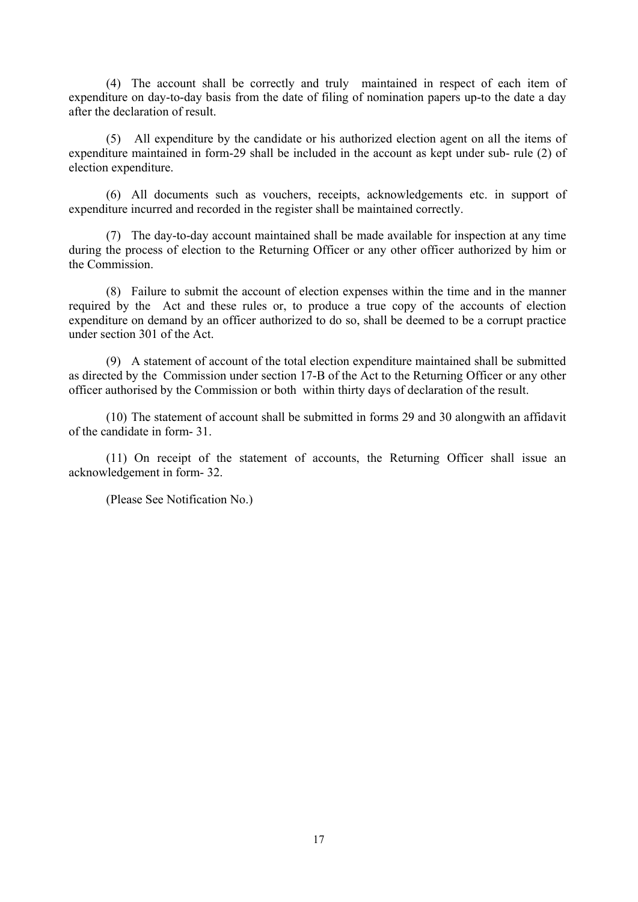(4) The account shall be correctly and truly maintained in respect of each item of expenditure on day-to-day basis from the date of filing of nomination papers up-to the date a day after the declaration of result.

 (5) All expenditure by the candidate or his authorized election agent on all the items of expenditure maintained in form-29 shall be included in the account as kept under sub- rule (2) of election expenditure.

 (6) All documents such as vouchers, receipts, acknowledgements etc. in support of expenditure incurred and recorded in the register shall be maintained correctly.

 (7) The day-to-day account maintained shall be made available for inspection at any time during the process of election to the Returning Officer or any other officer authorized by him or the Commission.

 (8) Failure to submit the account of election expenses within the time and in the manner required by the Act and these rules or, to produce a true copy of the accounts of election expenditure on demand by an officer authorized to do so, shall be deemed to be a corrupt practice under section 301 of the Act.

 (9) A statement of account of the total election expenditure maintained shall be submitted as directed by the Commission under section 17-B of the Act to the Returning Officer or any other officer authorised by the Commission or both within thirty days of declaration of the result.

 (10) The statement of account shall be submitted in forms 29 and 30 alongwith an affidavit of the candidate in form- 31.

 (11) On receipt of the statement of accounts, the Returning Officer shall issue an acknowledgement in form- 32.

(Please See Notification No.)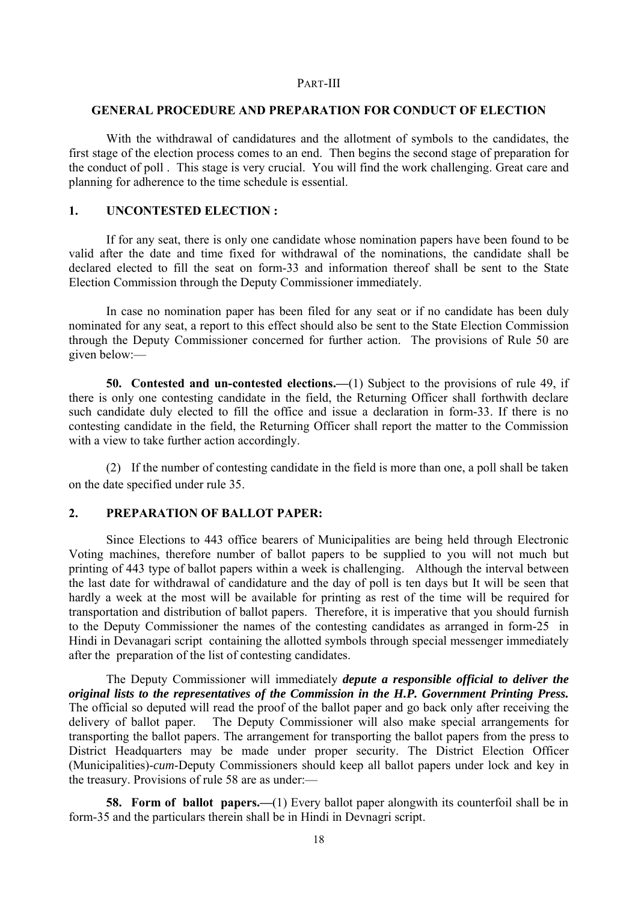#### PART-III

# **GENERAL PROCEDURE AND PREPARATION FOR CONDUCT OF ELECTION**

 With the withdrawal of candidatures and the allotment of symbols to the candidates, the first stage of the election process comes to an end. Then begins the second stage of preparation for the conduct of poll . This stage is very crucial. You will find the work challenging. Great care and planning for adherence to the time schedule is essential.

# **1. UNCONTESTED ELECTION :**

 If for any seat, there is only one candidate whose nomination papers have been found to be valid after the date and time fixed for withdrawal of the nominations, the candidate shall be declared elected to fill the seat on form-33 and information thereof shall be sent to the State Election Commission through the Deputy Commissioner immediately.

 In case no nomination paper has been filed for any seat or if no candidate has been duly nominated for any seat, a report to this effect should also be sent to the State Election Commission through the Deputy Commissioner concerned for further action. The provisions of Rule 50 are given below:—

**50. Contested and un-contested elections.—**(1) Subject to the provisions of rule 49, if there is only one contesting candidate in the field, the Returning Officer shall forthwith declare such candidate duly elected to fill the office and issue a declaration in form-33. If there is no contesting candidate in the field, the Returning Officer shall report the matter to the Commission with a view to take further action accordingly.

 (2) If the number of contesting candidate in the field is more than one, a poll shall be taken on the date specified under rule 35.

#### **2. PREPARATION OF BALLOT PAPER:**

 Since Elections to 443 office bearers of Municipalities are being held through Electronic Voting machines, therefore number of ballot papers to be supplied to you will not much but printing of 443 type of ballot papers within a week is challenging. Although the interval between the last date for withdrawal of candidature and the day of poll is ten days but It will be seen that hardly a week at the most will be available for printing as rest of the time will be required for transportation and distribution of ballot papers. Therefore, it is imperative that you should furnish to the Deputy Commissioner the names of the contesting candidates as arranged in form-25 in Hindi in Devanagari script containing the allotted symbols through special messenger immediately after the preparation of the list of contesting candidates.

 The Deputy Commissioner will immediately *depute a responsible official to deliver the original lists to the representatives of the Commission in the H.P. Government Printing Press.* The official so deputed will read the proof of the ballot paper and go back only after receiving the delivery of ballot paper. The Deputy Commissioner will also make special arrangements for transporting the ballot papers. The arrangement for transporting the ballot papers from the press to District Headquarters may be made under proper security. The District Election Officer (Municipalities)-*cum*-Deputy Commissioners should keep all ballot papers under lock and key in the treasury. Provisions of rule 58 are as under:—

**58. Form of ballot papers.—(1)** Every ballot paper alongwith its counterfoil shall be in form-35 and the particulars therein shall be in Hindi in Devnagri script.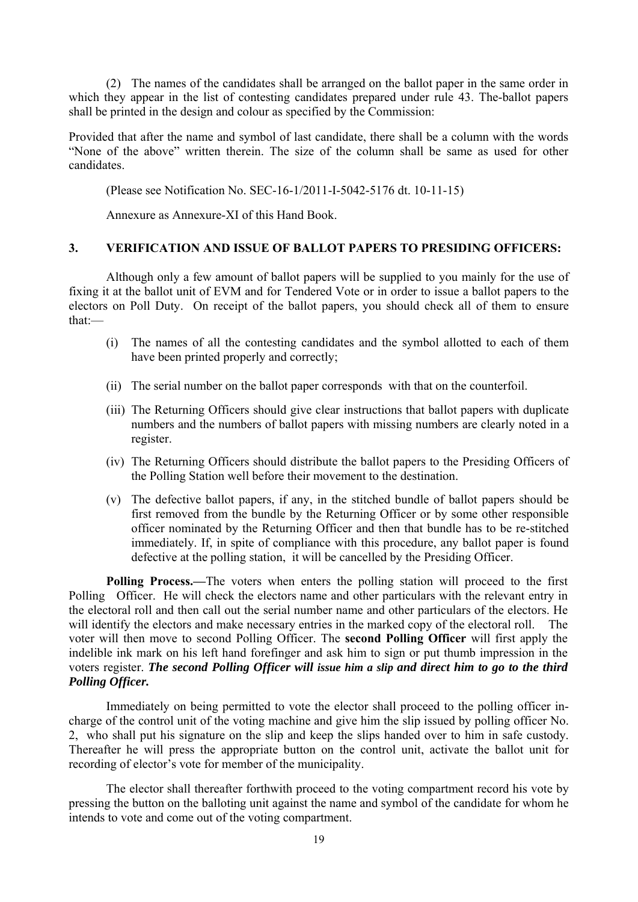(2) The names of the candidates shall be arranged on the ballot paper in the same order in which they appear in the list of contesting candidates prepared under rule 43. The-ballot papers shall be printed in the design and colour as specified by the Commission:

Provided that after the name and symbol of last candidate, there shall be a column with the words "None of the above" written therein. The size of the column shall be same as used for other candidates.

(Please see Notification No. SEC-16-1/2011-I-5042-5176 dt. 10-11-15)

Annexure as Annexure-XI of this Hand Book.

## **3. VERIFICATION AND ISSUE OF BALLOT PAPERS TO PRESIDING OFFICERS:**

 Although only a few amount of ballot papers will be supplied to you mainly for the use of fixing it at the ballot unit of EVM and for Tendered Vote or in order to issue a ballot papers to the electors on Poll Duty. On receipt of the ballot papers, you should check all of them to ensure that:—

- (i) The names of all the contesting candidates and the symbol allotted to each of them have been printed properly and correctly;
- (ii) The serial number on the ballot paper corresponds with that on the counterfoil.
- (iii) The Returning Officers should give clear instructions that ballot papers with duplicate numbers and the numbers of ballot papers with missing numbers are clearly noted in a register.
- (iv) The Returning Officers should distribute the ballot papers to the Presiding Officers of the Polling Station well before their movement to the destination.
- (v) The defective ballot papers, if any, in the stitched bundle of ballot papers should be first removed from the bundle by the Returning Officer or by some other responsible officer nominated by the Returning Officer and then that bundle has to be re-stitched immediately. If, in spite of compliance with this procedure, any ballot paper is found defective at the polling station, it will be cancelled by the Presiding Officer.

**Polling Process.—The voters when enters the polling station will proceed to the first** Polling Officer. He will check the electors name and other particulars with the relevant entry in the electoral roll and then call out the serial number name and other particulars of the electors. He will identify the electors and make necessary entries in the marked copy of the electoral roll. The voter will then move to second Polling Officer. The **second Polling Officer** will first apply the indelible ink mark on his left hand forefinger and ask him to sign or put thumb impression in the voters register. *The second Polling Officer will issue him a slip and direct him to go to the third Polling Officer.* 

 Immediately on being permitted to vote the elector shall proceed to the polling officer incharge of the control unit of the voting machine and give him the slip issued by polling officer No. 2, who shall put his signature on the slip and keep the slips handed over to him in safe custody. Thereafter he will press the appropriate button on the control unit, activate the ballot unit for recording of elector's vote for member of the municipality.

 The elector shall thereafter forthwith proceed to the voting compartment record his vote by pressing the button on the balloting unit against the name and symbol of the candidate for whom he intends to vote and come out of the voting compartment.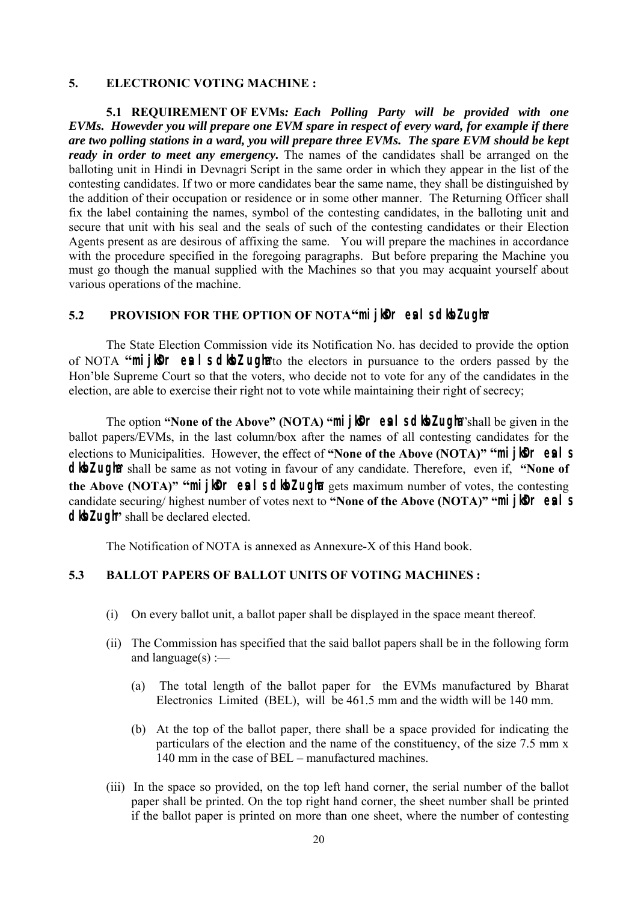### **5. ELECTRONIC VOTING MACHINE :**

**5.1 REQUIREMENT OF EVMs***: Each Polling Party will be provided with one EVMs. Howevder you will prepare one EVM spare in respect of every ward, for example if there are two polling stations in a ward, you will prepare three EVMs. The spare EVM should be kept ready in order to meet any emergency*. The names of the candidates shall be arranged on the balloting unit in Hindi in Devnagri Script in the same order in which they appear in the list of the contesting candidates. If two or more candidates bear the same name, they shall be distinguished by the addition of their occupation or residence or in some other manner. The Returning Officer shall fix the label containing the names, symbol of the contesting candidates, in the balloting unit and secure that unit with his seal and the seals of such of the contesting candidates or their Election Agents present as are desirous of affixing the same. You will prepare the machines in accordance with the procedure specified in the foregoing paragraphs. But before preparing the Machine you must go though the manual supplied with the Machines so that you may acquaint yourself about various operations of the machine.

# **5.2** PROVISION FOR THE OPTION OF NOTA"**mijker eal sdibzugha**

The State Election Commission vide its Notification No. has decided to provide the option of NOTA "**mijker eals diez ugha**to the electors in pursuance to the orders passed by the Hon'ble Supreme Court so that the voters, who decide not to vote for any of the candidates in the election, are able to exercise their right not to vote while maintaining their right of secrecy;

The option "None of the Above" (NOTA) "**mijl0r eal sdloz ugha** "shall be given in the ballot papers/EVMs, in the last column/box after the names of all contesting candidates for the elections to Municipalities. However, the effect of "None of the Above (NOTA)" "**mijler eals dloz ugha** shall be same as not voting in favour of any candidate. Therefore, even if, "None of **the Above (NOTA)" "mijker eal school ugha** gets maximum number of votes, the contesting candidate securing/ highest number of votes next to "None of the Above (NOTA)" "**mijker esistical dlbzugh**<sup>\*</sup> shall be declared elected.

The Notification of NOTA is annexed as Annexure-X of this Hand book.

#### **5.3 BALLOT PAPERS OF BALLOT UNITS OF VOTING MACHINES :**

- (i) On every ballot unit, a ballot paper shall be displayed in the space meant thereof.
- (ii) The Commission has specified that the said ballot papers shall be in the following form and language $(s)$  :—
	- (a) The total length of the ballot paper for the EVMs manufactured by Bharat Electronics Limited (BEL), will be 461.5 mm and the width will be 140 mm.
	- (b) At the top of the ballot paper, there shall be a space provided for indicating the particulars of the election and the name of the constituency, of the size 7.5 mm x 140 mm in the case of BEL – manufactured machines.
- (iii) In the space so provided, on the top left hand corner, the serial number of the ballot paper shall be printed. On the top right hand corner, the sheet number shall be printed if the ballot paper is printed on more than one sheet, where the number of contesting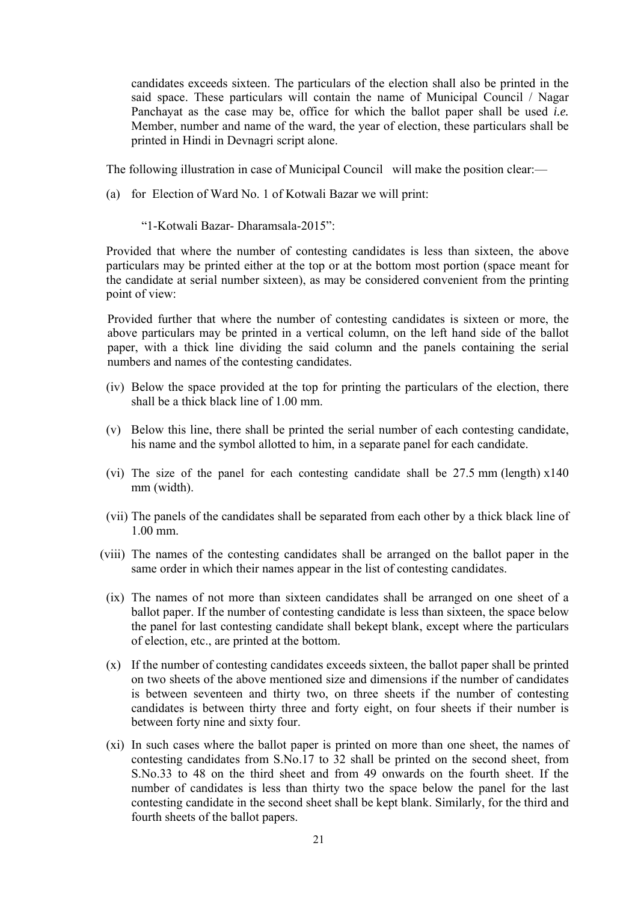candidates exceeds sixteen. The particulars of the election shall also be printed in the said space. These particulars will contain the name of Municipal Council / Nagar Panchayat as the case may be, office for which the ballot paper shall be used *i.e.* Member, number and name of the ward, the year of election, these particulars shall be printed in Hindi in Devnagri script alone.

The following illustration in case of Municipal Council will make the position clear:—

(a) for Election of Ward No. 1 of Kotwali Bazar we will print:

"1-Kotwali Bazar- Dharamsala-2015":

Provided that where the number of contesting candidates is less than sixteen, the above particulars may be printed either at the top or at the bottom most portion (space meant for the candidate at serial number sixteen), as may be considered convenient from the printing point of view:

Provided further that where the number of contesting candidates is sixteen or more, the above particulars may be printed in a vertical column, on the left hand side of the ballot paper, with a thick line dividing the said column and the panels containing the serial numbers and names of the contesting candidates.

- (iv) Below the space provided at the top for printing the particulars of the election, there shall be a thick black line of 1.00 mm.
- (v) Below this line, there shall be printed the serial number of each contesting candidate, his name and the symbol allotted to him, in a separate panel for each candidate.
- (vi) The size of the panel for each contesting candidate shall be 27.5 mm (length) x140 mm (width).
- (vii) The panels of the candidates shall be separated from each other by a thick black line of 1.00 mm.
- (viii) The names of the contesting candidates shall be arranged on the ballot paper in the same order in which their names appear in the list of contesting candidates.
- (ix) The names of not more than sixteen candidates shall be arranged on one sheet of a ballot paper. If the number of contesting candidate is less than sixteen, the space below the panel for last contesting candidate shall bekept blank, except where the particulars of election, etc., are printed at the bottom.
- (x) If the number of contesting candidates exceeds sixteen, the ballot paper shall be printed on two sheets of the above mentioned size and dimensions if the number of candidates is between seventeen and thirty two, on three sheets if the number of contesting candidates is between thirty three and forty eight, on four sheets if their number is between forty nine and sixty four.
- (xi) In such cases where the ballot paper is printed on more than one sheet, the names of contesting candidates from S.No.17 to 32 shall be printed on the second sheet, from S.No.33 to 48 on the third sheet and from 49 onwards on the fourth sheet. If the number of candidates is less than thirty two the space below the panel for the last contesting candidate in the second sheet shall be kept blank. Similarly, for the third and fourth sheets of the ballot papers.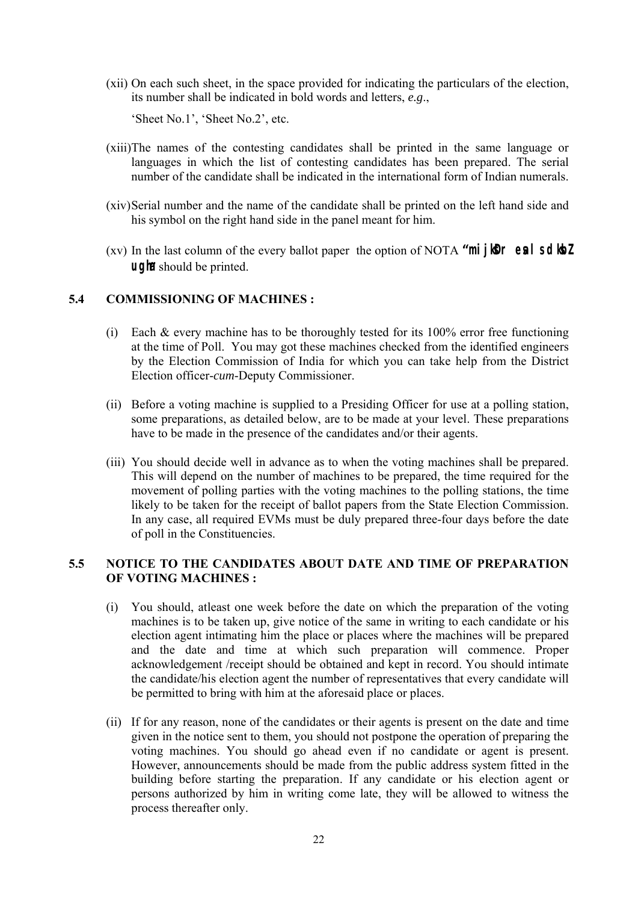(xii) On each such sheet, in the space provided for indicating the particulars of the election, its number shall be indicated in bold words and letters, *e.g*.,

'Sheet No.1', 'Sheet No.2', etc.

- (xiii)The names of the contesting candidates shall be printed in the same language or languages in which the list of contesting candidates has been prepared. The serial number of the candidate shall be indicated in the international form of Indian numerals.
- (xiv) Serial number and the name of the candidate shall be printed on the left hand side and his symbol on the right hand side in the panel meant for him.
- (xv) In the last column of the every ballot paper the option of NOTA **"mijker eal sdibZ ugh** should be printed.

# **5.4 COMMISSIONING OF MACHINES :**

- (i) Each  $\&$  every machine has to be thoroughly tested for its 100% error free functioning at the time of Poll. You may got these machines checked from the identified engineers by the Election Commission of India for which you can take help from the District Election officer-*cum*-Deputy Commissioner.
- (ii) Before a voting machine is supplied to a Presiding Officer for use at a polling station, some preparations, as detailed below, are to be made at your level. These preparations have to be made in the presence of the candidates and/or their agents.
- (iii) You should decide well in advance as to when the voting machines shall be prepared. This will depend on the number of machines to be prepared, the time required for the movement of polling parties with the voting machines to the polling stations, the time likely to be taken for the receipt of ballot papers from the State Election Commission. In any case, all required EVMs must be duly prepared three-four days before the date of poll in the Constituencies.

# **5.5 NOTICE TO THE CANDIDATES ABOUT DATE AND TIME OF PREPARATION OF VOTING MACHINES :**

- (i) You should, atleast one week before the date on which the preparation of the voting machines is to be taken up, give notice of the same in writing to each candidate or his election agent intimating him the place or places where the machines will be prepared and the date and time at which such preparation will commence. Proper acknowledgement /receipt should be obtained and kept in record. You should intimate the candidate/his election agent the number of representatives that every candidate will be permitted to bring with him at the aforesaid place or places.
- (ii) If for any reason, none of the candidates or their agents is present on the date and time given in the notice sent to them, you should not postpone the operation of preparing the voting machines. You should go ahead even if no candidate or agent is present. However, announcements should be made from the public address system fitted in the building before starting the preparation. If any candidate or his election agent or persons authorized by him in writing come late, they will be allowed to witness the process thereafter only.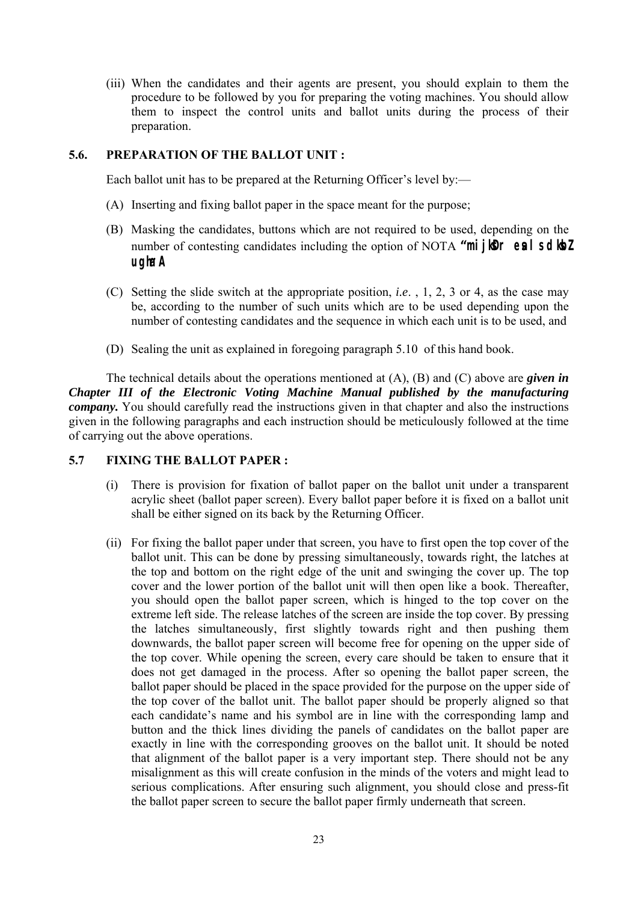(iii) When the candidates and their agents are present, you should explain to them the procedure to be followed by you for preparing the voting machines. You should allow them to inspect the control units and ballot units during the process of their preparation.

# **5.6. PREPARATION OF THE BALLOT UNIT :**

Each ballot unit has to be prepared at the Returning Officer's level by:—

- (A) Inserting and fixing ballot paper in the space meant for the purpose;
- (B) Masking the candidates, buttons which are not required to be used, depending on the number of contesting candidates including the option of NOTA **"mijler eal sdle! ugha" A**
- (C) Setting the slide switch at the appropriate position, *i.e*. , 1, 2, 3 or 4, as the case may be, according to the number of such units which are to be used depending upon the number of contesting candidates and the sequence in which each unit is to be used, and
- (D) Sealing the unit as explained in foregoing paragraph 5.10 of this hand book.

 The technical details about the operations mentioned at (A), (B) and (C) above are *given in Chapter III of the Electronic Voting Machine Manual published by the manufacturing company.* You should carefully read the instructions given in that chapter and also the instructions given in the following paragraphs and each instruction should be meticulously followed at the time of carrying out the above operations.

#### **5.7 FIXING THE BALLOT PAPER :**

- (i) There is provision for fixation of ballot paper on the ballot unit under a transparent acrylic sheet (ballot paper screen). Every ballot paper before it is fixed on a ballot unit shall be either signed on its back by the Returning Officer.
- (ii) For fixing the ballot paper under that screen, you have to first open the top cover of the ballot unit. This can be done by pressing simultaneously, towards right, the latches at the top and bottom on the right edge of the unit and swinging the cover up. The top cover and the lower portion of the ballot unit will then open like a book. Thereafter, you should open the ballot paper screen, which is hinged to the top cover on the extreme left side. The release latches of the screen are inside the top cover. By pressing the latches simultaneously, first slightly towards right and then pushing them downwards, the ballot paper screen will become free for opening on the upper side of the top cover. While opening the screen, every care should be taken to ensure that it does not get damaged in the process. After so opening the ballot paper screen, the ballot paper should be placed in the space provided for the purpose on the upper side of the top cover of the ballot unit. The ballot paper should be properly aligned so that each candidate's name and his symbol are in line with the corresponding lamp and button and the thick lines dividing the panels of candidates on the ballot paper are exactly in line with the corresponding grooves on the ballot unit. It should be noted that alignment of the ballot paper is a very important step. There should not be any misalignment as this will create confusion in the minds of the voters and might lead to serious complications. After ensuring such alignment, you should close and press-fit the ballot paper screen to secure the ballot paper firmly underneath that screen.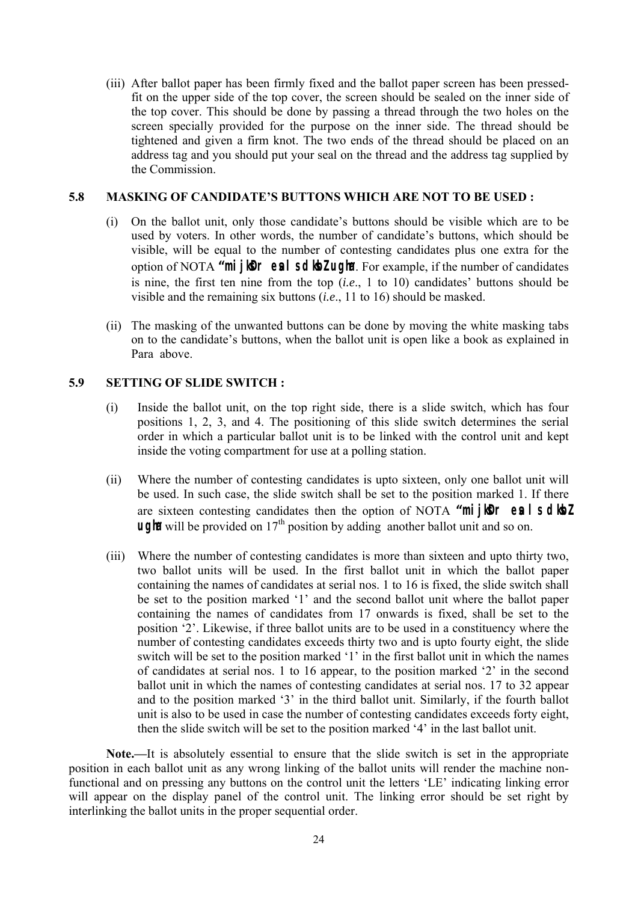(iii) After ballot paper has been firmly fixed and the ballot paper screen has been pressedfit on the upper side of the top cover, the screen should be sealed on the inner side of the top cover. This should be done by passing a thread through the two holes on the screen specially provided for the purpose on the inner side. The thread should be tightened and given a firm knot. The two ends of the thread should be placed on an address tag and you should put your seal on the thread and the address tag supplied by the Commission.

### **5.8 MASKING OF CANDIDATE'S BUTTONS WHICH ARE NOT TO BE USED :**

- (i) On the ballot unit, only those candidate's buttons should be visible which are to be used by voters. In other words, the number of candidate's buttons, which should be visible, will be equal to the number of contesting candidates plus one extra for the option of NOTA "**miller eal sdibZugha** For example, if the number of candidates is nine, the first ten nine from the top (*i.e*., 1 to 10) candidates' buttons should be visible and the remaining six buttons (*i.e*., 11 to 16) should be masked.
- (ii) The masking of the unwanted buttons can be done by moving the white masking tabs on to the candidate's buttons, when the ballot unit is open like a book as explained in Para above.

## **5.9 SETTING OF SLIDE SWITCH :**

- (i) Inside the ballot unit, on the top right side, there is a slide switch, which has four positions 1, 2, 3, and 4. The positioning of this slide switch determines the serial order in which a particular ballot unit is to be linked with the control unit and kept inside the voting compartment for use at a polling station.
- (ii) Where the number of contesting candidates is upto sixteen, only one ballot unit will be used. In such case, the slide switch shall be set to the position marked 1. If there are sixteen contesting candidates then the option of NOTA **"mijler eals diez ugh** will be provided on 17<sup>th</sup> position by adding another ballot unit and so on.
- (iii) Where the number of contesting candidates is more than sixteen and upto thirty two, two ballot units will be used. In the first ballot unit in which the ballot paper containing the names of candidates at serial nos. 1 to 16 is fixed, the slide switch shall be set to the position marked '1' and the second ballot unit where the ballot paper containing the names of candidates from 17 onwards is fixed, shall be set to the position '2'. Likewise, if three ballot units are to be used in a constituency where the number of contesting candidates exceeds thirty two and is upto fourty eight, the slide switch will be set to the position marked '1' in the first ballot unit in which the names of candidates at serial nos. 1 to 16 appear, to the position marked '2' in the second ballot unit in which the names of contesting candidates at serial nos. 17 to 32 appear and to the position marked '3' in the third ballot unit. Similarly, if the fourth ballot unit is also to be used in case the number of contesting candidates exceeds forty eight, then the slide switch will be set to the position marked '4' in the last ballot unit.

**Note.—**It is absolutely essential to ensure that the slide switch is set in the appropriate position in each ballot unit as any wrong linking of the ballot units will render the machine nonfunctional and on pressing any buttons on the control unit the letters 'LE' indicating linking error will appear on the display panel of the control unit. The linking error should be set right by interlinking the ballot units in the proper sequential order.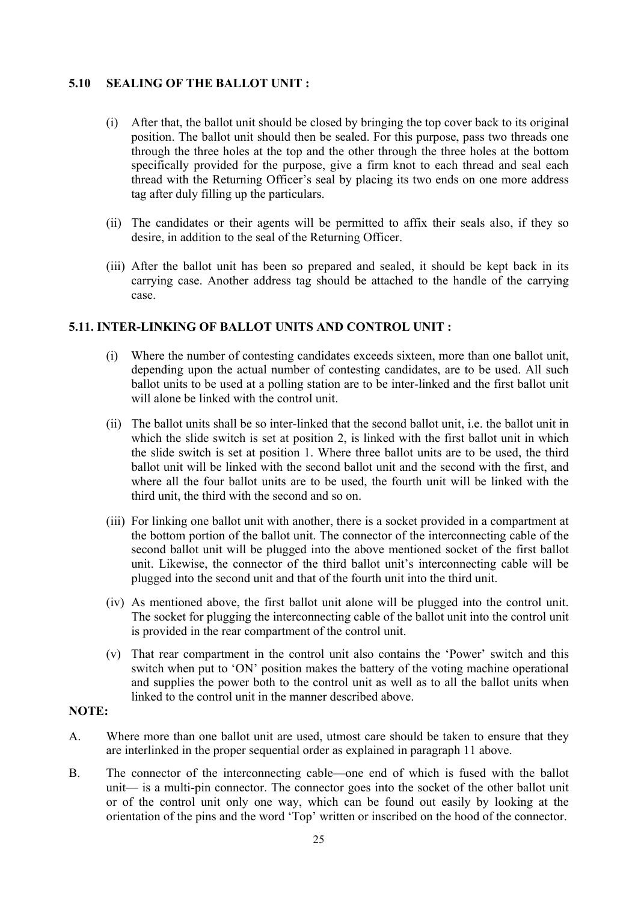# **5.10 SEALING OF THE BALLOT UNIT :**

- (i) After that, the ballot unit should be closed by bringing the top cover back to its original position. The ballot unit should then be sealed. For this purpose, pass two threads one through the three holes at the top and the other through the three holes at the bottom specifically provided for the purpose, give a firm knot to each thread and seal each thread with the Returning Officer's seal by placing its two ends on one more address tag after duly filling up the particulars.
- (ii) The candidates or their agents will be permitted to affix their seals also, if they so desire, in addition to the seal of the Returning Officer.
- (iii) After the ballot unit has been so prepared and sealed, it should be kept back in its carrying case. Another address tag should be attached to the handle of the carrying case.

# **5.11. INTER-LINKING OF BALLOT UNITS AND CONTROL UNIT :**

- (i) Where the number of contesting candidates exceeds sixteen, more than one ballot unit, depending upon the actual number of contesting candidates, are to be used. All such ballot units to be used at a polling station are to be inter-linked and the first ballot unit will alone be linked with the control unit.
- (ii) The ballot units shall be so inter-linked that the second ballot unit, i.e. the ballot unit in which the slide switch is set at position 2, is linked with the first ballot unit in which the slide switch is set at position 1. Where three ballot units are to be used, the third ballot unit will be linked with the second ballot unit and the second with the first, and where all the four ballot units are to be used, the fourth unit will be linked with the third unit, the third with the second and so on.
- (iii) For linking one ballot unit with another, there is a socket provided in a compartment at the bottom portion of the ballot unit. The connector of the interconnecting cable of the second ballot unit will be plugged into the above mentioned socket of the first ballot unit. Likewise, the connector of the third ballot unit's interconnecting cable will be plugged into the second unit and that of the fourth unit into the third unit.
- (iv) As mentioned above, the first ballot unit alone will be plugged into the control unit. The socket for plugging the interconnecting cable of the ballot unit into the control unit is provided in the rear compartment of the control unit.
- (v) That rear compartment in the control unit also contains the 'Power' switch and this switch when put to 'ON' position makes the battery of the voting machine operational and supplies the power both to the control unit as well as to all the ballot units when linked to the control unit in the manner described above.

# **NOTE:**

- A. Where more than one ballot unit are used, utmost care should be taken to ensure that they are interlinked in the proper sequential order as explained in paragraph 11 above.
- B. The connector of the interconnecting cable—one end of which is fused with the ballot unit— is a multi-pin connector. The connector goes into the socket of the other ballot unit or of the control unit only one way, which can be found out easily by looking at the orientation of the pins and the word 'Top' written or inscribed on the hood of the connector.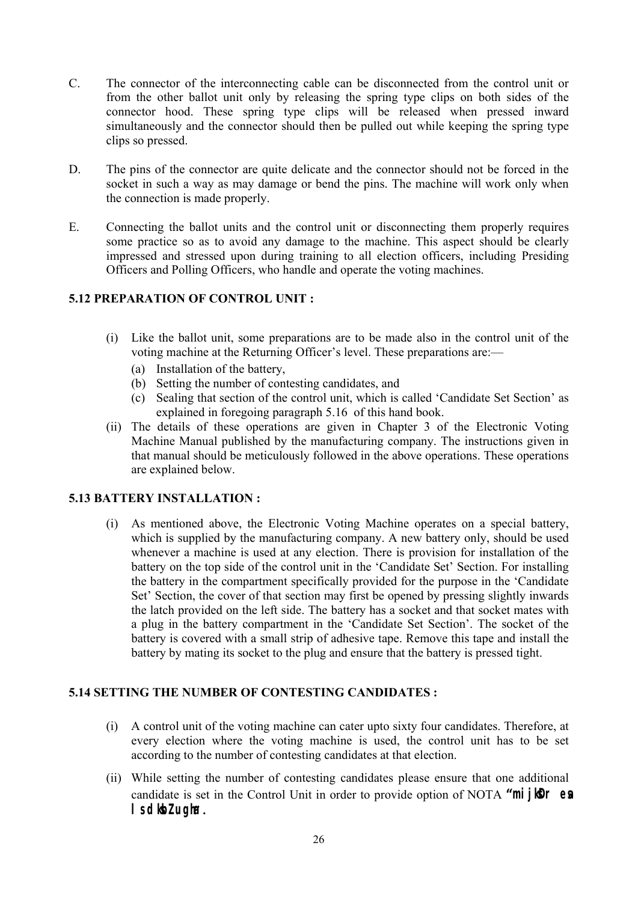- C. The connector of the interconnecting cable can be disconnected from the control unit or from the other ballot unit only by releasing the spring type clips on both sides of the connector hood. These spring type clips will be released when pressed inward simultaneously and the connector should then be pulled out while keeping the spring type clips so pressed.
- D. The pins of the connector are quite delicate and the connector should not be forced in the socket in such a way as may damage or bend the pins. The machine will work only when the connection is made properly.
- E. Connecting the ballot units and the control unit or disconnecting them properly requires some practice so as to avoid any damage to the machine. This aspect should be clearly impressed and stressed upon during training to all election officers, including Presiding Officers and Polling Officers, who handle and operate the voting machines.

# **5.12 PREPARATION OF CONTROL UNIT :**

- (i) Like the ballot unit, some preparations are to be made also in the control unit of the voting machine at the Returning Officer's level. These preparations are:—
	- (a) Installation of the battery,
	- (b) Setting the number of contesting candidates, and
	- (c) Sealing that section of the control unit, which is called 'Candidate Set Section' as explained in foregoing paragraph 5.16 of this hand book.
- (ii) The details of these operations are given in Chapter 3 of the Electronic Voting Machine Manual published by the manufacturing company. The instructions given in that manual should be meticulously followed in the above operations. These operations are explained below.

# **5.13 BATTERY INSTALLATION :**

 (i) As mentioned above, the Electronic Voting Machine operates on a special battery, which is supplied by the manufacturing company. A new battery only, should be used whenever a machine is used at any election. There is provision for installation of the battery on the top side of the control unit in the 'Candidate Set' Section. For installing the battery in the compartment specifically provided for the purpose in the 'Candidate Set' Section, the cover of that section may first be opened by pressing slightly inwards the latch provided on the left side. The battery has a socket and that socket mates with a plug in the battery compartment in the 'Candidate Set Section'. The socket of the battery is covered with a small strip of adhesive tape. Remove this tape and install the battery by mating its socket to the plug and ensure that the battery is pressed tight.

# **5.14 SETTING THE NUMBER OF CONTESTING CANDIDATES :**

- (i) A control unit of the voting machine can cater upto sixty four candidates. Therefore, at every election where the voting machine is used, the control unit has to be set according to the number of contesting candidates at that election.
- (ii) While setting the number of contesting candidates please ensure that one additional candidate is set in the Control Unit in order to provide option of NOTA "**mijler es**  $\blacksquare$  sd**k**bZ ugha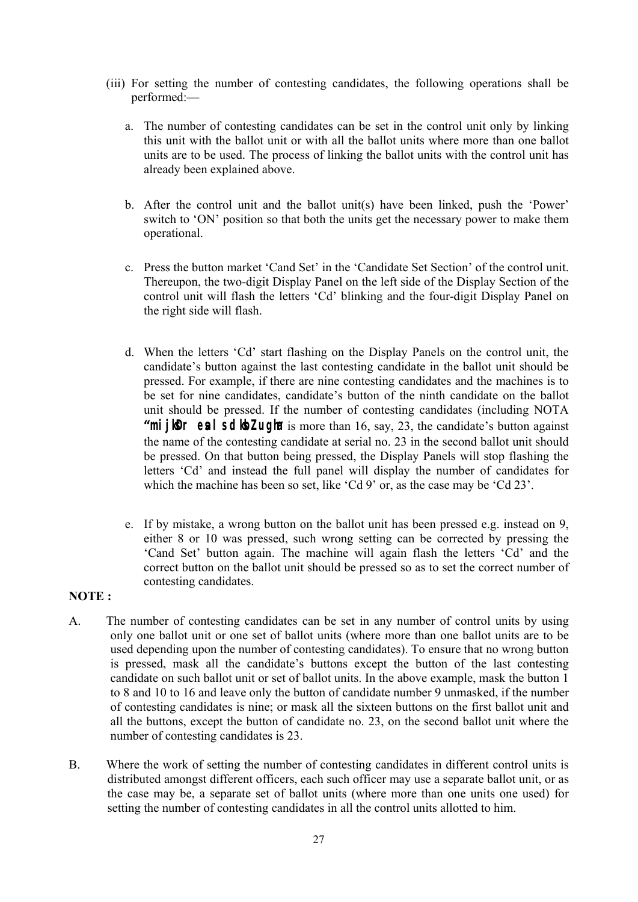- (iii) For setting the number of contesting candidates, the following operations shall be performed:
	- a. The number of contesting candidates can be set in the control unit only by linking this unit with the ballot unit or with all the ballot units where more than one ballot units are to be used. The process of linking the ballot units with the control unit has already been explained above.
	- b. After the control unit and the ballot unit(s) have been linked, push the 'Power' switch to 'ON' position so that both the units get the necessary power to make them operational.
	- c. Press the button market 'Cand Set' in the 'Candidate Set Section' of the control unit. Thereupon, the two-digit Display Panel on the left side of the Display Section of the control unit will flash the letters 'Cd' blinking and the four-digit Display Panel on the right side will flash.
	- d. When the letters 'Cd' start flashing on the Display Panels on the control unit, the candidate's button against the last contesting candidate in the ballot unit should be pressed. For example, if there are nine contesting candidates and the machines is to be set for nine candidates, candidate's button of the ninth candidate on the ballot unit should be pressed. If the number of contesting candidates (including NOTA **"mijker eal sdibz ugha** is more than 16, say, 23, the candidate's button against the name of the contesting candidate at serial no. 23 in the second ballot unit should be pressed. On that button being pressed, the Display Panels will stop flashing the letters 'Cd' and instead the full panel will display the number of candidates for which the machine has been so set, like 'Cd 9' or, as the case may be 'Cd 23'.
	- e. If by mistake, a wrong button on the ballot unit has been pressed e.g. instead on 9, either 8 or 10 was pressed, such wrong setting can be corrected by pressing the 'Cand Set' button again. The machine will again flash the letters 'Cd' and the correct button on the ballot unit should be pressed so as to set the correct number of contesting candidates.

# **NOTE :**

- A. The number of contesting candidates can be set in any number of control units by using only one ballot unit or one set of ballot units (where more than one ballot units are to be used depending upon the number of contesting candidates). To ensure that no wrong button is pressed, mask all the candidate's buttons except the button of the last contesting candidate on such ballot unit or set of ballot units. In the above example, mask the button 1 to 8 and 10 to 16 and leave only the button of candidate number 9 unmasked, if the number of contesting candidates is nine; or mask all the sixteen buttons on the first ballot unit and all the buttons, except the button of candidate no. 23, on the second ballot unit where the number of contesting candidates is 23.
- B. Where the work of setting the number of contesting candidates in different control units is distributed amongst different officers, each such officer may use a separate ballot unit, or as the case may be, a separate set of ballot units (where more than one units one used) for setting the number of contesting candidates in all the control units allotted to him.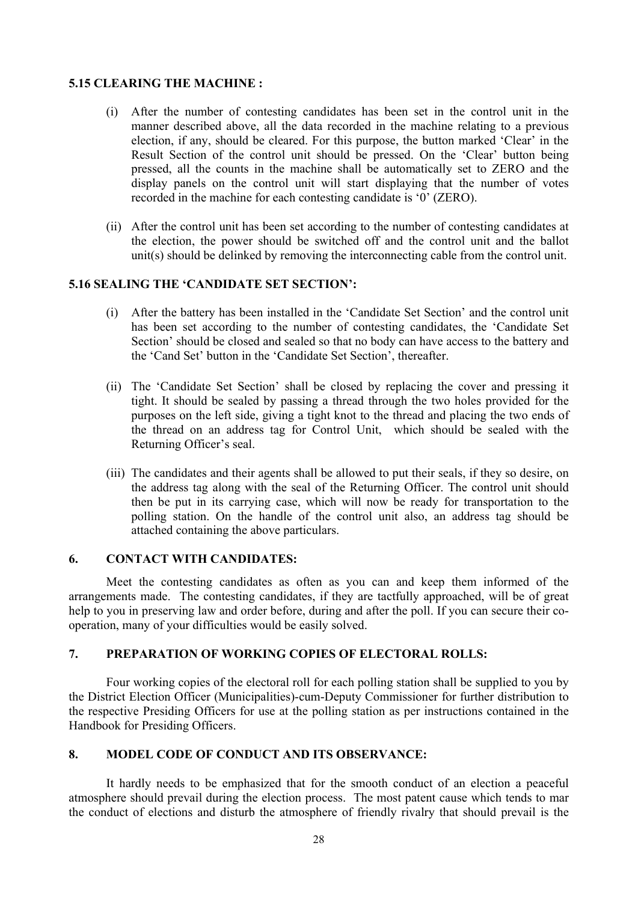# **5.15 CLEARING THE MACHINE :**

- (i) After the number of contesting candidates has been set in the control unit in the manner described above, all the data recorded in the machine relating to a previous election, if any, should be cleared. For this purpose, the button marked 'Clear' in the Result Section of the control unit should be pressed. On the 'Clear' button being pressed, all the counts in the machine shall be automatically set to ZERO and the display panels on the control unit will start displaying that the number of votes recorded in the machine for each contesting candidate is '0' (ZERO).
- (ii) After the control unit has been set according to the number of contesting candidates at the election, the power should be switched off and the control unit and the ballot unit(s) should be delinked by removing the interconnecting cable from the control unit.

# **5.16 SEALING THE 'CANDIDATE SET SECTION':**

- (i) After the battery has been installed in the 'Candidate Set Section' and the control unit has been set according to the number of contesting candidates, the 'Candidate Set Section' should be closed and sealed so that no body can have access to the battery and the 'Cand Set' button in the 'Candidate Set Section', thereafter.
- (ii) The 'Candidate Set Section' shall be closed by replacing the cover and pressing it tight. It should be sealed by passing a thread through the two holes provided for the purposes on the left side, giving a tight knot to the thread and placing the two ends of the thread on an address tag for Control Unit, which should be sealed with the Returning Officer's seal.
- (iii) The candidates and their agents shall be allowed to put their seals, if they so desire, on the address tag along with the seal of the Returning Officer. The control unit should then be put in its carrying case, which will now be ready for transportation to the polling station. On the handle of the control unit also, an address tag should be attached containing the above particulars.

# **6. CONTACT WITH CANDIDATES:**

Meet the contesting candidates as often as you can and keep them informed of the arrangements made. The contesting candidates, if they are tactfully approached, will be of great help to you in preserving law and order before, during and after the poll. If you can secure their cooperation, many of your difficulties would be easily solved.

# **7. PREPARATION OF WORKING COPIES OF ELECTORAL ROLLS:**

 Four working copies of the electoral roll for each polling station shall be supplied to you by the District Election Officer (Municipalities)-cum-Deputy Commissioner for further distribution to the respective Presiding Officers for use at the polling station as per instructions contained in the Handbook for Presiding Officers.

#### **8. MODEL CODE OF CONDUCT AND ITS OBSERVANCE:**

 It hardly needs to be emphasized that for the smooth conduct of an election a peaceful atmosphere should prevail during the election process. The most patent cause which tends to mar the conduct of elections and disturb the atmosphere of friendly rivalry that should prevail is the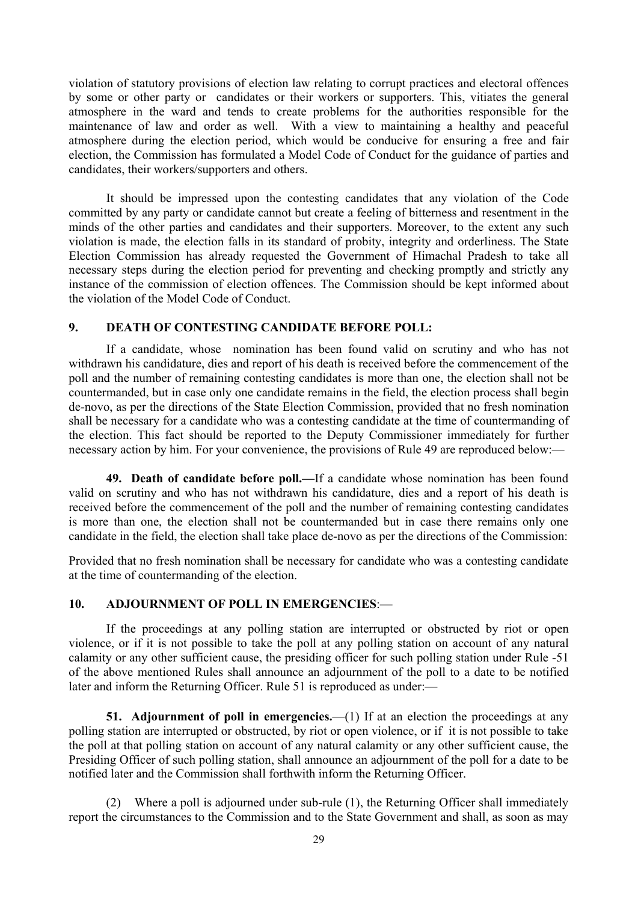violation of statutory provisions of election law relating to corrupt practices and electoral offences by some or other party or candidates or their workers or supporters. This, vitiates the general atmosphere in the ward and tends to create problems for the authorities responsible for the maintenance of law and order as well. With a view to maintaining a healthy and peaceful atmosphere during the election period, which would be conducive for ensuring a free and fair election, the Commission has formulated a Model Code of Conduct for the guidance of parties and candidates, their workers/supporters and others.

 It should be impressed upon the contesting candidates that any violation of the Code committed by any party or candidate cannot but create a feeling of bitterness and resentment in the minds of the other parties and candidates and their supporters. Moreover, to the extent any such violation is made, the election falls in its standard of probity, integrity and orderliness. The State Election Commission has already requested the Government of Himachal Pradesh to take all necessary steps during the election period for preventing and checking promptly and strictly any instance of the commission of election offences. The Commission should be kept informed about the violation of the Model Code of Conduct.

#### **9. DEATH OF CONTESTING CANDIDATE BEFORE POLL:**

 If a candidate, whose nomination has been found valid on scrutiny and who has not withdrawn his candidature, dies and report of his death is received before the commencement of the poll and the number of remaining contesting candidates is more than one, the election shall not be countermanded, but in case only one candidate remains in the field, the election process shall begin de-novo, as per the directions of the State Election Commission, provided that no fresh nomination shall be necessary for a candidate who was a contesting candidate at the time of countermanding of the election. This fact should be reported to the Deputy Commissioner immediately for further necessary action by him. For your convenience, the provisions of Rule 49 are reproduced below:—

**49. Death of candidate before poll.—**If a candidate whose nomination has been found valid on scrutiny and who has not withdrawn his candidature, dies and a report of his death is received before the commencement of the poll and the number of remaining contesting candidates is more than one, the election shall not be countermanded but in case there remains only one candidate in the field, the election shall take place de-novo as per the directions of the Commission:

Provided that no fresh nomination shall be necessary for candidate who was a contesting candidate at the time of countermanding of the election.

# **10. ADJOURNMENT OF POLL IN EMERGENCIES**:—

 If the proceedings at any polling station are interrupted or obstructed by riot or open violence, or if it is not possible to take the poll at any polling station on account of any natural calamity or any other sufficient cause, the presiding officer for such polling station under Rule -51 of the above mentioned Rules shall announce an adjournment of the poll to a date to be notified later and inform the Returning Officer. Rule 51 is reproduced as under:—

**51. Adjournment of poll in emergencies.**—(1) If at an election the proceedings at any polling station are interrupted or obstructed, by riot or open violence, or if it is not possible to take the poll at that polling station on account of any natural calamity or any other sufficient cause, the Presiding Officer of such polling station, shall announce an adjournment of the poll for a date to be notified later and the Commission shall forthwith inform the Returning Officer.

 (2) Where a poll is adjourned under sub-rule (1), the Returning Officer shall immediately report the circumstances to the Commission and to the State Government and shall, as soon as may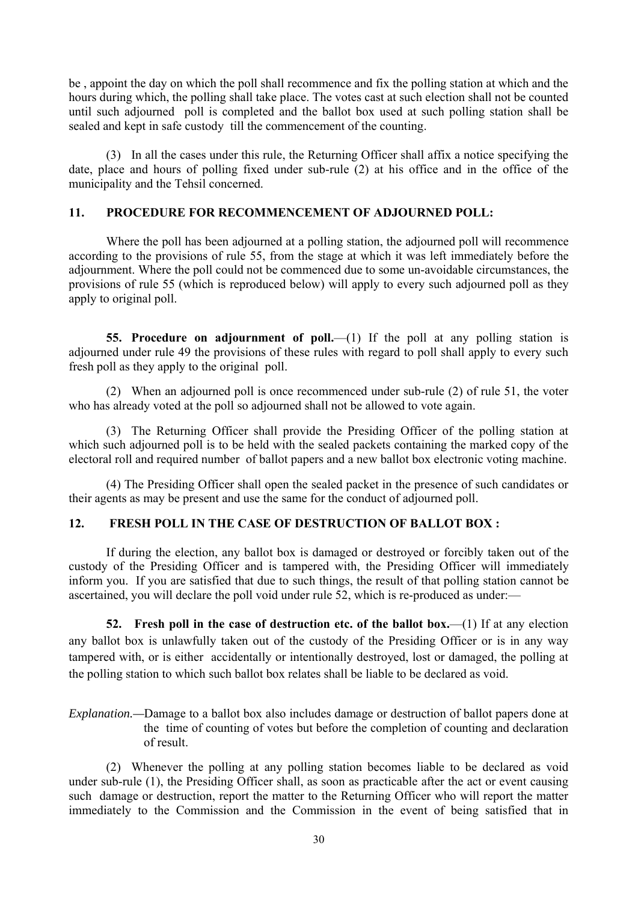be , appoint the day on which the poll shall recommence and fix the polling station at which and the hours during which, the polling shall take place. The votes cast at such election shall not be counted until such adjourned poll is completed and the ballot box used at such polling station shall be sealed and kept in safe custody till the commencement of the counting.

 (3) In all the cases under this rule, the Returning Officer shall affix a notice specifying the date, place and hours of polling fixed under sub-rule (2) at his office and in the office of the municipality and the Tehsil concerned.

# **11. PROCEDURE FOR RECOMMENCEMENT OF ADJOURNED POLL:**

 Where the poll has been adjourned at a polling station, the adjourned poll will recommence according to the provisions of rule 55, from the stage at which it was left immediately before the adjournment. Where the poll could not be commenced due to some un-avoidable circumstances, the provisions of rule 55 (which is reproduced below) will apply to every such adjourned poll as they apply to original poll.

**55. Procedure on adjournment of poll.**—(1) If the poll at any polling station is adjourned under rule 49 the provisions of these rules with regard to poll shall apply to every such fresh poll as they apply to the original poll.

 (2) When an adjourned poll is once recommenced under sub-rule (2) of rule 51, the voter who has already voted at the poll so adjourned shall not be allowed to vote again.

 (3) The Returning Officer shall provide the Presiding Officer of the polling station at which such adjourned poll is to be held with the sealed packets containing the marked copy of the electoral roll and required number of ballot papers and a new ballot box electronic voting machine.

 (4) The Presiding Officer shall open the sealed packet in the presence of such candidates or their agents as may be present and use the same for the conduct of adjourned poll.

# **12. FRESH POLL IN THE CASE OF DESTRUCTION OF BALLOT BOX :**

 If during the election, any ballot box is damaged or destroyed or forcibly taken out of the custody of the Presiding Officer and is tampered with, the Presiding Officer will immediately inform you. If you are satisfied that due to such things, the result of that polling station cannot be ascertained, you will declare the poll void under rule 52, which is re-produced as under:—

**52. Fresh poll in the case of destruction etc. of the ballot box.**—(1) If at any election any ballot box is unlawfully taken out of the custody of the Presiding Officer or is in any way tampered with, or is either accidentally or intentionally destroyed, lost or damaged, the polling at the polling station to which such ballot box relates shall be liable to be declared as void.

*Explanation.—*Damage to a ballot box also includes damage or destruction of ballot papers done at the time of counting of votes but before the completion of counting and declaration of result.

 (2) Whenever the polling at any polling station becomes liable to be declared as void under sub-rule (1), the Presiding Officer shall, as soon as practicable after the act or event causing such damage or destruction, report the matter to the Returning Officer who will report the matter immediately to the Commission and the Commission in the event of being satisfied that in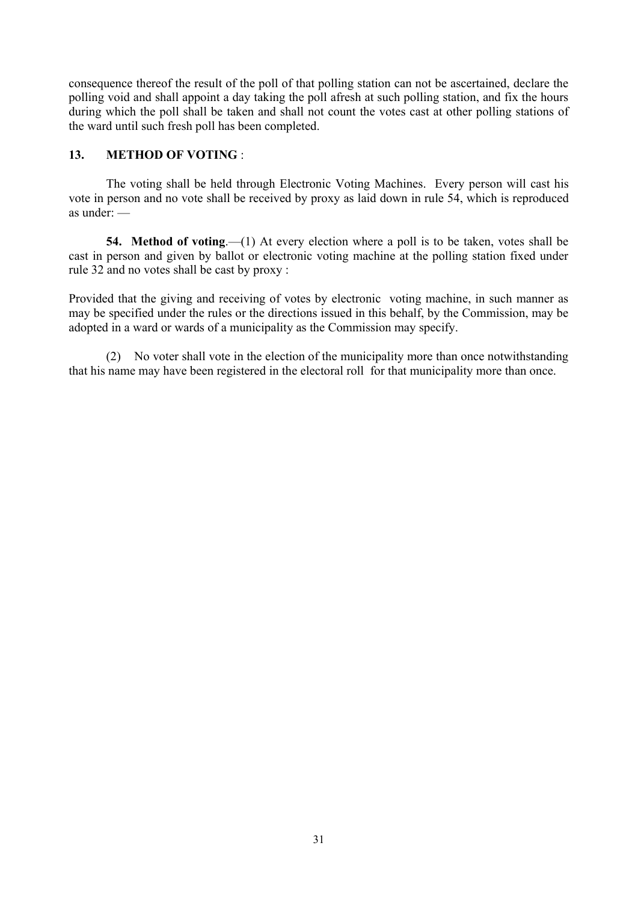consequence thereof the result of the poll of that polling station can not be ascertained, declare the polling void and shall appoint a day taking the poll afresh at such polling station, and fix the hours during which the poll shall be taken and shall not count the votes cast at other polling stations of the ward until such fresh poll has been completed.

# **13. METHOD OF VOTING** :

 The voting shall be held through Electronic Voting Machines. Every person will cast his vote in person and no vote shall be received by proxy as laid down in rule 54, which is reproduced as under: —

**54. Method of voting**.—(1) At every election where a poll is to be taken, votes shall be cast in person and given by ballot or electronic voting machine at the polling station fixed under rule 32 and no votes shall be cast by proxy :

Provided that the giving and receiving of votes by electronic voting machine, in such manner as may be specified under the rules or the directions issued in this behalf, by the Commission, may be adopted in a ward or wards of a municipality as the Commission may specify.

 (2) No voter shall vote in the election of the municipality more than once notwithstanding that his name may have been registered in the electoral roll for that municipality more than once.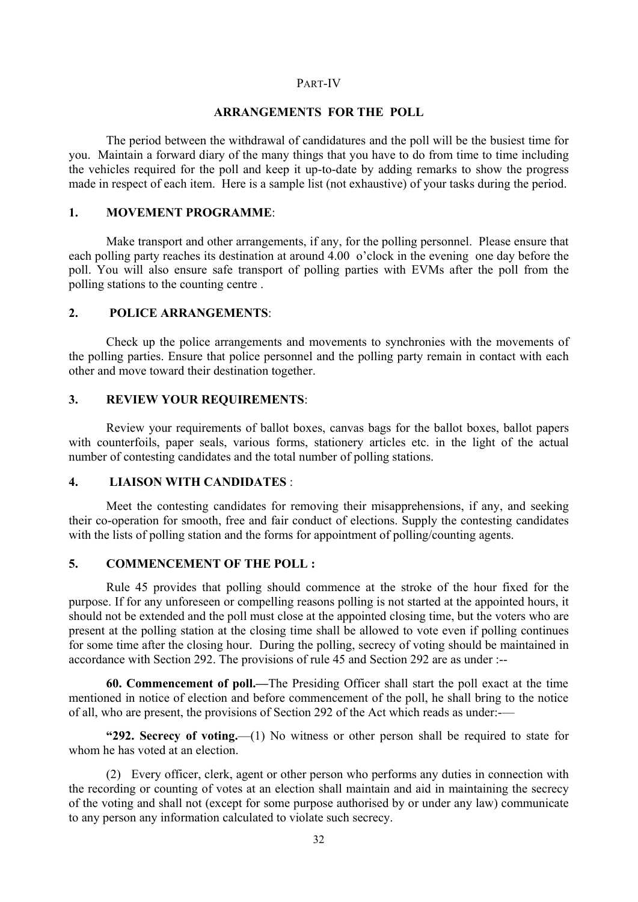#### PART-IV

## **ARRANGEMENTS FOR THE POLL**

 The period between the withdrawal of candidatures and the poll will be the busiest time for you. Maintain a forward diary of the many things that you have to do from time to time including the vehicles required for the poll and keep it up-to-date by adding remarks to show the progress made in respect of each item. Here is a sample list (not exhaustive) of your tasks during the period.

#### **1. MOVEMENT PROGRAMME**:

 Make transport and other arrangements, if any, for the polling personnel. Please ensure that each polling party reaches its destination at around 4.00 o'clock in the evening one day before the poll. You will also ensure safe transport of polling parties with EVMs after the poll from the polling stations to the counting centre .

# **2. POLICE ARRANGEMENTS**:

 Check up the police arrangements and movements to synchronies with the movements of the polling parties. Ensure that police personnel and the polling party remain in contact with each other and move toward their destination together.

#### **3. REVIEW YOUR REQUIREMENTS**:

 Review your requirements of ballot boxes, canvas bags for the ballot boxes, ballot papers with counterfoils, paper seals, various forms, stationery articles etc. in the light of the actual number of contesting candidates and the total number of polling stations.

# **4. LIAISON WITH CANDIDATES** :

 Meet the contesting candidates for removing their misapprehensions, if any, and seeking their co-operation for smooth, free and fair conduct of elections. Supply the contesting candidates with the lists of polling station and the forms for appointment of polling/counting agents.

# **5. COMMENCEMENT OF THE POLL :**

 Rule 45 provides that polling should commence at the stroke of the hour fixed for the purpose. If for any unforeseen or compelling reasons polling is not started at the appointed hours, it should not be extended and the poll must close at the appointed closing time, but the voters who are present at the polling station at the closing time shall be allowed to vote even if polling continues for some time after the closing hour. During the polling, secrecy of voting should be maintained in accordance with Section 292. The provisions of rule 45 and Section 292 are as under :--

**60. Commencement of poll.—**The Presiding Officer shall start the poll exact at the time mentioned in notice of election and before commencement of the poll, he shall bring to the notice of all, who are present, the provisions of Section 292 of the Act which reads as under:-—

**"292. Secrecy of voting.**—(1) No witness or other person shall be required to state for whom he has voted at an election.

 (2) Every officer, clerk, agent or other person who performs any duties in connection with the recording or counting of votes at an election shall maintain and aid in maintaining the secrecy of the voting and shall not (except for some purpose authorised by or under any law) communicate to any person any information calculated to violate such secrecy.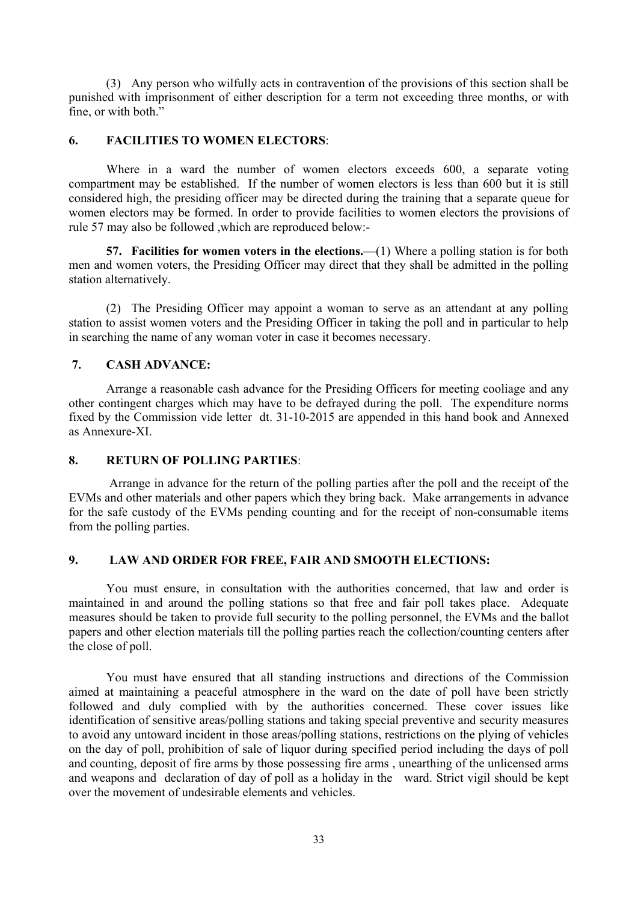(3) Any person who wilfully acts in contravention of the provisions of this section shall be punished with imprisonment of either description for a term not exceeding three months, or with fine, or with both."

# **6. FACILITIES TO WOMEN ELECTORS**:

 Where in a ward the number of women electors exceeds 600, a separate voting compartment may be established. If the number of women electors is less than 600 but it is still considered high, the presiding officer may be directed during the training that a separate queue for women electors may be formed. In order to provide facilities to women electors the provisions of rule 57 may also be followed ,which are reproduced below:-

**57. Facilities for women voters in the elections.**—(1) Where a polling station is for both men and women voters, the Presiding Officer may direct that they shall be admitted in the polling station alternatively.

 (2) The Presiding Officer may appoint a woman to serve as an attendant at any polling station to assist women voters and the Presiding Officer in taking the poll and in particular to help in searching the name of any woman voter in case it becomes necessary.

# **7. CASH ADVANCE:**

 Arrange a reasonable cash advance for the Presiding Officers for meeting cooliage and any other contingent charges which may have to be defrayed during the poll. The expenditure norms fixed by the Commission vide letter dt. 31-10-2015 are appended in this hand book and Annexed as Annexure-XI.

# **8. RETURN OF POLLING PARTIES**:

 Arrange in advance for the return of the polling parties after the poll and the receipt of the EVMs and other materials and other papers which they bring back. Make arrangements in advance for the safe custody of the EVMs pending counting and for the receipt of non-consumable items from the polling parties.

# **9. LAW AND ORDER FOR FREE, FAIR AND SMOOTH ELECTIONS:**

You must ensure, in consultation with the authorities concerned, that law and order is maintained in and around the polling stations so that free and fair poll takes place. Adequate measures should be taken to provide full security to the polling personnel, the EVMs and the ballot papers and other election materials till the polling parties reach the collection/counting centers after the close of poll.

 You must have ensured that all standing instructions and directions of the Commission aimed at maintaining a peaceful atmosphere in the ward on the date of poll have been strictly followed and duly complied with by the authorities concerned. These cover issues like identification of sensitive areas/polling stations and taking special preventive and security measures to avoid any untoward incident in those areas/polling stations, restrictions on the plying of vehicles on the day of poll, prohibition of sale of liquor during specified period including the days of poll and counting, deposit of fire arms by those possessing fire arms , unearthing of the unlicensed arms and weapons and declaration of day of poll as a holiday in the ward. Strict vigil should be kept over the movement of undesirable elements and vehicles.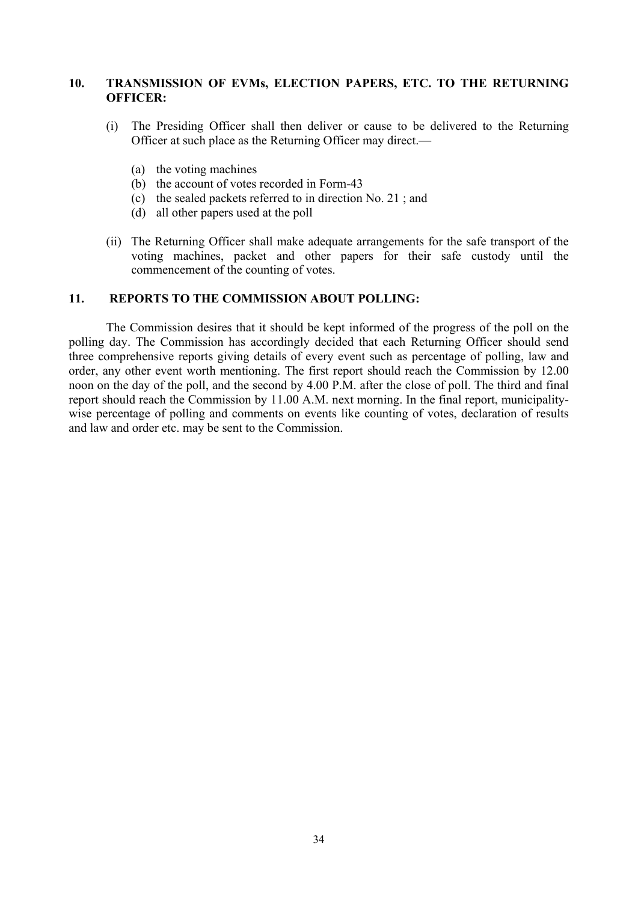# **10. TRANSMISSION OF EVMs, ELECTION PAPERS, ETC. TO THE RETURNING OFFICER:**

- (i) The Presiding Officer shall then deliver or cause to be delivered to the Returning Officer at such place as the Returning Officer may direct.—
	- (a) the voting machines
	- (b) the account of votes recorded in Form-43
	- (c) the sealed packets referred to in direction No. 21 ; and
	- (d) all other papers used at the poll
- (ii) The Returning Officer shall make adequate arrangements for the safe transport of the voting machines, packet and other papers for their safe custody until the commencement of the counting of votes.

### **11. REPORTS TO THE COMMISSION ABOUT POLLING:**

 The Commission desires that it should be kept informed of the progress of the poll on the polling day. The Commission has accordingly decided that each Returning Officer should send three comprehensive reports giving details of every event such as percentage of polling, law and order, any other event worth mentioning. The first report should reach the Commission by 12.00 noon on the day of the poll, and the second by 4.00 P.M. after the close of poll. The third and final report should reach the Commission by 11.00 A.M. next morning. In the final report, municipalitywise percentage of polling and comments on events like counting of votes, declaration of results and law and order etc. may be sent to the Commission.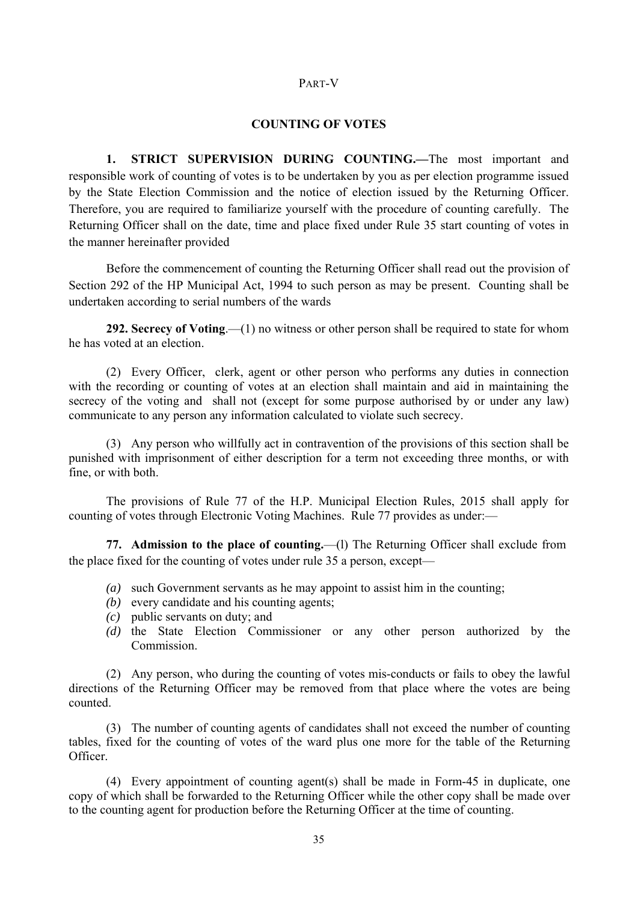# PART-V

#### **COUNTING OF VOTES**

 **1. STRICT SUPERVISION DURING COUNTING.—**The most important and responsible work of counting of votes is to be undertaken by you as per election programme issued by the State Election Commission and the notice of election issued by the Returning Officer. Therefore, you are required to familiarize yourself with the procedure of counting carefully. The Returning Officer shall on the date, time and place fixed under Rule 35 start counting of votes in the manner hereinafter provided

 Before the commencement of counting the Returning Officer shall read out the provision of Section 292 of the HP Municipal Act, 1994 to such person as may be present. Counting shall be undertaken according to serial numbers of the wards

**292. Secrecy of Voting**.—(1) no witness or other person shall be required to state for whom he has voted at an election.

 (2) Every Officer, clerk, agent or other person who performs any duties in connection with the recording or counting of votes at an election shall maintain and aid in maintaining the secrecy of the voting and shall not (except for some purpose authorised by or under any law) communicate to any person any information calculated to violate such secrecy.

 (3) Any person who willfully act in contravention of the provisions of this section shall be punished with imprisonment of either description for a term not exceeding three months, or with fine, or with both.

 The provisions of Rule 77 of the H.P. Municipal Election Rules, 2015 shall apply for counting of votes through Electronic Voting Machines. Rule 77 provides as under:—

 **77. Admission to the place of counting.**—(l) The Returning Officer shall exclude from the place fixed for the counting of votes under rule 35 a person, except—

- *(a)* such Government servants as he may appoint to assist him in the counting;
- *(b)* every candidate and his counting agents;
- *(c)* public servants on duty; and
- *(d)* the State Election Commissioner or any other person authorized by the Commission.

 (2) Any person, who during the counting of votes mis-conducts or fails to obey the lawful directions of the Returning Officer may be removed from that place where the votes are being counted.

 (3) The number of counting agents of candidates shall not exceed the number of counting tables, fixed for the counting of votes of the ward plus one more for the table of the Returning Officer.

 (4) Every appointment of counting agent(s) shall be made in Form-45 in duplicate, one copy of which shall be forwarded to the Returning Officer while the other copy shall be made over to the counting agent for production before the Returning Officer at the time of counting.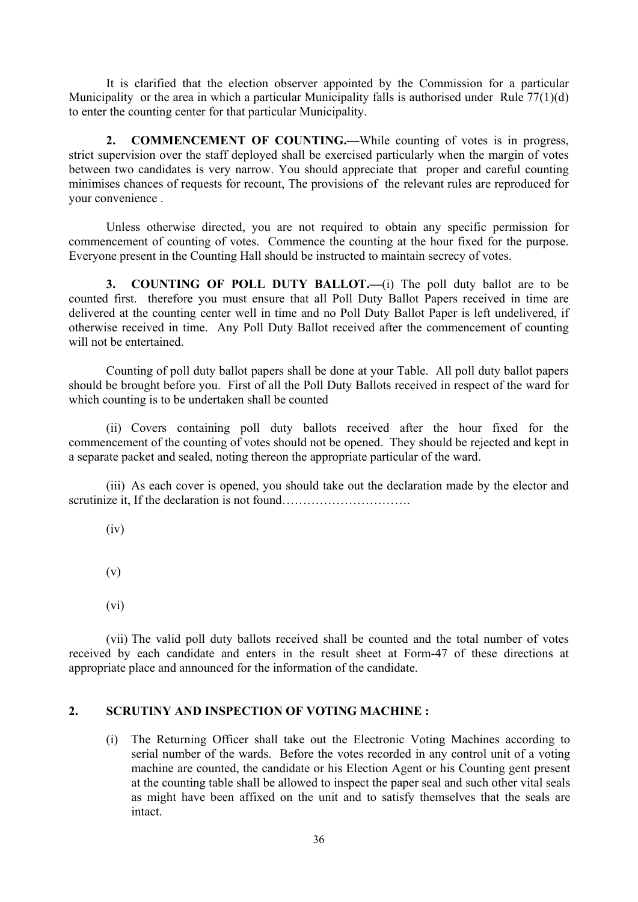It is clarified that the election observer appointed by the Commission for a particular Municipality or the area in which a particular Municipality falls is authorised under Rule 77(1)(d) to enter the counting center for that particular Municipality.

 **2. COMMENCEMENT OF COUNTING.—**While counting of votes is in progress, strict supervision over the staff deployed shall be exercised particularly when the margin of votes between two candidates is very narrow. You should appreciate that proper and careful counting minimises chances of requests for recount, The provisions of the relevant rules are reproduced for your convenience .

 Unless otherwise directed, you are not required to obtain any specific permission for commencement of counting of votes. Commence the counting at the hour fixed for the purpose. Everyone present in the Counting Hall should be instructed to maintain secrecy of votes.

 **3. COUNTING OF POLL DUTY BALLOT.—**(i) The poll duty ballot are to be counted first. therefore you must ensure that all Poll Duty Ballot Papers received in time are delivered at the counting center well in time and no Poll Duty Ballot Paper is left undelivered, if otherwise received in time. Any Poll Duty Ballot received after the commencement of counting will not be entertained.

Counting of poll duty ballot papers shall be done at your Table. All poll duty ballot papers should be brought before you. First of all the Poll Duty Ballots received in respect of the ward for which counting is to be undertaken shall be counted

 (ii) Covers containing poll duty ballots received after the hour fixed for the commencement of the counting of votes should not be opened. They should be rejected and kept in a separate packet and sealed, noting thereon the appropriate particular of the ward.

 (iii) As each cover is opened, you should take out the declaration made by the elector and scrutinize it, If the declaration is not found………………………….

(iv)

(v)

(vi)

 (vii) The valid poll duty ballots received shall be counted and the total number of votes received by each candidate and enters in the result sheet at Form-47 of these directions at appropriate place and announced for the information of the candidate.

# **2. SCRUTINY AND INSPECTION OF VOTING MACHINE :**

 (i) The Returning Officer shall take out the Electronic Voting Machines according to serial number of the wards. Before the votes recorded in any control unit of a voting machine are counted, the candidate or his Election Agent or his Counting gent present at the counting table shall be allowed to inspect the paper seal and such other vital seals as might have been affixed on the unit and to satisfy themselves that the seals are intact.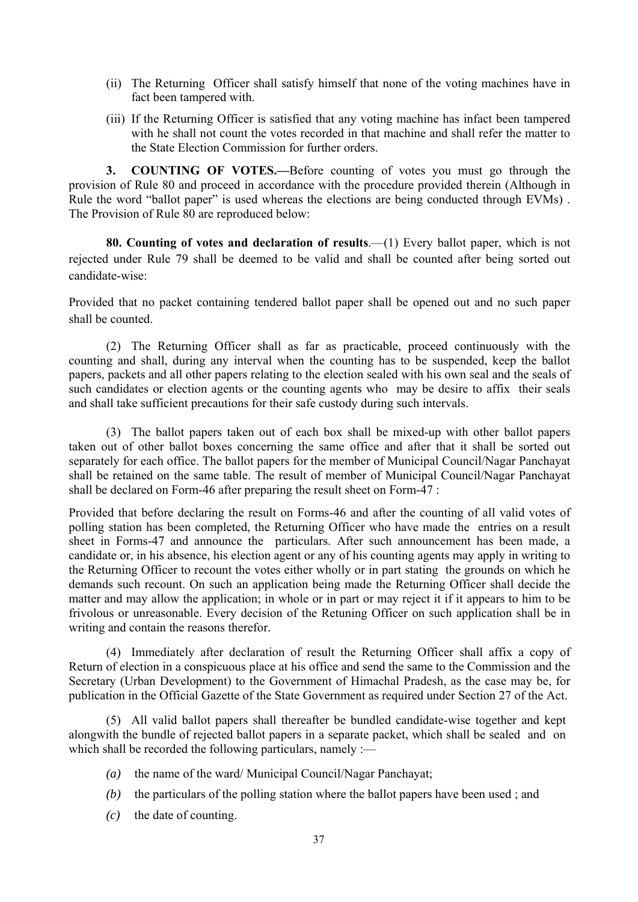- (ii) The Returning Officer shall satisfy himself that none of the voting machines have in fact been tampered with.
- (iii) If the Returning Officer is satisfied that any voting machine has infact been tampered with he shall not count the votes recorded in that machine and shall refer the matter to the State Election Commission for further orders.

 **3. COUNTING OF VOTES.—**Before counting of votes you must go through the provision of Rule 80 and proceed in accordance with the procedure provided therein (Although in Rule the word "ballot paper" is used whereas the elections are being conducted through EVMs). The Provision of Rule 80 are reproduced below:

**80. Counting of votes and declaration of results**.—(1) Every ballot paper, which is not rejected under Rule 79 shall be deemed to be valid and shall be counted after being sorted out candidate-wise:

Provided that no packet containing tendered ballot paper shall be opened out and no such paper shall be counted.

 (2) The Returning Officer shall as far as practicable, proceed continuously with the counting and shall, during any interval when the counting has to be suspended, keep the ballot papers, packets and all other papers relating to the election sealed with his own seal and the seals of such candidates or election agents or the counting agents who may be desire to affix their seals and shall take sufficient precautions for their safe custody during such intervals.

 (3) The ballot papers taken out of each box shall be mixed-up with other ballot papers taken out of other ballot boxes concerning the same office and after that it shall be sorted out separately for each office. The ballot papers for the member of Municipal Council/Nagar Panchayat shall be retained on the same table. The result of member of Municipal Council/Nagar Panchayat shall be declared on Form-46 after preparing the result sheet on Form-47 :

Provided that before declaring the result on Forms-46 and after the counting of all valid votes of polling station has been completed, the Returning Officer who have made the entries on a result sheet in Forms-47 and announce the particulars. After such announcement has been made, a candidate or, in his absence, his election agent or any of his counting agents may apply in writing to the Returning Officer to recount the votes either wholly or in part stating the grounds on which he demands such recount. On such an application being made the Returning Officer shall decide the matter and may allow the application; in whole or in part or may reject it if it appears to him to be frivolous or unreasonable. Every decision of the Retuning Officer on such application shall be in writing and contain the reasons therefor.

 (4) Immediately after declaration of result the Returning Officer shall affix a copy of Return of election in a conspicuous place at his office and send the same to the Commission and the Secretary (Urban Development) to the Government of Himachal Pradesh, as the case may be, for publication in the Official Gazette of the State Government as required under Section 27 of the Act.

 (5) All valid ballot papers shall thereafter be bundled candidate-wise together and kept alongwith the bundle of rejected ballot papers in a separate packet, which shall be sealed and on which shall be recorded the following particulars, namely :-

- *(a)* the name of the ward/ Municipal Council/Nagar Panchayat;
- *(b)* the particulars of the polling station where the ballot papers have been used ; and
- *(c)* the date of counting.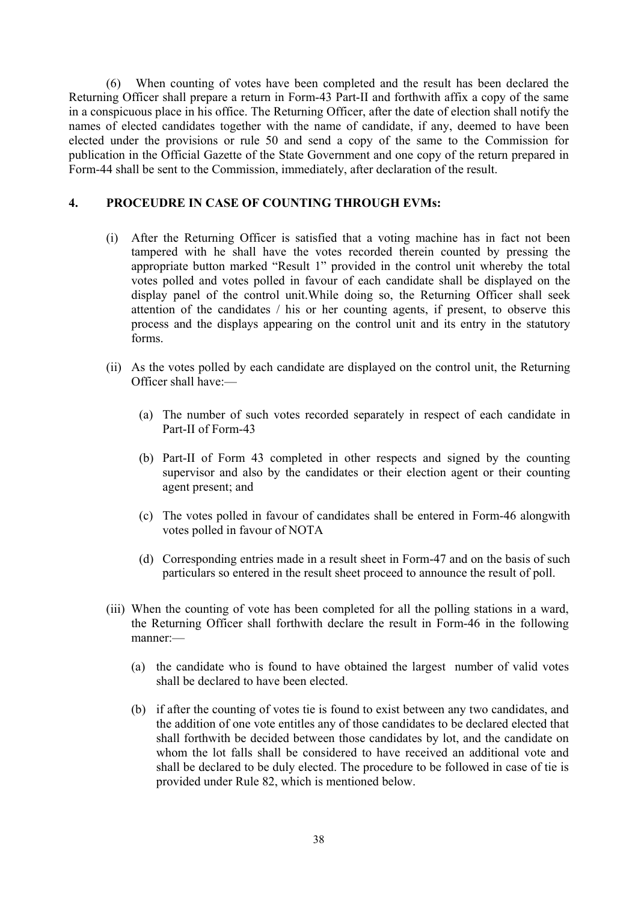(6) When counting of votes have been completed and the result has been declared the Returning Officer shall prepare a return in Form-43 Part-II and forthwith affix a copy of the same in a conspicuous place in his office. The Returning Officer, after the date of election shall notify the names of elected candidates together with the name of candidate, if any, deemed to have been elected under the provisions or rule 50 and send a copy of the same to the Commission for publication in the Official Gazette of the State Government and one copy of the return prepared in Form-44 shall be sent to the Commission, immediately, after declaration of the result.

# **4. PROCEUDRE IN CASE OF COUNTING THROUGH EVMs:**

- (i) After the Returning Officer is satisfied that a voting machine has in fact not been tampered with he shall have the votes recorded therein counted by pressing the appropriate button marked "Result 1" provided in the control unit whereby the total votes polled and votes polled in favour of each candidate shall be displayed on the display panel of the control unit.While doing so, the Returning Officer shall seek attention of the candidates / his or her counting agents, if present, to observe this process and the displays appearing on the control unit and its entry in the statutory forms.
- (ii) As the votes polled by each candidate are displayed on the control unit, the Returning Officer shall have:—
	- (a) The number of such votes recorded separately in respect of each candidate in Part-II of Form-43
	- (b) Part-II of Form 43 completed in other respects and signed by the counting supervisor and also by the candidates or their election agent or their counting agent present; and
	- (c) The votes polled in favour of candidates shall be entered in Form-46 alongwith votes polled in favour of NOTA
	- (d) Corresponding entries made in a result sheet in Form-47 and on the basis of such particulars so entered in the result sheet proceed to announce the result of poll.
- (iii) When the counting of vote has been completed for all the polling stations in a ward, the Returning Officer shall forthwith declare the result in Form-46 in the following manner:—
	- (a) the candidate who is found to have obtained the largest number of valid votes shall be declared to have been elected.
	- (b) if after the counting of votes tie is found to exist between any two candidates, and the addition of one vote entitles any of those candidates to be declared elected that shall forthwith be decided between those candidates by lot, and the candidate on whom the lot falls shall be considered to have received an additional vote and shall be declared to be duly elected. The procedure to be followed in case of tie is provided under Rule 82, which is mentioned below.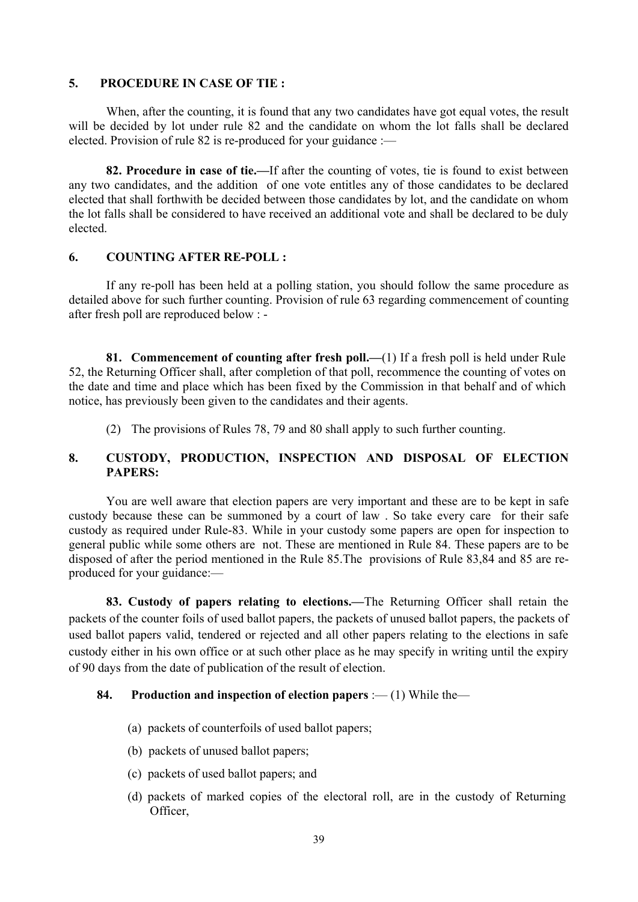### **5. PROCEDURE IN CASE OF TIE :**

 When, after the counting, it is found that any two candidates have got equal votes, the result will be decided by lot under rule 82 and the candidate on whom the lot falls shall be declared elected. Provision of rule 82 is re-produced for your guidance :—

**82. Procedure in case of tie.—**If after the counting of votes, tie is found to exist between any two candidates, and the addition of one vote entitles any of those candidates to be declared elected that shall forthwith be decided between those candidates by lot, and the candidate on whom the lot falls shall be considered to have received an additional vote and shall be declared to be duly elected.

#### **6. COUNTING AFTER RE-POLL :**

 If any re-poll has been held at a polling station, you should follow the same procedure as detailed above for such further counting. Provision of rule 63 regarding commencement of counting after fresh poll are reproduced below : -

**81. Commencement of counting after fresh poll.—**(1) If a fresh poll is held under Rule 52, the Returning Officer shall, after completion of that poll, recommence the counting of votes on the date and time and place which has been fixed by the Commission in that behalf and of which notice, has previously been given to the candidates and their agents.

(2) The provisions of Rules 78, 79 and 80 shall apply to such further counting.

# **8. CUSTODY, PRODUCTION, INSPECTION AND DISPOSAL OF ELECTION PAPERS:**

 You are well aware that election papers are very important and these are to be kept in safe custody because these can be summoned by a court of law . So take every care for their safe custody as required under Rule-83. While in your custody some papers are open for inspection to general public while some others are not. These are mentioned in Rule 84. These papers are to be disposed of after the period mentioned in the Rule 85.The provisions of Rule 83,84 and 85 are reproduced for your guidance:—

**83. Custody of papers relating to elections.—**The Returning Officer shall retain the packets of the counter foils of used ballot papers, the packets of unused ballot papers, the packets of used ballot papers valid, tendered or rejected and all other papers relating to the elections in safe custody either in his own office or at such other place as he may specify in writing until the expiry of 90 days from the date of publication of the result of election.

# **84. Production and inspection of election papers** :— (1) While the—

- (a) packets of counterfoils of used ballot papers;
- (b) packets of unused ballot papers;
- (c) packets of used ballot papers; and
- (d) packets of marked copies of the electoral roll, are in the custody of Returning Officer,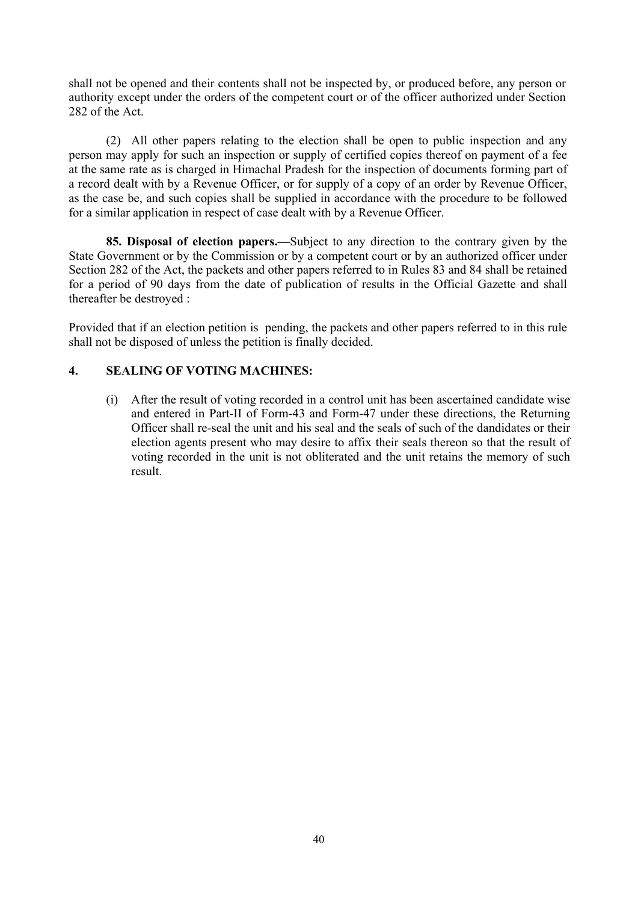shall not be opened and their contents shall not be inspected by, or produced before, any person or authority except under the orders of the competent court or of the officer authorized under Section 282 of the Act.

 (2) All other papers relating to the election shall be open to public inspection and any person may apply for such an inspection or supply of certified copies thereof on payment of a fee at the same rate as is charged in Himachal Pradesh for the inspection of documents forming part of a record dealt with by a Revenue Officer, or for supply of a copy of an order by Revenue Officer, as the case be, and such copies shall be supplied in accordance with the procedure to be followed for a similar application in respect of case dealt with by a Revenue Officer.

**85. Disposal of election papers.—**Subject to any direction to the contrary given by the State Government or by the Commission or by a competent court or by an authorized officer under Section 282 of the Act, the packets and other papers referred to in Rules 83 and 84 shall be retained for a period of 90 days from the date of publication of results in the Official Gazette and shall thereafter be destroyed :

Provided that if an election petition is pending, the packets and other papers referred to in this rule shall not be disposed of unless the petition is finally decided.

# **4. SEALING OF VOTING MACHINES:**

 (i) After the result of voting recorded in a control unit has been ascertained candidate wise and entered in Part-II of Form-43 and Form-47 under these directions, the Returning Officer shall re-seal the unit and his seal and the seals of such of the dandidates or their election agents present who may desire to affix their seals thereon so that the result of voting recorded in the unit is not obliterated and the unit retains the memory of such result.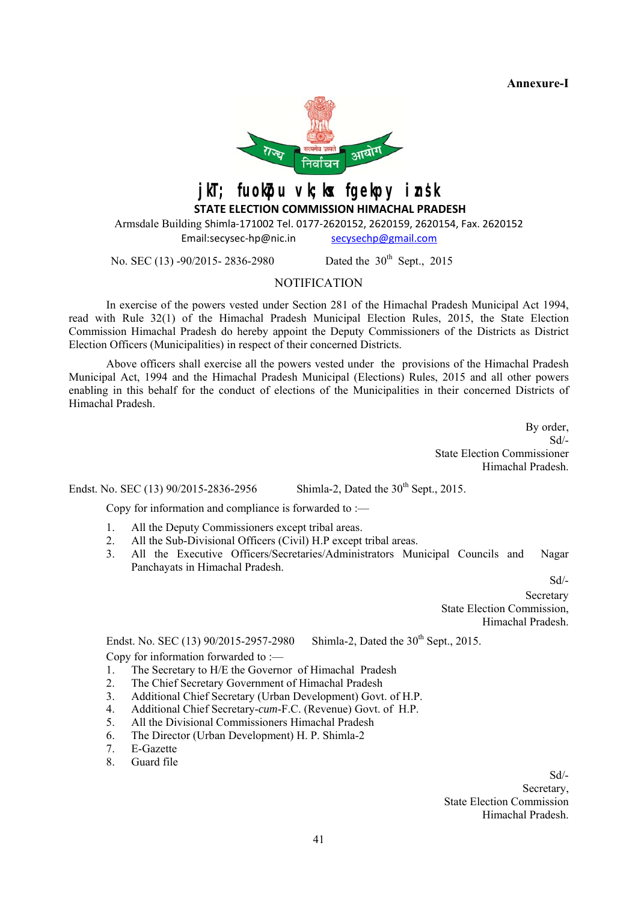**Annexure-I** 



jkT; fuokpu vk;kx fgekpy insk

 **STATE ELECTION COMMISSION HIMACHAL PRADESH**

Armsdale Building Shimla-171002 Tel. 0177-2620152, 2620159, 2620154, Fax. 2620152 Email:secysec-hp@nic.in secysechp@gmail.com

No. SEC (13) -90/2015- 2836-2980 Dated the 30<sup>th</sup> Sept., 2015

**NOTIFICATION** 

In exercise of the powers vested under Section 281 of the Himachal Pradesh Municipal Act 1994, read with Rule 32(1) of the Himachal Pradesh Municipal Election Rules, 2015, the State Election Commission Himachal Pradesh do hereby appoint the Deputy Commissioners of the Districts as District Election Officers (Municipalities) in respect of their concerned Districts.

 Above officers shall exercise all the powers vested under the provisions of the Himachal Pradesh Municipal Act, 1994 and the Himachal Pradesh Municipal (Elections) Rules, 2015 and all other powers enabling in this behalf for the conduct of elections of the Municipalities in their concerned Districts of Himachal Pradesh.

> By order, Sd/- State Election Commissioner Himachal Pradesh.

Endst. No. SEC (13)  $90/2015 - 2836 - 2956$  Shimla-2, Dated the  $30<sup>th</sup>$  Sept., 2015.

Copy for information and compliance is forwarded to :—

- 1. All the Deputy Commissioners except tribal areas.
- 2. All the Sub-Divisional Officers (Civil) H.P except tribal areas.
- 3. All the Executive Officers/Secretaries/Administrators Municipal Councils and Nagar Panchayats in Himachal Pradesh.

Sd/-

Secretary State Election Commission, Himachal Pradesh.

Endst. No. SEC (13)  $90/2015-2957-2980$  Shimla-2, Dated the  $30<sup>th</sup>$  Sept., 2015. Copy for information forwarded to :—

- 1. The Secretary to H/E the Governor of Himachal Pradesh
- 2. The Chief Secretary Government of Himachal Pradesh
- 3. Additional Chief Secretary (Urban Development) Govt. of H.P.
- 4. Additional Chief Secretary-*cum*-F.C. (Revenue) Govt. of H.P.
- 5. All the Divisional Commissioners Himachal Pradesh
- 6. The Director (Urban Development) H. P. Shimla-2
- 7. E-Gazette
- 8. Guard file

 Sd/- Secretary, State Election Commission Himachal Pradesh.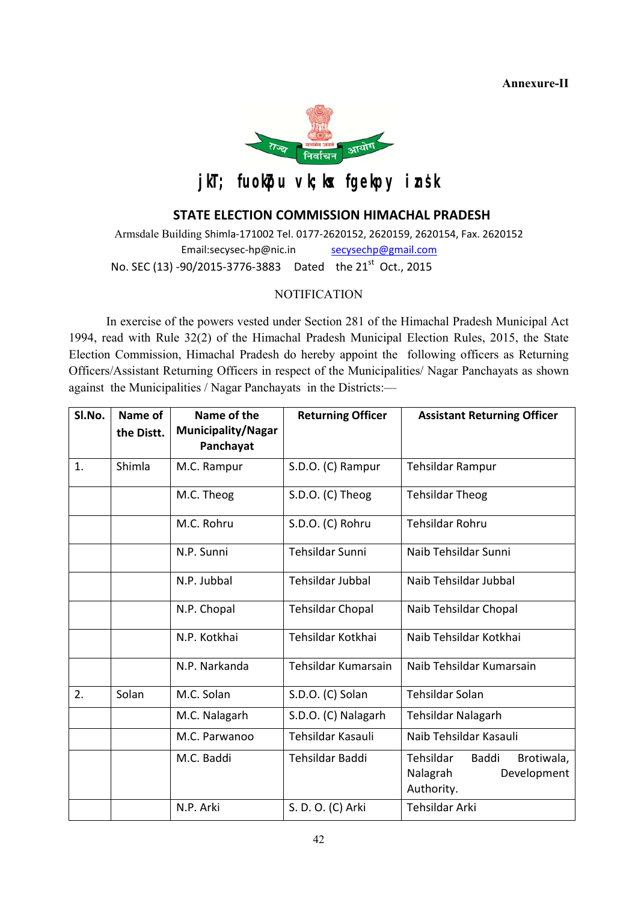**Annexure-II**



# jkT; fuokpu vk; kx fgekpy insk

# **STATE ELECTION COMMISSION HIMACHAL PRADESH**

Armsdale Building Shimla-171002 Tel. 0177-2620152, 2620159, 2620154, Fax. 2620152 Email:secysec-hp@nic.in secysechp@gmail.com No. SEC (13) -90/2015-3776-3883 Dated the 21<sup>st</sup> Oct., 2015

# **NOTIFICATION**

In exercise of the powers vested under Section 281 of the Himachal Pradesh Municipal Act 1994, read with Rule 32(2) of the Himachal Pradesh Municipal Election Rules, 2015, the State Election Commission, Himachal Pradesh do hereby appoint the following officers as Returning Officers/Assistant Returning Officers in respect of the Municipalities/ Nagar Panchayats as shown against the Municipalities / Nagar Panchayats in the Districts:—

| Sl.No. | Name of    | Name of the                            | <b>Returning Officer</b> | <b>Assistant Returning Officer</b>                                        |  |
|--------|------------|----------------------------------------|--------------------------|---------------------------------------------------------------------------|--|
|        | the Distt. | <b>Municipality/Nagar</b><br>Panchayat |                          |                                                                           |  |
| 1.     | Shimla     | M.C. Rampur                            | S.D.O. (C) Rampur        | <b>Tehsildar Rampur</b>                                                   |  |
|        |            | M.C. Theog                             | S.D.O. (C) Theog         | <b>Tehsildar Theog</b>                                                    |  |
|        |            | M.C. Rohru                             | S.D.O. (C) Rohru         | Tehsildar Rohru                                                           |  |
|        |            | N.P. Sunni                             | Tehsildar Sunni          | Naib Tehsildar Sunni                                                      |  |
|        |            | N.P. Jubbal                            | <b>Tehsildar Jubbal</b>  | Naib Tehsildar Jubbal<br>Naib Tehsildar Chopal                            |  |
|        |            | N.P. Chopal                            | <b>Tehsildar Chopal</b>  |                                                                           |  |
|        |            | N.P. Kotkhai                           | Tehsildar Kotkhai        | Naib Tehsildar Kotkhai                                                    |  |
|        |            | N.P. Narkanda                          | Tehsildar Kumarsain      | Naib Tehsildar Kumarsain                                                  |  |
| 2.     | Solan      | M.C. Solan                             | S.D.O. (C) Solan         | <b>Tehsildar Solan</b>                                                    |  |
|        |            | M.C. Nalagarh                          | S.D.O. (C) Nalagarh      | <b>Tehsildar Nalagarh</b>                                                 |  |
|        |            | M.C. Parwanoo                          | Tehsildar Kasauli        | Naib Tehsildar Kasauli                                                    |  |
|        |            | M.C. Baddi                             | Tehsildar Baddi          | Tehsildar<br>Baddi<br>Brotiwala,<br>Nalagrah<br>Development<br>Authority. |  |
|        |            | N.P. Arki                              | S. D. O. (C) Arki        | <b>Tehsildar Arki</b>                                                     |  |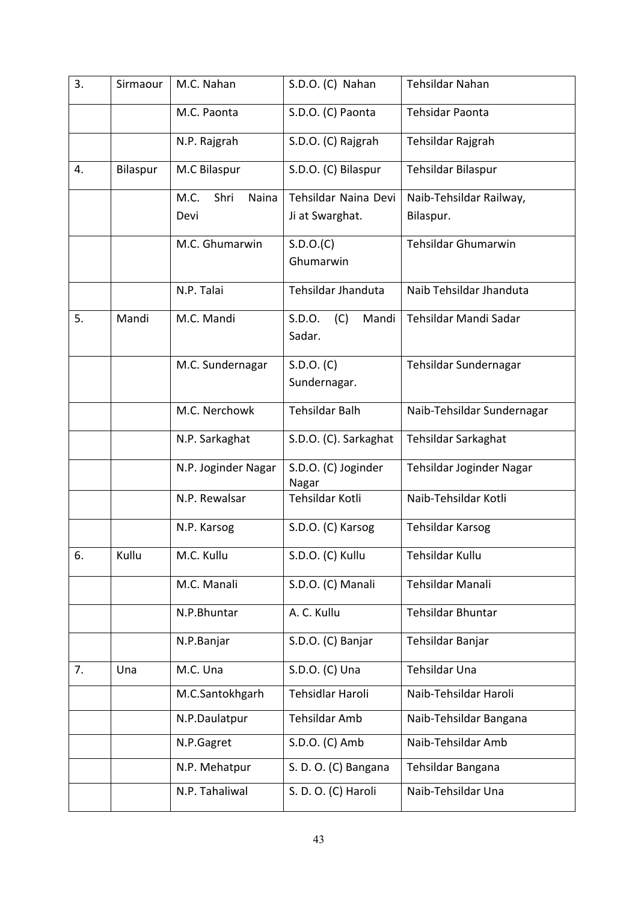| 3. | Sirmaour | M.C. Nahan                    | S.D.O. (C) Nahan                        | Tehsildar Nahan                      |
|----|----------|-------------------------------|-----------------------------------------|--------------------------------------|
|    |          | M.C. Paonta                   | S.D.O. (C) Paonta                       | Tehsidar Paonta                      |
|    |          | N.P. Rajgrah                  | S.D.O. (C) Rajgrah                      | Tehsildar Rajgrah                    |
| 4. | Bilaspur | M.C Bilaspur                  | S.D.O. (C) Bilaspur                     | Tehsildar Bilaspur                   |
|    |          | Shri<br>Naina<br>M.C.<br>Devi | Tehsildar Naina Devi<br>Ji at Swarghat. | Naib-Tehsildar Railway,<br>Bilaspur. |
|    |          | M.C. Ghumarwin                | S.D.O.(C)<br>Ghumarwin                  | Tehsildar Ghumarwin                  |
|    |          | N.P. Talai                    | Tehsildar Jhanduta                      | Naib Tehsildar Jhanduta              |
| 5. | Mandi    | M.C. Mandi                    | S.D.O.<br>(C)<br>Mandi<br>Sadar.        | Tehsildar Mandi Sadar                |
|    |          | M.C. Sundernagar              | S.D.O. (C)<br>Sundernagar.              | Tehsildar Sundernagar                |
|    |          | M.C. Nerchowk                 | <b>Tehsildar Balh</b>                   | Naib-Tehsildar Sundernagar           |
|    |          | N.P. Sarkaghat                | S.D.O. (C). Sarkaghat                   | Tehsildar Sarkaghat                  |
|    |          | N.P. Joginder Nagar           | S.D.O. (C) Joginder<br>Nagar            | Tehsildar Joginder Nagar             |
|    |          | N.P. Rewalsar                 | Tehsildar Kotli                         | Naib-Tehsildar Kotli                 |
|    |          | N.P. Karsog                   | S.D.O. (C) Karsog                       | <b>Tehsildar Karsog</b>              |
| 6. | Kullu    | M.C. Kullu                    | S.D.O. (C) Kullu                        | Tehsildar Kullu                      |
|    |          | M.C. Manali                   | S.D.O. (C) Manali                       | Tehsildar Manali                     |
|    |          | N.P.Bhuntar                   | A. C. Kullu                             | Tehsildar Bhuntar                    |
|    |          | N.P.Banjar                    | S.D.O. (C) Banjar                       | Tehsildar Banjar                     |
| 7. | Una      | M.C. Una                      | S.D.O. (C) Una                          | Tehsildar Una                        |
|    |          | M.C.Santokhgarh               | Tehsidlar Haroli                        | Naib-Tehsildar Haroli                |
|    |          | N.P.Daulatpur                 | Tehsildar Amb                           | Naib-Tehsildar Bangana               |
|    |          | N.P.Gagret                    | S.D.O. (C) Amb                          | Naib-Tehsildar Amb                   |
|    |          | N.P. Mehatpur                 | S. D. O. (C) Bangana                    | Tehsildar Bangana                    |
|    |          | N.P. Tahaliwal                | S. D. O. (C) Haroli                     | Naib-Tehsildar Una                   |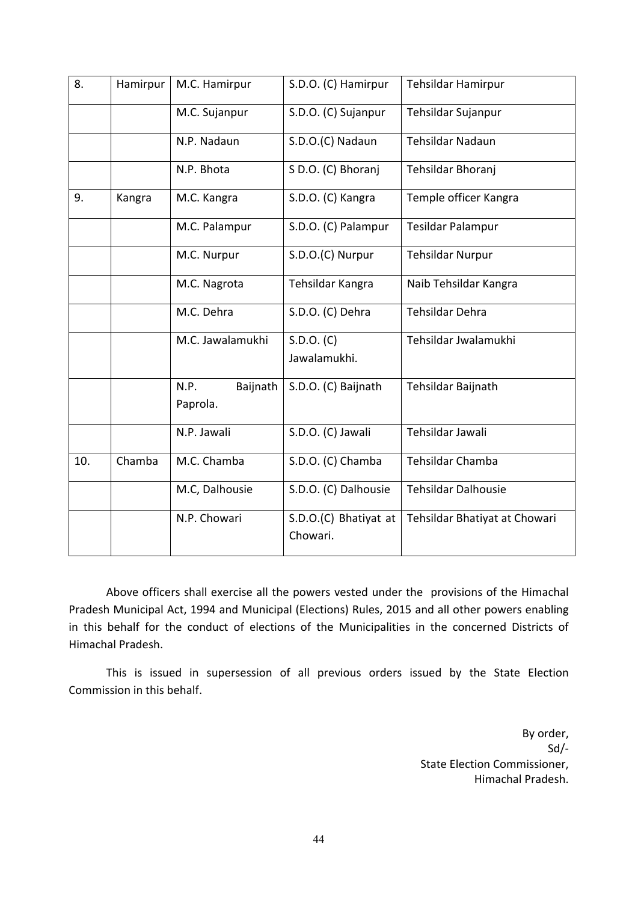| 8.  | Hamirpur | M.C. Hamirpur                | S.D.O. (C) Hamirpur               | Tehsildar Hamirpur            |
|-----|----------|------------------------------|-----------------------------------|-------------------------------|
|     |          | M.C. Sujanpur                | S.D.O. (C) Sujanpur               | Tehsildar Sujanpur            |
|     |          | N.P. Nadaun                  | S.D.O.(C) Nadaun                  | <b>Tehsildar Nadaun</b>       |
|     |          | N.P. Bhota                   | S D.O. (C) Bhoranj                | Tehsildar Bhoranj             |
| 9.  | Kangra   | M.C. Kangra                  | S.D.O. (C) Kangra                 | Temple officer Kangra         |
|     |          | M.C. Palampur                | S.D.O. (C) Palampur               | Tesildar Palampur             |
|     |          | M.C. Nurpur                  | S.D.O.(C) Nurpur                  | <b>Tehsildar Nurpur</b>       |
|     |          | M.C. Nagrota                 | Tehsildar Kangra                  | Naib Tehsildar Kangra         |
|     |          | M.C. Dehra                   | S.D.O. (C) Dehra                  | Tehsildar Dehra               |
|     |          | M.C. Jawalamukhi             | S.D.O. (C)<br>Jawalamukhi.        | Tehsildar Jwalamukhi          |
|     |          | N.P.<br>Baijnath<br>Paprola. | S.D.O. (C) Baijnath               | Tehsildar Baijnath            |
|     |          | N.P. Jawali                  | S.D.O. (C) Jawali                 | Tehsildar Jawali              |
| 10. | Chamba   | M.C. Chamba                  | S.D.O. (C) Chamba                 | Tehsildar Chamba              |
|     |          | M.C, Dalhousie               | S.D.O. (C) Dalhousie              | <b>Tehsildar Dalhousie</b>    |
|     |          | N.P. Chowari                 | S.D.O.(C) Bhatiyat at<br>Chowari. | Tehsildar Bhatiyat at Chowari |

 Above officers shall exercise all the powers vested under the provisions of the Himachal Pradesh Municipal Act, 1994 and Municipal (Elections) Rules, 2015 and all other powers enabling in this behalf for the conduct of elections of the Municipalities in the concerned Districts of Himachal Pradesh.

 This is issued in supersession of all previous orders issued by the State Election Commission in this behalf.

> By order, Sd/- State Election Commissioner, Himachal Pradesh.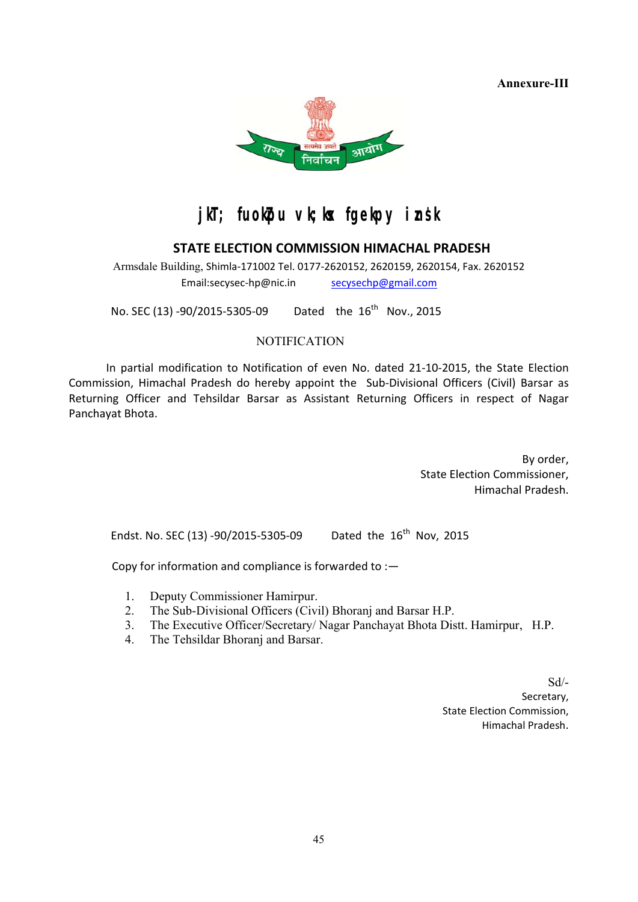**Annexure-III**



# jkT; fuokpu vk;kx fgekpy insk

# **STATE ELECTION COMMISSION HIMACHAL PRADESH**

Armsdale Building, Shimla-171002 Tel. 0177-2620152, 2620159, 2620154, Fax. 2620152 Email:secysec-hp@nic.in secysechp@gmail.com

No. SEC (13) -90/2015-5305-09 Dated the  $16^{th}$  Nov., 2015

# **NOTIFICATION**

 In partial modification to Notification of even No. dated 21-10-2015, the State Election Commission, Himachal Pradesh do hereby appoint the Sub-Divisional Officers (Civil) Barsar as Returning Officer and Tehsildar Barsar as Assistant Returning Officers in respect of Nagar Panchayat Bhota.

> By order, State Election Commissioner, Himachal Pradesh.

Endst. No. SEC (13) -90/2015-5305-09 Dated the  $16^{th}$  Nov, 2015

Copy for information and compliance is forwarded to :—

- 1. Deputy Commissioner Hamirpur.
- 2. The Sub-Divisional Officers (Civil) Bhoranj and Barsar H.P.
- 3. The Executive Officer/Secretary/ Nagar Panchayat Bhota Distt. Hamirpur, H.P.
- 4. The Tehsildar Bhoranj and Barsar.

Sd/- Secretary, State Election Commission, Himachal Pradesh.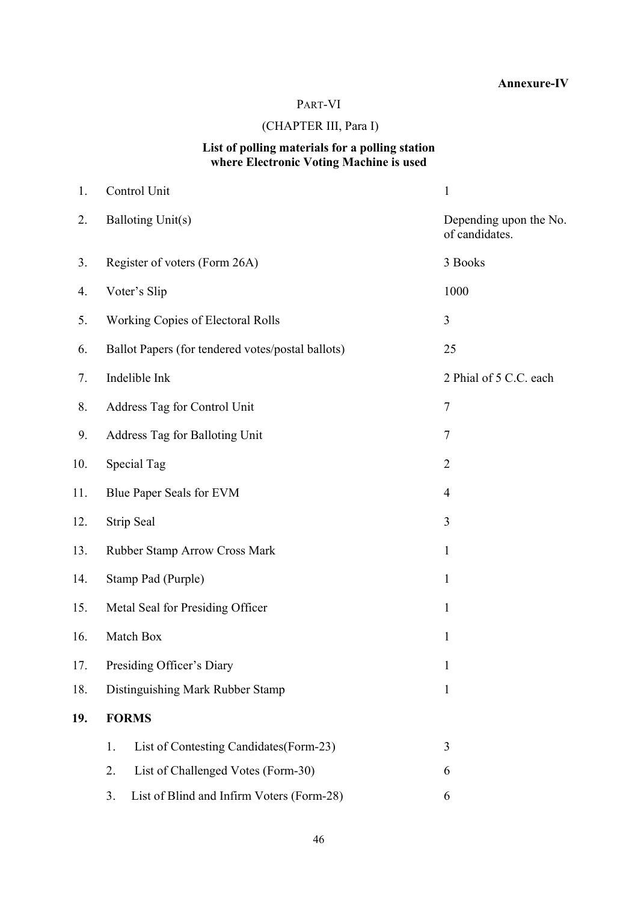# **Annexure-IV**

# PART-VI

# (CHAPTER III, Para I)

#### **List of polling materials for a polling station where Electronic Voting Machine is used**

| 1.  | Control Unit                                      | $\mathbf{1}$                             |  |
|-----|---------------------------------------------------|------------------------------------------|--|
| 2.  | <b>Balloting Unit(s)</b>                          | Depending upon the No.<br>of candidates. |  |
| 3.  | Register of voters (Form 26A)                     | 3 Books                                  |  |
| 4.  | Voter's Slip                                      | 1000                                     |  |
| 5.  | Working Copies of Electoral Rolls                 | 3                                        |  |
| 6.  | Ballot Papers (for tendered votes/postal ballots) | 25                                       |  |
| 7.  | Indelible Ink                                     | 2 Phial of 5 C.C. each                   |  |
| 8.  | Address Tag for Control Unit                      | 7                                        |  |
| 9.  | Address Tag for Balloting Unit                    | 7                                        |  |
| 10. | Special Tag                                       | $\overline{2}$                           |  |
| 11. | Blue Paper Seals for EVM                          | $\overline{4}$                           |  |
| 12. | Strip Seal                                        | 3                                        |  |
| 13. | Rubber Stamp Arrow Cross Mark                     | $\mathbf{1}$                             |  |
| 14. | Stamp Pad (Purple)                                | $\mathbf{1}$                             |  |
| 15. | Metal Seal for Presiding Officer                  | $\mathbf{1}$                             |  |
| 16. | Match Box<br>$\mathbf{1}$                         |                                          |  |
| 17. | Presiding Officer's Diary<br>1                    |                                          |  |
| 18. | Distinguishing Mark Rubber Stamp                  | $\mathbf{1}$                             |  |
| 19. | <b>FORMS</b>                                      |                                          |  |
|     | List of Contesting Candidates (Form-23)<br>1.     | 3                                        |  |
|     | List of Challenged Votes (Form-30)<br>2.          | 6                                        |  |
|     | 3.<br>List of Blind and Infirm Voters (Form-28)   | 6                                        |  |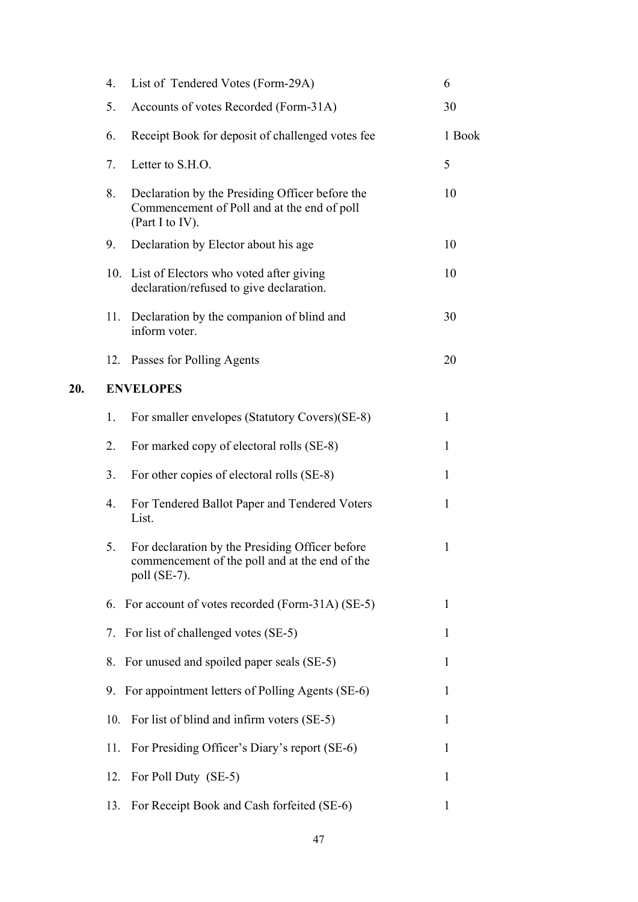| 4.  | List of Tendered Votes (Form-29A)                                                                                    | 6                                                                                                                                                                                                                    |
|-----|----------------------------------------------------------------------------------------------------------------------|----------------------------------------------------------------------------------------------------------------------------------------------------------------------------------------------------------------------|
| 5.  | Accounts of votes Recorded (Form-31A)                                                                                | 30                                                                                                                                                                                                                   |
| 6.  | Receipt Book for deposit of challenged votes fee                                                                     | 1 Book                                                                                                                                                                                                               |
| 7.  | Letter to S.H.O.                                                                                                     | 5                                                                                                                                                                                                                    |
| 8.  | Declaration by the Presiding Officer before the<br>Commencement of Poll and at the end of poll<br>(Part I to IV).    | 10                                                                                                                                                                                                                   |
| 9.  | Declaration by Elector about his age                                                                                 | 10                                                                                                                                                                                                                   |
| 10. | List of Electors who voted after giving<br>declaration/refused to give declaration.                                  | 10                                                                                                                                                                                                                   |
| 11. | Declaration by the companion of blind and<br>inform voter.                                                           | 30                                                                                                                                                                                                                   |
| 12. | Passes for Polling Agents                                                                                            | 20                                                                                                                                                                                                                   |
|     |                                                                                                                      |                                                                                                                                                                                                                      |
| 1.  | For smaller envelopes (Statutory Covers)(SE-8)                                                                       | $\mathbf{1}$                                                                                                                                                                                                         |
| 2.  | For marked copy of electoral rolls (SE-8)                                                                            | $\mathbf{1}$                                                                                                                                                                                                         |
| 3.  | For other copies of electoral rolls (SE-8)                                                                           | $\mathbf{1}$                                                                                                                                                                                                         |
| 4.  | For Tendered Ballot Paper and Tendered Voters<br>List.                                                               | $\mathbf{1}$                                                                                                                                                                                                         |
| 5.  | For declaration by the Presiding Officer before<br>commencement of the poll and at the end of the<br>poll $(SE-7)$ . | $\mathbf{1}$                                                                                                                                                                                                         |
|     |                                                                                                                      | 1                                                                                                                                                                                                                    |
|     |                                                                                                                      | 1                                                                                                                                                                                                                    |
| 8.  |                                                                                                                      | 1                                                                                                                                                                                                                    |
|     |                                                                                                                      | 1                                                                                                                                                                                                                    |
| 10. | For list of blind and infirm voters (SE-5)                                                                           | 1                                                                                                                                                                                                                    |
| 11. | For Presiding Officer's Diary's report (SE-6)                                                                        | 1                                                                                                                                                                                                                    |
| 12. | For Poll Duty (SE-5)                                                                                                 | 1                                                                                                                                                                                                                    |
| 13. | For Receipt Book and Cash forfeited (SE-6)                                                                           | 1                                                                                                                                                                                                                    |
|     |                                                                                                                      | <b>ENVELOPES</b><br>6. For account of votes recorded (Form-31A) (SE-5)<br>7. For list of challenged votes (SE-5)<br>For unused and spoiled paper seals (SE-5)<br>9. For appointment letters of Polling Agents (SE-6) |

**20.**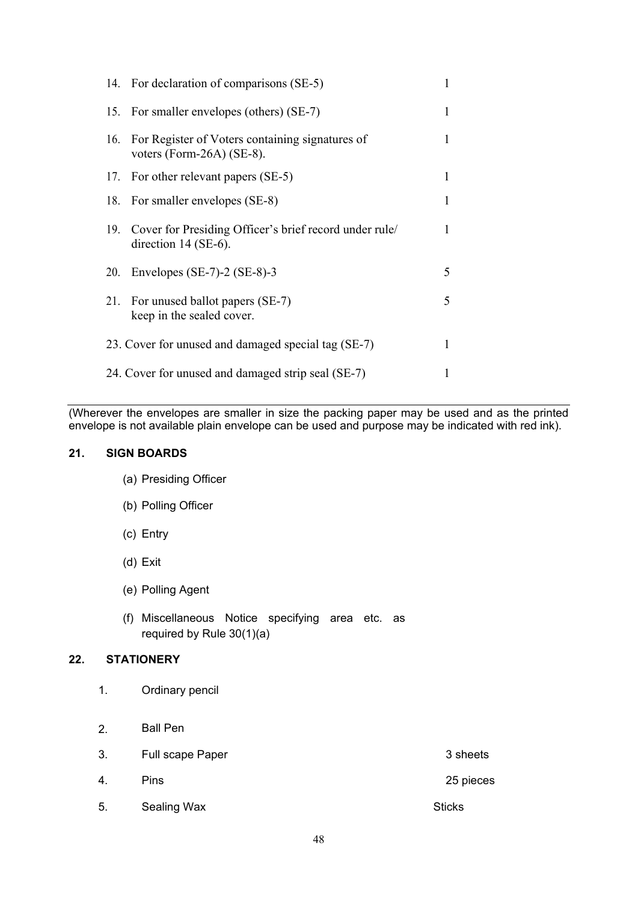|     | 14. For declaration of comparisons (SE-5)                                            | 1 |
|-----|--------------------------------------------------------------------------------------|---|
|     | 15. For smaller envelopes (others) (SE-7)                                            | 1 |
| 16. | For Register of Voters containing signatures of<br>voters (Form-26A) (SE-8).         |   |
|     | 17. For other relevant papers (SE-5)                                                 | 1 |
|     | 18. For smaller envelopes (SE-8)                                                     | 1 |
|     | 19. Cover for Presiding Officer's brief record under rule/<br>direction $14$ (SE-6). | 1 |
| 20. | Envelopes $(SE-7)-2(SE-8)-3$                                                         | 5 |
|     | 21. For unused ballot papers (SE-7)<br>keep in the sealed cover.                     | 5 |
|     | 23. Cover for unused and damaged special tag (SE-7)                                  | 1 |
|     | 24. Cover for unused and damaged strip seal (SE-7)                                   |   |

(Wherever the envelopes are smaller in size the packing paper may be used and as the printed envelope is not available plain envelope can be used and purpose may be indicated with red ink).

# **21. SIGN BOARDS**

- (a) Presiding Officer
- (b) Polling Officer
- (c) Entry
- (d) Exit
- (e) Polling Agent
- (f) Miscellaneous Notice specifying area etc. as required by Rule 30(1)(a)

#### **22. STATIONERY**

- 1. Ordinary pencil
- 2. Ball Pen
- 3. Full scape Paper 3 sheets 4. Pins 25 pieces
- 5. Sealing Wax Sticks Sticks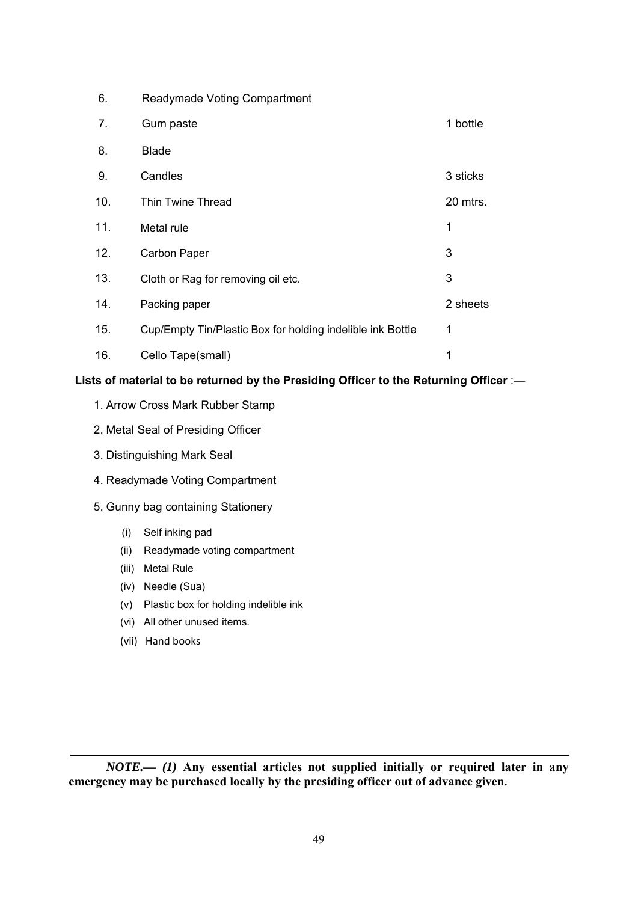| 6.  | <b>Readymade Voting Compartment</b>                        |          |
|-----|------------------------------------------------------------|----------|
| 7.  | Gum paste                                                  | 1 bottle |
| 8.  | <b>Blade</b>                                               |          |
| 9.  | Candles                                                    | 3 sticks |
| 10. | Thin Twine Thread                                          | 20 mtrs. |
| 11. | Metal rule                                                 | 1        |
| 12. | Carbon Paper                                               | 3        |
| 13. | Cloth or Rag for removing oil etc.                         | 3        |
| 14. | Packing paper                                              | 2 sheets |
| 15. | Cup/Empty Tin/Plastic Box for holding indelible ink Bottle | 1        |
| 16. | Cello Tape(small)                                          | 1        |

# **Lists of material to be returned by the Presiding Officer to the Returning Officer** :—

- 1. Arrow Cross Mark Rubber Stamp
- 2. Metal Seal of Presiding Officer
- 3. Distinguishing Mark Seal
- 4. Readymade Voting Compartment
- 5. Gunny bag containing Stationery
	- (i) Self inking pad
	- (ii) Readymade voting compartment
	- (iii) Metal Rule
	- (iv) Needle (Sua)
	- (v) Plastic box for holding indelible ink
	- (vi) All other unused items.
	- (vii) Hand books

*NOTE.— (1)* **Any essential articles not supplied initially or required later in any emergency may be purchased locally by the presiding officer out of advance given.**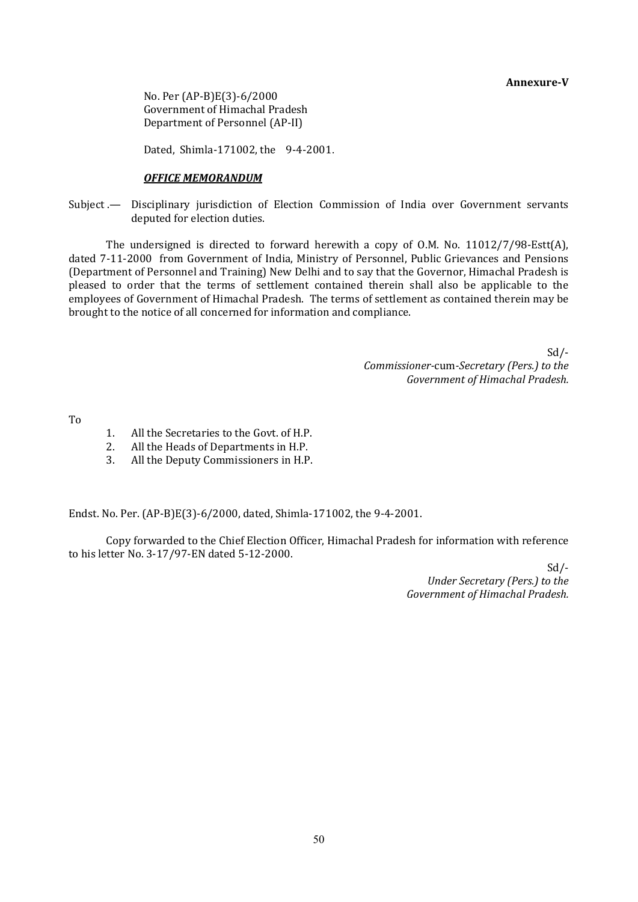**Annexure-V** 

 No. Per (AP-B)E(3)-6/2000 Government of Himachal Pradesh Department of Personnel (AP-II)

Dated, Shimla-171002, the 9-4-2001.

#### *OFFICE MEMORANDUM*

Subject .— Disciplinary jurisdiction of Election Commission of India over Government servants deputed for election duties.

 The undersigned is directed to forward herewith a copy of O.M. No. 11012/7/98-Estt(A), dated 7-11-2000 from Government of India, Ministry of Personnel, Public Grievances and Pensions (Department of Personnel and Training) New Delhi and to say that the Governor, Himachal Pradesh is pleased to order that the terms of settlement contained therein shall also be applicable to the employees of Government of Himachal Pradesh. The terms of settlement as contained therein may be brought to the notice of all concerned for information and compliance.

> Sd/- *Commissioner-*cum*-Secretary (Pers.) to the Government of Himachal Pradesh.*

To

- 1. All the Secretaries to the Govt. of H.P.
- 2. All the Heads of Departments in H.P.
- 3. All the Deputy Commissioners in H.P.

Endst. No. Per. (AP-B)E(3)-6/2000, dated, Shimla-171002, the 9-4-2001.

 Copy forwarded to the Chief Election Officer, Himachal Pradesh for information with reference to his letter No. 3-17/97-EN dated 5-12-2000.

> Sd/- *Under Secretary (Pers.) to the Government of Himachal Pradesh.*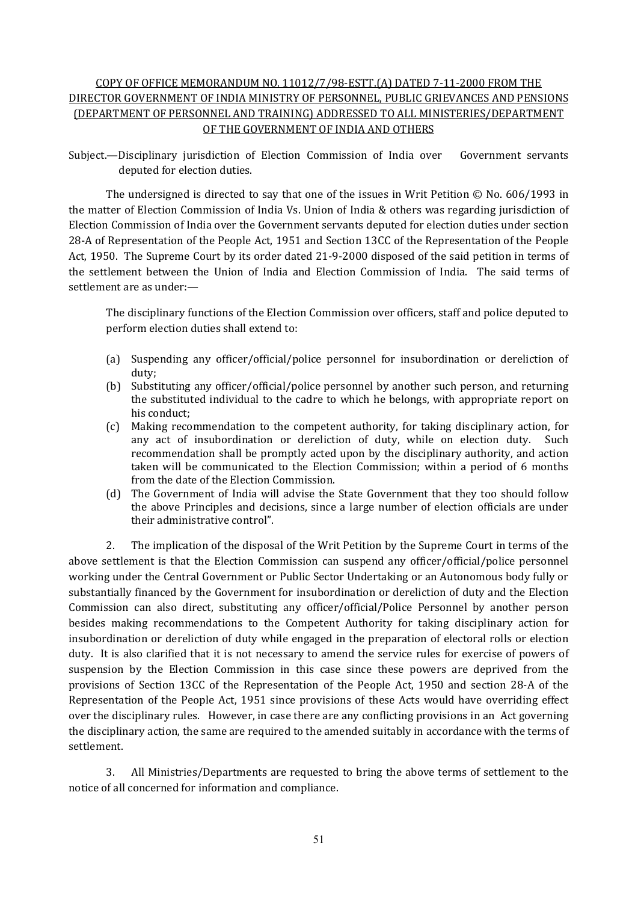# COPY OF OFFICE MEMORANDUM NO. 11012/7/98-ESTT.(A) DATED 7-11-2000 FROM THE DIRECTOR GOVERNMENT OF INDIA MINISTRY OF PERSONNEL, PUBLIC GRIEVANCES AND PENSIONS (DEPARTMENT OF PERSONNEL AND TRAINING) ADDRESSED TO ALL MINISTERIES/DEPARTMENT OF THE GOVERNMENT OF INDIA AND OTHERS

Subject.—Disciplinary jurisdiction of Election Commission of India over Government servants deputed for election duties.

 The undersigned is directed to say that one of the issues in Writ Petition © No. 606/1993 in the matter of Election Commission of India Vs. Union of India & others was regarding jurisdiction of Election Commission of India over the Government servants deputed for election duties under section 28-A of Representation of the People Act, 1951 and Section 13CC of the Representation of the People Act, 1950. The Supreme Court by its order dated 21-9-2000 disposed of the said petition in terms of the settlement between the Union of India and Election Commission of India. The said terms of settlement are as under:—

 The disciplinary functions of the Election Commission over officers, staff and police deputed to perform election duties shall extend to:

- (a) Suspending any officer/official/police personnel for insubordination or dereliction of duty;
- (b) Substituting any officer/official/police personnel by another such person, and returning the substituted individual to the cadre to which he belongs, with appropriate report on his conduct;
- (c) Making recommendation to the competent authority, for taking disciplinary action, for any act of insubordination or dereliction of duty, while on election duty. Such recommendation shall be promptly acted upon by the disciplinary authority, and action taken will be communicated to the Election Commission; within a period of 6 months from the date of the Election Commission.
- (d) The Government of India will advise the State Government that they too should follow the above Principles and decisions, since a large number of election officials are under their administrative control".

 2. The implication of the disposal of the Writ Petition by the Supreme Court in terms of the above settlement is that the Election Commission can suspend any officer/official/police personnel working under the Central Government or Public Sector Undertaking or an Autonomous body fully or substantially financed by the Government for insubordination or dereliction of duty and the Election Commission can also direct, substituting any officer/official/Police Personnel by another person besides making recommendations to the Competent Authority for taking disciplinary action for insubordination or dereliction of duty while engaged in the preparation of electoral rolls or election duty. It is also clarified that it is not necessary to amend the service rules for exercise of powers of suspension by the Election Commission in this case since these powers are deprived from the provisions of Section 13CC of the Representation of the People Act, 1950 and section 28-A of the Representation of the People Act, 1951 since provisions of these Acts would have overriding effect over the disciplinary rules. However, in case there are any conflicting provisions in an Act governing the disciplinary action, the same are required to the amended suitably in accordance with the terms of settlement.

 3. All Ministries/Departments are requested to bring the above terms of settlement to the notice of all concerned for information and compliance.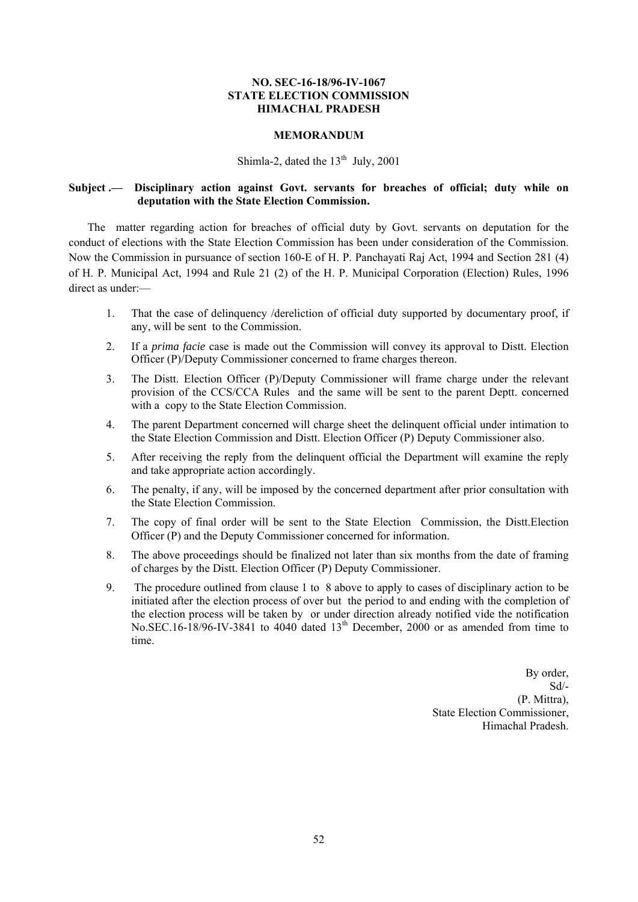#### **NO. SEC-16-18/96-IV-1067 STATE ELECTION COMMISSION HIMACHAL PRADESH**

#### **MEMORANDUM**

# Shimla-2, dated the  $13<sup>th</sup>$  July, 2001

#### **Subject .— Disciplinary action against Govt. servants for breaches of official; duty while on deputation with the State Election Commission.**

The matter regarding action for breaches of official duty by Govt. servants on deputation for the conduct of elections with the State Election Commission has been under consideration of the Commission. Now the Commission in pursuance of section 160-E of H. P. Panchayati Raj Act, 1994 and Section 281 (4) of H. P. Municipal Act, 1994 and Rule 21 (2) of the H. P. Municipal Corporation (Election) Rules, 1996 direct as under:—

- 1. That the case of delinquency /dereliction of official duty supported by documentary proof, if any, will be sent to the Commission.
- 2. If a *prima facie* case is made out the Commission will convey its approval to Distt. Election Officer (P)/Deputy Commissioner concerned to frame charges thereon.
- 3. The Distt. Election Officer (P)/Deputy Commissioner will frame charge under the relevant provision of the CCS/CCA Rules and the same will be sent to the parent Deptt. concerned with a copy to the State Election Commission.
- 4. The parent Department concerned will charge sheet the delinquent official under intimation to the State Election Commission and Distt. Election Officer (P) Deputy Commissioner also.
- 5. After receiving the reply from the delinquent official the Department will examine the reply and take appropriate action accordingly.
- 6. The penalty, if any, will be imposed by the concerned department after prior consultation with the State Election Commission.
- 7. The copy of final order will be sent to the State Election Commission, the Distt.Election Officer (P) and the Deputy Commissioner concerned for information.
- 8. The above proceedings should be finalized not later than six months from the date of framing of charges by the Distt. Election Officer (P) Deputy Commissioner.
- 9. The procedure outlined from clause 1 to 8 above to apply to cases of disciplinary action to be initiated after the election process of over but the period to and ending with the completion of the election process will be taken by or under direction already notified vide the notification No.SEC.16-18/96-IV-3841 to 4040 dated  $13<sup>th</sup>$  December, 2000 or as amended from time to time.

 By order, Sd/- (P. Mittra), State Election Commissioner, Himachal Pradesh.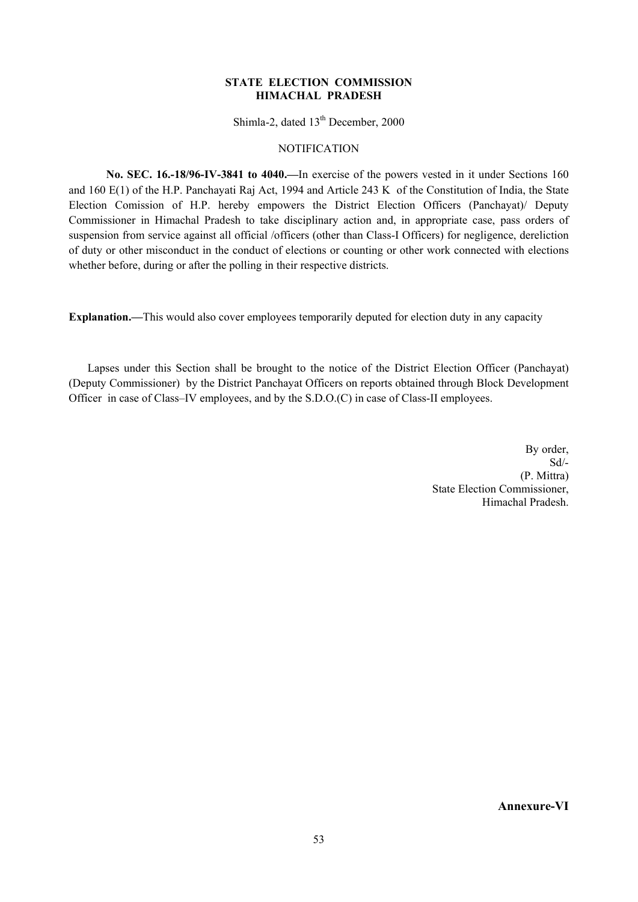#### **STATE ELECTION COMMISSION HIMACHAL PRADESH**

Shimla-2, dated 13<sup>th</sup> December, 2000

#### **NOTIFICATION**

 **No. SEC. 16.-18/96-IV-3841 to 4040.—**In exercise of the powers vested in it under Sections 160 and 160 E(1) of the H.P. Panchayati Raj Act, 1994 and Article 243 K of the Constitution of India, the State Election Comission of H.P. hereby empowers the District Election Officers (Panchayat)/ Deputy Commissioner in Himachal Pradesh to take disciplinary action and, in appropriate case, pass orders of suspension from service against all official /officers (other than Class-I Officers) for negligence, dereliction of duty or other misconduct in the conduct of elections or counting or other work connected with elections whether before, during or after the polling in their respective districts.

**Explanation.—**This would also cover employees temporarily deputed for election duty in any capacity

 Lapses under this Section shall be brought to the notice of the District Election Officer (Panchayat) (Deputy Commissioner) by the District Panchayat Officers on reports obtained through Block Development Officer in case of Class–IV employees, and by the S.D.O.(C) in case of Class-II employees.

> By order, Sd/- (P. Mittra) State Election Commissioner, Himachal Pradesh.

> > **Annexure-VI**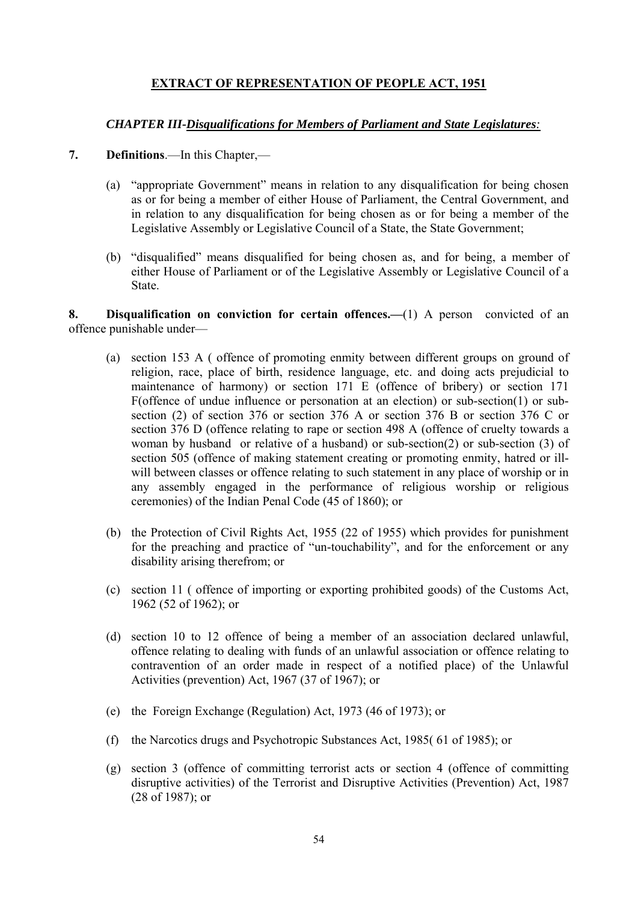# **EXTRACT OF REPRESENTATION OF PEOPLE ACT, 1951**

# *CHAPTER III-Disqualifications for Members of Parliament and State Legislatures:*

- **7. Definitions**.—In this Chapter,—
	- (a) "appropriate Government" means in relation to any disqualification for being chosen as or for being a member of either House of Parliament, the Central Government, and in relation to any disqualification for being chosen as or for being a member of the Legislative Assembly or Legislative Council of a State, the State Government;
	- (b) "disqualified" means disqualified for being chosen as, and for being, a member of either House of Parliament or of the Legislative Assembly or Legislative Council of a State.

**8. Disqualification on conviction for certain offences.—**(1) A person convicted of an offence punishable under—

- (a) section 153 A ( offence of promoting enmity between different groups on ground of religion, race, place of birth, residence language, etc. and doing acts prejudicial to maintenance of harmony) or section 171 E (offence of bribery) or section 171 F(offence of undue influence or personation at an election) or sub-section(1) or subsection (2) of section 376 or section 376 A or section 376 B or section 376 C or section 376 D (offence relating to rape or section 498 A (offence of cruelty towards a woman by husband or relative of a husband) or sub-section(2) or sub-section (3) of section 505 (offence of making statement creating or promoting enmity, hatred or illwill between classes or offence relating to such statement in any place of worship or in any assembly engaged in the performance of religious worship or religious ceremonies) of the Indian Penal Code (45 of 1860); or
- (b) the Protection of Civil Rights Act, 1955 (22 of 1955) which provides for punishment for the preaching and practice of "un-touchability", and for the enforcement or any disability arising therefrom; or
- (c) section 11 ( offence of importing or exporting prohibited goods) of the Customs Act, 1962 (52 of 1962); or
- (d) section 10 to 12 offence of being a member of an association declared unlawful, offence relating to dealing with funds of an unlawful association or offence relating to contravention of an order made in respect of a notified place) of the Unlawful Activities (prevention) Act, 1967 (37 of 1967); or
- (e) the Foreign Exchange (Regulation) Act, 1973 (46 of 1973); or
- (f) the Narcotics drugs and Psychotropic Substances Act, 1985( 61 of 1985); or
- (g) section 3 (offence of committing terrorist acts or section 4 (offence of committing disruptive activities) of the Terrorist and Disruptive Activities (Prevention) Act, 1987 (28 of 1987); or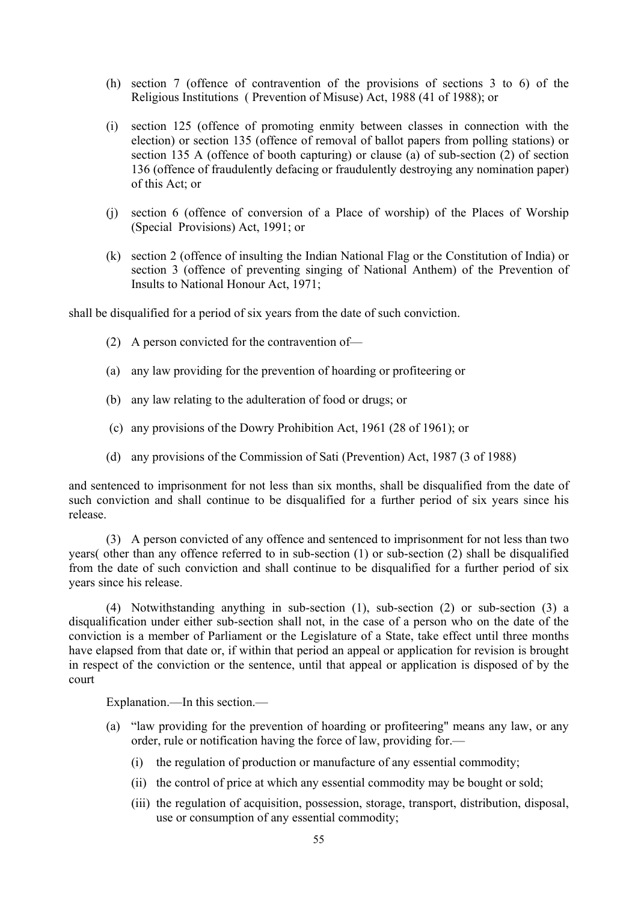- (h) section 7 (offence of contravention of the provisions of sections 3 to 6) of the Religious Institutions ( Prevention of Misuse) Act, 1988 (41 of 1988); or
- (i) section 125 (offence of promoting enmity between classes in connection with the election) or section 135 (offence of removal of ballot papers from polling stations) or section 135 A (offence of booth capturing) or clause (a) of sub-section (2) of section 136 (offence of fraudulently defacing or fraudulently destroying any nomination paper) of this Act; or
- (j) section 6 (offence of conversion of a Place of worship) of the Places of Worship (Special Provisions) Act, 1991; or
- (k) section 2 (offence of insulting the Indian National Flag or the Constitution of India) or section 3 (offence of preventing singing of National Anthem) of the Prevention of Insults to National Honour Act, 1971;

shall be disqualified for a period of six years from the date of such conviction.

- (2) A person convicted for the contravention of—
- (a) any law providing for the prevention of hoarding or profiteering or
- (b) any law relating to the adulteration of food or drugs; or
- (c) any provisions of the Dowry Prohibition Act, 1961 (28 of 1961); or
- (d) any provisions of the Commission of Sati (Prevention) Act, 1987 (3 of 1988)

and sentenced to imprisonment for not less than six months, shall be disqualified from the date of such conviction and shall continue to be disqualified for a further period of six years since his release.

 (3) A person convicted of any offence and sentenced to imprisonment for not less than two years( other than any offence referred to in sub-section (1) or sub-section (2) shall be disqualified from the date of such conviction and shall continue to be disqualified for a further period of six years since his release.

 (4) Notwithstanding anything in sub-section (1), sub-section (2) or sub-section (3) a disqualification under either sub-section shall not, in the case of a person who on the date of the conviction is a member of Parliament or the Legislature of a State, take effect until three months have elapsed from that date or, if within that period an appeal or application for revision is brought in respect of the conviction or the sentence, until that appeal or application is disposed of by the court

Explanation.—In this section.—

- (a) "law providing for the prevention of hoarding or profiteering" means any law, or any order, rule or notification having the force of law, providing for.—
	- (i) the regulation of production or manufacture of any essential commodity;
	- (ii) the control of price at which any essential commodity may be bought or sold;
	- (iii) the regulation of acquisition, possession, storage, transport, distribution, disposal, use or consumption of any essential commodity;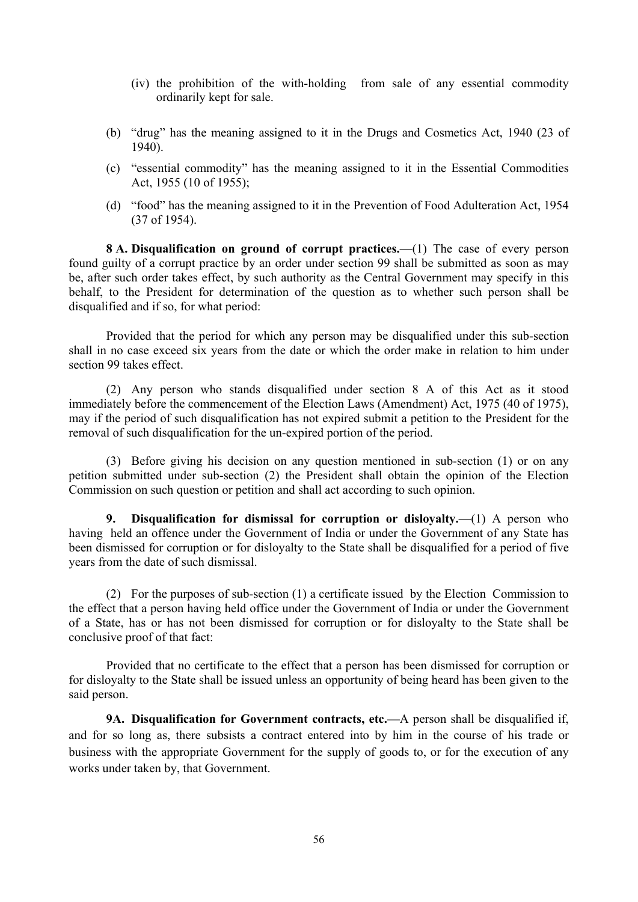- (iv) the prohibition of the with-holding from sale of any essential commodity ordinarily kept for sale.
- (b) "drug" has the meaning assigned to it in the Drugs and Cosmetics Act, 1940 (23 of 1940).
- (c) "essential commodity" has the meaning assigned to it in the Essential Commodities Act, 1955 (10 of 1955);
- (d) "food" has the meaning assigned to it in the Prevention of Food Adulteration Act, 1954 (37 of 1954).

 **8 A. Disqualification on ground of corrupt practices.—**(1) The case of every person found guilty of a corrupt practice by an order under section 99 shall be submitted as soon as may be, after such order takes effect, by such authority as the Central Government may specify in this behalf, to the President for determination of the question as to whether such person shall be disqualified and if so, for what period:

 Provided that the period for which any person may be disqualified under this sub-section shall in no case exceed six years from the date or which the order make in relation to him under section 99 takes effect.

 (2) Any person who stands disqualified under section 8 A of this Act as it stood immediately before the commencement of the Election Laws (Amendment) Act, 1975 (40 of 1975), may if the period of such disqualification has not expired submit a petition to the President for the removal of such disqualification for the un-expired portion of the period.

 (3) Before giving his decision on any question mentioned in sub-section (1) or on any petition submitted under sub-section (2) the President shall obtain the opinion of the Election Commission on such question or petition and shall act according to such opinion.

 **9. Disqualification for dismissal for corruption or disloyalty.—**(1) A person who having held an offence under the Government of India or under the Government of any State has been dismissed for corruption or for disloyalty to the State shall be disqualified for a period of five years from the date of such dismissal.

 (2) For the purposes of sub-section (1) a certificate issued by the Election Commission to the effect that a person having held office under the Government of India or under the Government of a State, has or has not been dismissed for corruption or for disloyalty to the State shall be conclusive proof of that fact:

 Provided that no certificate to the effect that a person has been dismissed for corruption or for disloyalty to the State shall be issued unless an opportunity of being heard has been given to the said person.

 **9A. Disqualification for Government contracts, etc.—**A person shall be disqualified if, and for so long as, there subsists a contract entered into by him in the course of his trade or business with the appropriate Government for the supply of goods to, or for the execution of any works under taken by, that Government.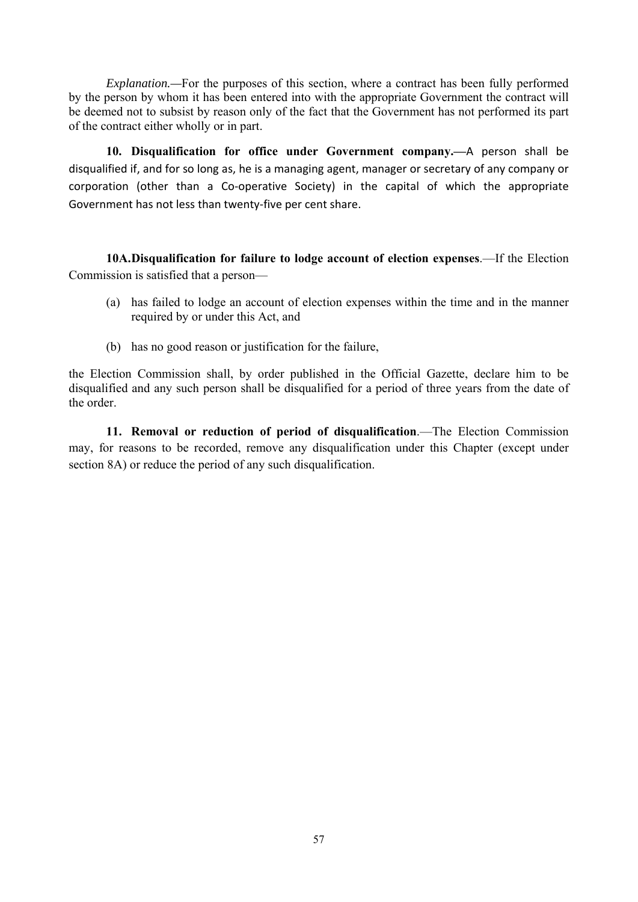*Explanation.—*For the purposes of this section, where a contract has been fully performed by the person by whom it has been entered into with the appropriate Government the contract will be deemed not to subsist by reason only of the fact that the Government has not performed its part of the contract either wholly or in part.

 **10. Disqualification for office under Government company.—**A person shall be disqualified if, and for so long as, he is a managing agent, manager or secretary of any company or corporation (other than a Co-operative Society) in the capital of which the appropriate Government has not less than twenty-five per cent share.

 **10A.Disqualification for failure to lodge account of election expenses**.—If the Election Commission is satisfied that a person—

- (a) has failed to lodge an account of election expenses within the time and in the manner required by or under this Act, and
- (b) has no good reason or justification for the failure,

the Election Commission shall, by order published in the Official Gazette, declare him to be disqualified and any such person shall be disqualified for a period of three years from the date of the order.

 **11. Removal or reduction of period of disqualification**.—The Election Commission may, for reasons to be recorded, remove any disqualification under this Chapter (except under section 8A) or reduce the period of any such disqualification.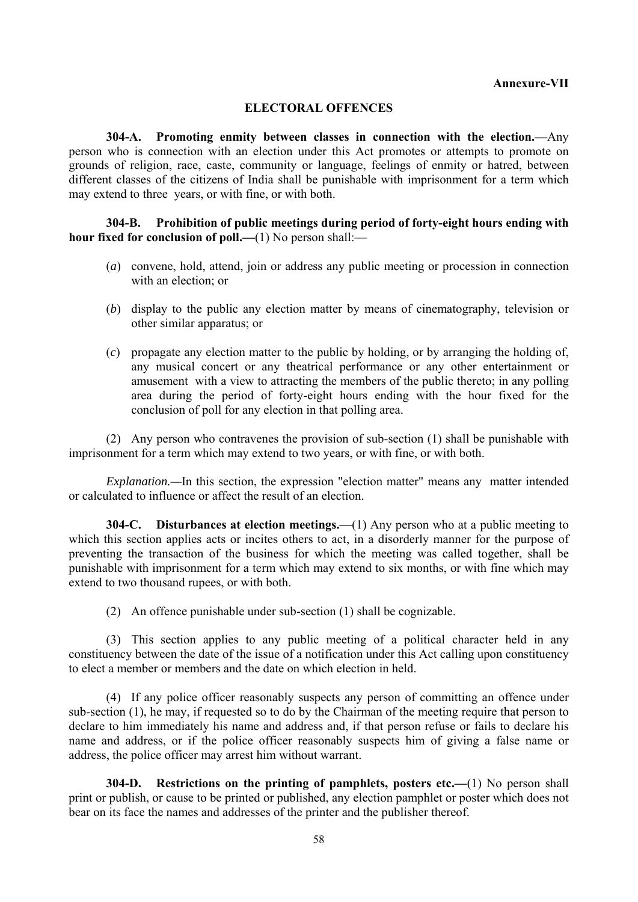# **ELECTORAL OFFENCES**

 **304-A. Promoting enmity between classes in connection with the election.—**Any person who is connection with an election under this Act promotes or attempts to promote on grounds of religion, race, caste, community or language, feelings of enmity or hatred, between different classes of the citizens of India shall be punishable with imprisonment for a term which may extend to three years, or with fine, or with both.

#### **304-B. Prohibition of public meetings during period of forty-eight hours ending with hour fixed for conclusion of poll.—(1)** No person shall:—

- (*a*) convene, hold, attend, join or address any public meeting or procession in connection with an election; or
- (*b*) display to the public any election matter by means of cinematography, television or other similar apparatus; or
- (*c*) propagate any election matter to the public by holding, or by arranging the holding of, any musical concert or any theatrical performance or any other entertainment or amusement with a view to attracting the members of the public thereto; in any polling area during the period of forty-eight hours ending with the hour fixed for the conclusion of poll for any election in that polling area.

 (2) Any person who contravenes the provision of sub-section (1) shall be punishable with imprisonment for a term which may extend to two years, or with fine, or with both.

*Explanation.—*In this section, the expression "election matter" means any matter intended or calculated to influence or affect the result of an election.

**304-C. Disturbances at election meetings.—**(1) Any person who at a public meeting to which this section applies acts or incites others to act, in a disorderly manner for the purpose of preventing the transaction of the business for which the meeting was called together, shall be punishable with imprisonment for a term which may extend to six months, or with fine which may extend to two thousand rupees, or with both.

(2) An offence punishable under sub-section (1) shall be cognizable.

 (3) This section applies to any public meeting of a political character held in any constituency between the date of the issue of a notification under this Act calling upon constituency to elect a member or members and the date on which election in held.

 (4) If any police officer reasonably suspects any person of committing an offence under sub-section (1), he may, if requested so to do by the Chairman of the meeting require that person to declare to him immediately his name and address and, if that person refuse or fails to declare his name and address, or if the police officer reasonably suspects him of giving a false name or address, the police officer may arrest him without warrant.

 **304-D. Restrictions on the printing of pamphlets, posters etc.—**(1) No person shall print or publish, or cause to be printed or published, any election pamphlet or poster which does not bear on its face the names and addresses of the printer and the publisher thereof.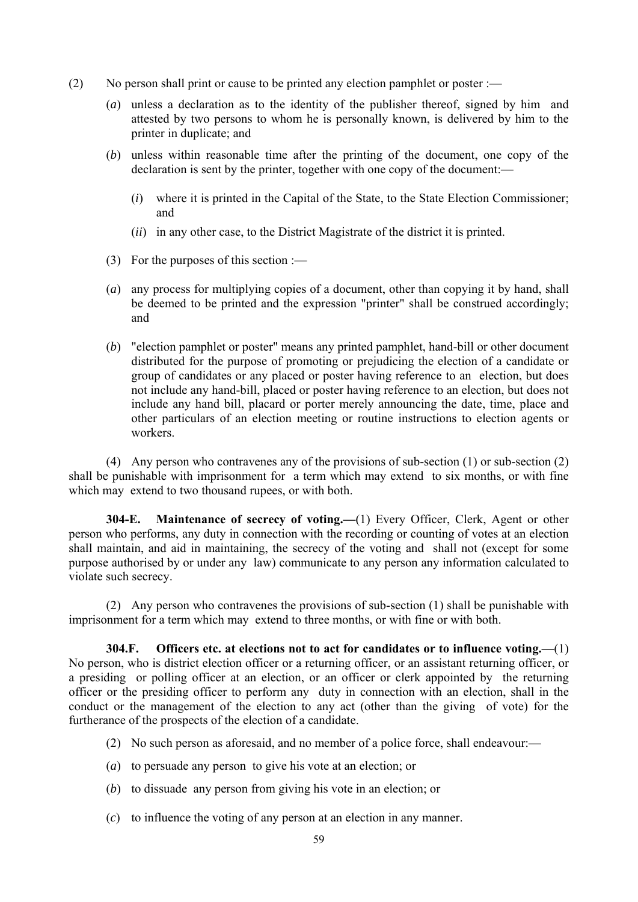- (2) No person shall print or cause to be printed any election pamphlet or poster :—
	- (*a*) unless a declaration as to the identity of the publisher thereof, signed by him and attested by two persons to whom he is personally known, is delivered by him to the printer in duplicate; and
	- (*b*) unless within reasonable time after the printing of the document, one copy of the declaration is sent by the printer, together with one copy of the document:—
		- (*i*) where it is printed in the Capital of the State, to the State Election Commissioner; and
		- (*ii*) in any other case, to the District Magistrate of the district it is printed.
	- (3) For the purposes of this section :—
	- (*a*) any process for multiplying copies of a document, other than copying it by hand, shall be deemed to be printed and the expression "printer" shall be construed accordingly; and
	- (*b*) "election pamphlet or poster" means any printed pamphlet, hand-bill or other document distributed for the purpose of promoting or prejudicing the election of a candidate or group of candidates or any placed or poster having reference to an election, but does not include any hand-bill, placed or poster having reference to an election, but does not include any hand bill, placard or porter merely announcing the date, time, place and other particulars of an election meeting or routine instructions to election agents or workers.

 (4) Any person who contravenes any of the provisions of sub-section (1) or sub-section (2) shall be punishable with imprisonment for a term which may extend to six months, or with fine which may extend to two thousand rupees, or with both.

**304-E. Maintenance of secrecy of voting.—**(1) Every Officer, Clerk, Agent or other person who performs, any duty in connection with the recording or counting of votes at an election shall maintain, and aid in maintaining, the secrecy of the voting and shall not (except for some purpose authorised by or under any law) communicate to any person any information calculated to violate such secrecy.

 (2) Any person who contravenes the provisions of sub-section (1) shall be punishable with imprisonment for a term which may extend to three months, or with fine or with both.

**304.F. Officers etc. at elections not to act for candidates or to influence voting.—**(1) No person, who is district election officer or a returning officer, or an assistant returning officer, or a presiding or polling officer at an election, or an officer or clerk appointed by the returning officer or the presiding officer to perform any duty in connection with an election, shall in the conduct or the management of the election to any act (other than the giving of vote) for the furtherance of the prospects of the election of a candidate.

- (2) No such person as aforesaid, and no member of a police force, shall endeavour:—
- (*a*) to persuade any person to give his vote at an election; or
- (*b*) to dissuade any person from giving his vote in an election; or
- (*c*) to influence the voting of any person at an election in any manner.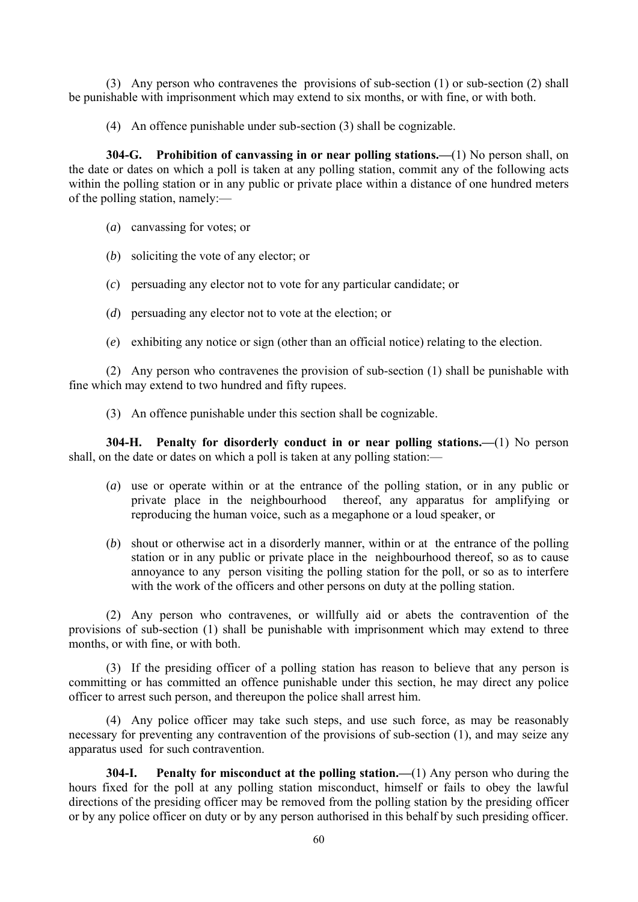(3) Any person who contravenes the provisions of sub-section (1) or sub-section (2) shall be punishable with imprisonment which may extend to six months, or with fine, or with both.

(4) An offence punishable under sub-section (3) shall be cognizable.

**304-G. Prohibition of canvassing in or near polling stations.—**(1) No person shall, on the date or dates on which a poll is taken at any polling station, commit any of the following acts within the polling station or in any public or private place within a distance of one hundred meters of the polling station, namely:—

- (*a*) canvassing for votes; or
- (*b*) soliciting the vote of any elector; or
- (*c*) persuading any elector not to vote for any particular candidate; or
- (*d*) persuading any elector not to vote at the election; or
- (*e*) exhibiting any notice or sign (other than an official notice) relating to the election.

 (2) Any person who contravenes the provision of sub-section (1) shall be punishable with fine which may extend to two hundred and fifty rupees.

(3) An offence punishable under this section shall be cognizable.

**304-H. Penalty for disorderly conduct in or near polling stations.—**(1) No person shall, on the date or dates on which a poll is taken at any polling station:—

- (*a*) use or operate within or at the entrance of the polling station, or in any public or private place in the neighbourhood thereof, any apparatus for amplifying or reproducing the human voice, such as a megaphone or a loud speaker, or
- (*b*) shout or otherwise act in a disorderly manner, within or at the entrance of the polling station or in any public or private place in the neighbourhood thereof, so as to cause annoyance to any person visiting the polling station for the poll, or so as to interfere with the work of the officers and other persons on duty at the polling station.

 (2) Any person who contravenes, or willfully aid or abets the contravention of the provisions of sub-section (1) shall be punishable with imprisonment which may extend to three months, or with fine, or with both.

 (3) If the presiding officer of a polling station has reason to believe that any person is committing or has committed an offence punishable under this section, he may direct any police officer to arrest such person, and thereupon the police shall arrest him.

 (4) Any police officer may take such steps, and use such force, as may be reasonably necessary for preventing any contravention of the provisions of sub-section (1), and may seize any apparatus used for such contravention.

**304-I. Penalty for misconduct at the polling station.—**(1) Any person who during the hours fixed for the poll at any polling station misconduct, himself or fails to obey the lawful directions of the presiding officer may be removed from the polling station by the presiding officer or by any police officer on duty or by any person authorised in this behalf by such presiding officer.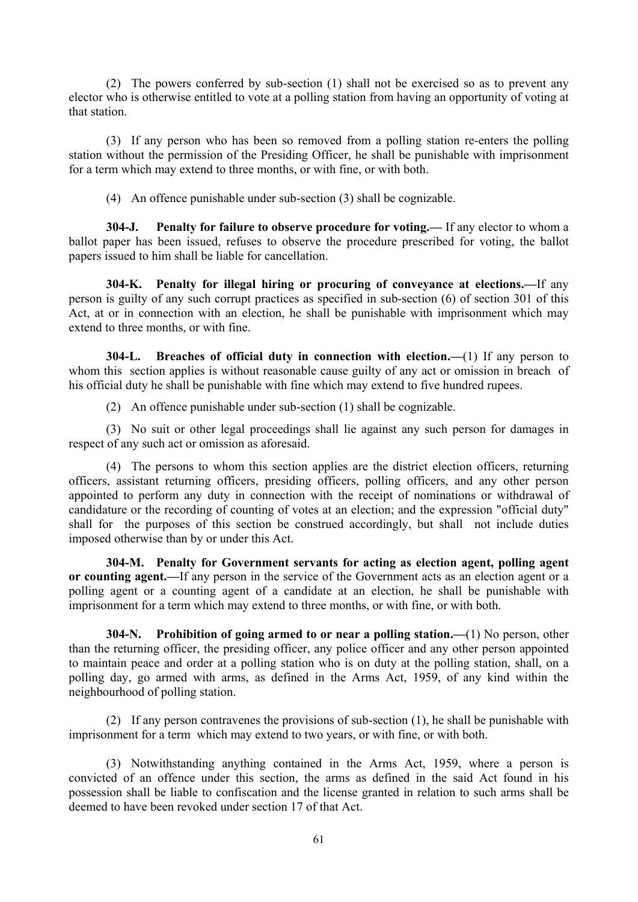(2) The powers conferred by sub-section (1) shall not be exercised so as to prevent any elector who is otherwise entitled to vote at a polling station from having an opportunity of voting at that station.

 (3) If any person who has been so removed from a polling station re-enters the polling station without the permission of the Presiding Officer, he shall be punishable with imprisonment for a term which may extend to three months, or with fine, or with both.

(4) An offence punishable under sub-section (3) shall be cognizable.

**304-J. Penalty for failure to observe procedure for voting.—** If any elector to whom a ballot paper has been issued, refuses to observe the procedure prescribed for voting, the ballot papers issued to him shall be liable for cancellation.

**304-K. Penalty for illegal hiring or procuring of conveyance at elections.—**If any person is guilty of any such corrupt practices as specified in sub-section (6) of section 301 of this Act, at or in connection with an election, he shall be punishable with imprisonment which may extend to three months, or with fine.

**304-L. Breaches of official duty in connection with election.—**(1) If any person to whom this section applies is without reasonable cause guilty of any act or omission in breach of his official duty he shall be punishable with fine which may extend to five hundred rupees.

(2) An offence punishable under sub-section (1) shall be cognizable.

 (3) No suit or other legal proceedings shall lie against any such person for damages in respect of any such act or omission as aforesaid.

 (4) The persons to whom this section applies are the district election officers, returning officers, assistant returning officers, presiding officers, polling officers, and any other person appointed to perform any duty in connection with the receipt of nominations or withdrawal of candidature or the recording of counting of votes at an election; and the expression "official duty" shall for the purposes of this section be construed accordingly, but shall not include duties imposed otherwise than by or under this Act.

 **304-M. Penalty for Government servants for acting as election agent, polling agent or counting agent.—**If any person in the service of the Government acts as an election agent or a polling agent or a counting agent of a candidate at an election, he shall be punishable with imprisonment for a term which may extend to three months, or with fine, or with both.

**304-N. Prohibition of going armed to or near a polling station.—**(1) No person, other than the returning officer, the presiding officer, any police officer and any other person appointed to maintain peace and order at a polling station who is on duty at the polling station, shall, on a polling day, go armed with arms, as defined in the Arms Act, 1959, of any kind within the neighbourhood of polling station.

 (2) If any person contravenes the provisions of sub-section (1), he shall be punishable with imprisonment for a term which may extend to two years, or with fine, or with both.

 (3) Notwithstanding anything contained in the Arms Act, 1959, where a person is convicted of an offence under this section, the arms as defined in the said Act found in his possession shall be liable to confiscation and the license granted in relation to such arms shall be deemed to have been revoked under section 17 of that Act.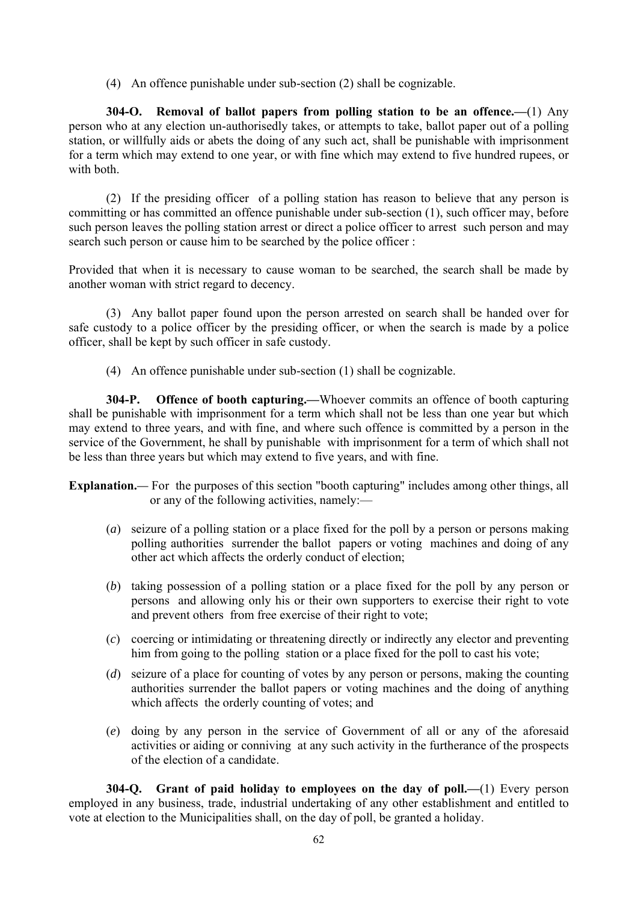(4) An offence punishable under sub-section (2) shall be cognizable.

**304-O. Removal of ballot papers from polling station to be an offence.—**(1) Any person who at any election un-authorisedly takes, or attempts to take, ballot paper out of a polling station, or willfully aids or abets the doing of any such act, shall be punishable with imprisonment for a term which may extend to one year, or with fine which may extend to five hundred rupees, or with both.

 (2) If the presiding officer of a polling station has reason to believe that any person is committing or has committed an offence punishable under sub-section (1), such officer may, before such person leaves the polling station arrest or direct a police officer to arrest such person and may search such person or cause him to be searched by the police officer :

Provided that when it is necessary to cause woman to be searched, the search shall be made by another woman with strict regard to decency.

 (3) Any ballot paper found upon the person arrested on search shall be handed over for safe custody to a police officer by the presiding officer, or when the search is made by a police officer, shall be kept by such officer in safe custody.

(4) An offence punishable under sub-section (1) shall be cognizable.

**304-P. Offence of booth capturing.—**Whoever commits an offence of booth capturing shall be punishable with imprisonment for a term which shall not be less than one year but which may extend to three years, and with fine, and where such offence is committed by a person in the service of the Government, he shall by punishable with imprisonment for a term of which shall not be less than three years but which may extend to five years, and with fine.

**Explanation.***—* For the purposes of this section "booth capturing" includes among other things, all or any of the following activities, namely:—

- (*a*) seizure of a polling station or a place fixed for the poll by a person or persons making polling authorities surrender the ballot papers or voting machines and doing of any other act which affects the orderly conduct of election;
- (*b*) taking possession of a polling station or a place fixed for the poll by any person or persons and allowing only his or their own supporters to exercise their right to vote and prevent others from free exercise of their right to vote;
- (*c*) coercing or intimidating or threatening directly or indirectly any elector and preventing him from going to the polling station or a place fixed for the poll to cast his vote;
- (*d*) seizure of a place for counting of votes by any person or persons, making the counting authorities surrender the ballot papers or voting machines and the doing of anything which affects the orderly counting of votes; and
- (*e*) doing by any person in the service of Government of all or any of the aforesaid activities or aiding or conniving at any such activity in the furtherance of the prospects of the election of a candidate.

**304-Q. Grant of paid holiday to employees on the day of poll.—**(1) Every person employed in any business, trade, industrial undertaking of any other establishment and entitled to vote at election to the Municipalities shall, on the day of poll, be granted a holiday.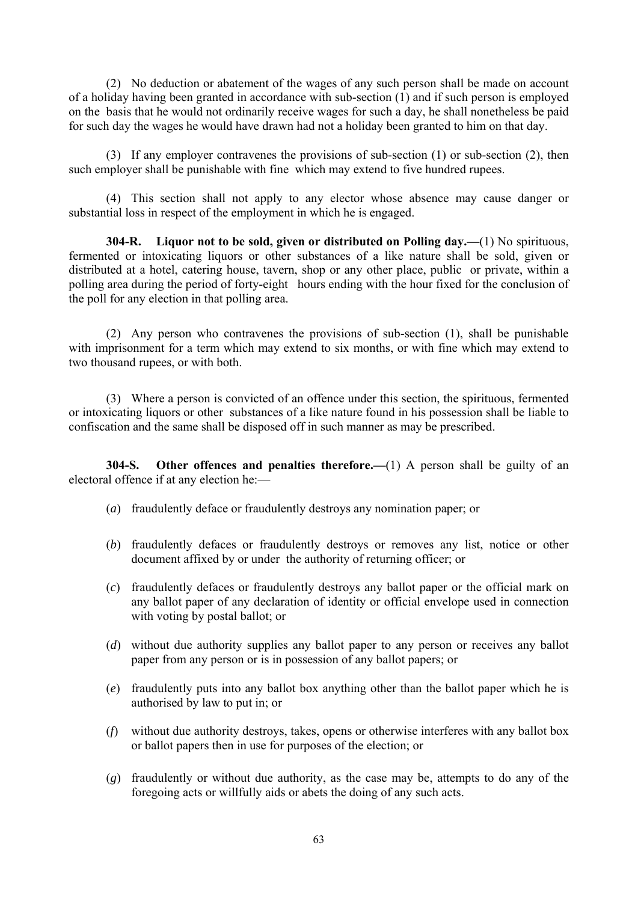(2) No deduction or abatement of the wages of any such person shall be made on account of a holiday having been granted in accordance with sub-section (1) and if such person is employed on the basis that he would not ordinarily receive wages for such a day, he shall nonetheless be paid for such day the wages he would have drawn had not a holiday been granted to him on that day.

 (3) If any employer contravenes the provisions of sub-section (1) or sub-section (2), then such employer shall be punishable with fine which may extend to five hundred rupees.

 (4) This section shall not apply to any elector whose absence may cause danger or substantial loss in respect of the employment in which he is engaged.

**304-R. Liquor not to be sold, given or distributed on Polling day.—**(1) No spirituous, fermented or intoxicating liquors or other substances of a like nature shall be sold, given or distributed at a hotel, catering house, tavern, shop or any other place, public or private, within a polling area during the period of forty-eight hours ending with the hour fixed for the conclusion of the poll for any election in that polling area.

 (2) Any person who contravenes the provisions of sub-section (1), shall be punishable with imprisonment for a term which may extend to six months, or with fine which may extend to two thousand rupees, or with both.

 (3) Where a person is convicted of an offence under this section, the spirituous, fermented or intoxicating liquors or other substances of a like nature found in his possession shall be liable to confiscation and the same shall be disposed off in such manner as may be prescribed.

**304-S. Other offences and penalties therefore.—**(1) A person shall be guilty of an electoral offence if at any election he:—

- (*a*) fraudulently deface or fraudulently destroys any nomination paper; or
- (*b*) fraudulently defaces or fraudulently destroys or removes any list, notice or other document affixed by or under the authority of returning officer; or
- (*c*) fraudulently defaces or fraudulently destroys any ballot paper or the official mark on any ballot paper of any declaration of identity or official envelope used in connection with voting by postal ballot; or
- (*d*) without due authority supplies any ballot paper to any person or receives any ballot paper from any person or is in possession of any ballot papers; or
- (*e*) fraudulently puts into any ballot box anything other than the ballot paper which he is authorised by law to put in; or
- (*f*) without due authority destroys, takes, opens or otherwise interferes with any ballot box or ballot papers then in use for purposes of the election; or
- (*g*) fraudulently or without due authority, as the case may be, attempts to do any of the foregoing acts or willfully aids or abets the doing of any such acts.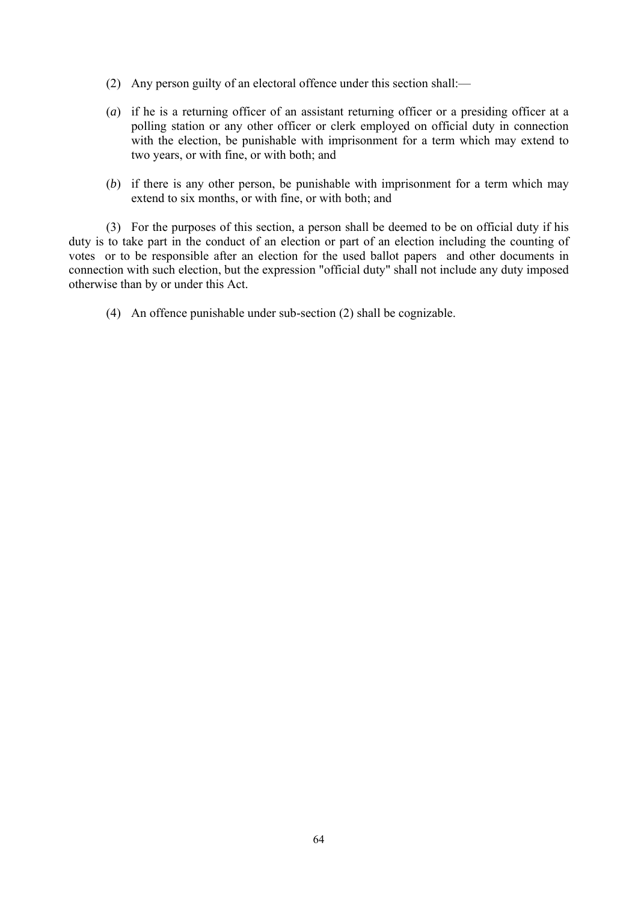- (2) Any person guilty of an electoral offence under this section shall:—
- (*a*) if he is a returning officer of an assistant returning officer or a presiding officer at a polling station or any other officer or clerk employed on official duty in connection with the election, be punishable with imprisonment for a term which may extend to two years, or with fine, or with both; and
- (*b*) if there is any other person, be punishable with imprisonment for a term which may extend to six months, or with fine, or with both; and

 (3) For the purposes of this section, a person shall be deemed to be on official duty if his duty is to take part in the conduct of an election or part of an election including the counting of votes or to be responsible after an election for the used ballot papers and other documents in connection with such election, but the expression "official duty" shall not include any duty imposed otherwise than by or under this Act.

(4) An offence punishable under sub-section (2) shall be cognizable.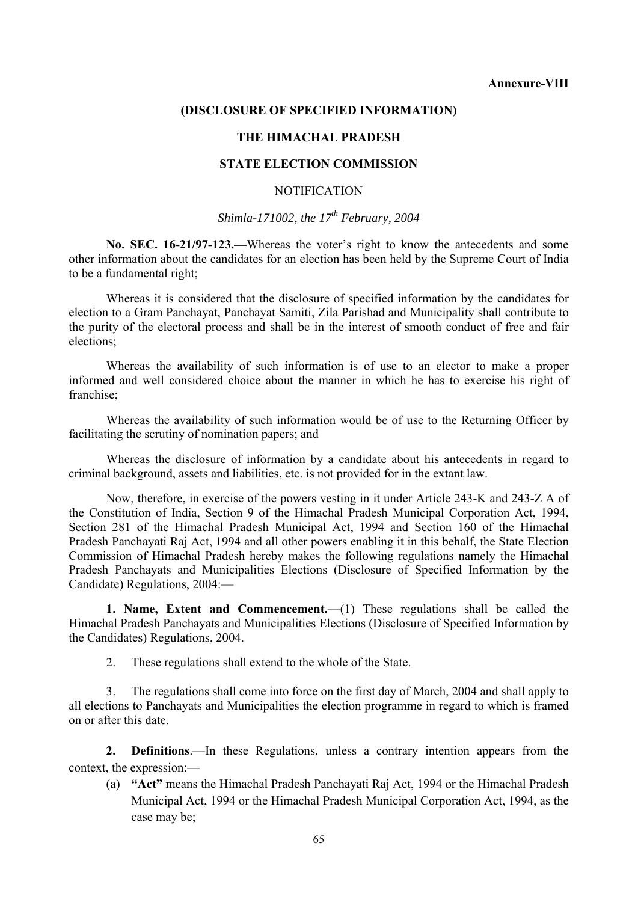#### **(DISCLOSURE OF SPECIFIED INFORMATION)**

#### **THE HIMACHAL PRADESH**

#### **STATE ELECTION COMMISSION**

#### NOTIFICATION

#### *Shimla-171002, the 17th February, 2004*

**No. SEC. 16-21/97-123.—**Whereas the voter's right to know the antecedents and some other information about the candidates for an election has been held by the Supreme Court of India to be a fundamental right;

 Whereas it is considered that the disclosure of specified information by the candidates for election to a Gram Panchayat, Panchayat Samiti, Zila Parishad and Municipality shall contribute to the purity of the electoral process and shall be in the interest of smooth conduct of free and fair elections;

 Whereas the availability of such information is of use to an elector to make a proper informed and well considered choice about the manner in which he has to exercise his right of franchise;

 Whereas the availability of such information would be of use to the Returning Officer by facilitating the scrutiny of nomination papers; and

 Whereas the disclosure of information by a candidate about his antecedents in regard to criminal background, assets and liabilities, etc. is not provided for in the extant law.

 Now, therefore, in exercise of the powers vesting in it under Article 243-K and 243-Z A of the Constitution of India, Section 9 of the Himachal Pradesh Municipal Corporation Act, 1994, Section 281 of the Himachal Pradesh Municipal Act, 1994 and Section 160 of the Himachal Pradesh Panchayati Raj Act, 1994 and all other powers enabling it in this behalf, the State Election Commission of Himachal Pradesh hereby makes the following regulations namely the Himachal Pradesh Panchayats and Municipalities Elections (Disclosure of Specified Information by the Candidate) Regulations, 2004:—

**1. Name, Extent and Commencement.—**(1) These regulations shall be called the Himachal Pradesh Panchayats and Municipalities Elections (Disclosure of Specified Information by the Candidates) Regulations, 2004.

2. These regulations shall extend to the whole of the State.

 3. The regulations shall come into force on the first day of March, 2004 and shall apply to all elections to Panchayats and Municipalities the election programme in regard to which is framed on or after this date.

 **2. Definitions**.—In these Regulations, unless a contrary intention appears from the context, the expression:—

(a) **"Act"** means the Himachal Pradesh Panchayati Raj Act, 1994 or the Himachal Pradesh Municipal Act, 1994 or the Himachal Pradesh Municipal Corporation Act, 1994, as the case may be;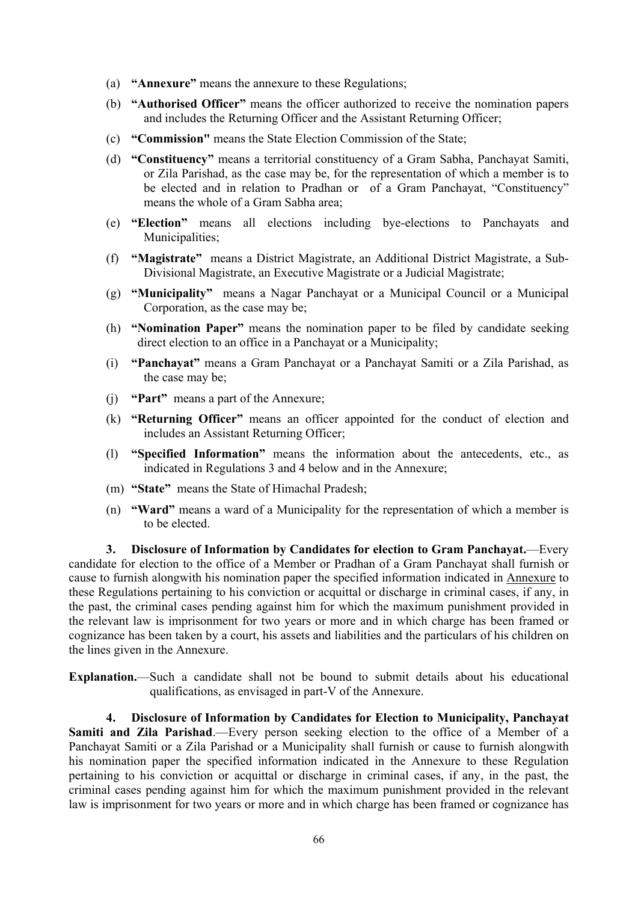- (a) **"Annexure"** means the annexure to these Regulations;
- (b) **"Authorised Officer"** means the officer authorized to receive the nomination papers and includes the Returning Officer and the Assistant Returning Officer;
- (c) **"Commission"** means the State Election Commission of the State;
- (d) **"Constituency"** means a territorial constituency of a Gram Sabha, Panchayat Samiti, or Zila Parishad, as the case may be, for the representation of which a member is to be elected and in relation to Pradhan or of a Gram Panchayat, "Constituency" means the whole of a Gram Sabha area;
- (e) **"Election"** means all elections including bye-elections to Panchayats and Municipalities;
- (f) **"Magistrate"** means a District Magistrate, an Additional District Magistrate, a Sub-Divisional Magistrate, an Executive Magistrate or a Judicial Magistrate;
- (g) **"Municipality"** means a Nagar Panchayat or a Municipal Council or a Municipal Corporation, as the case may be;
- (h) **"Nomination Paper"** means the nomination paper to be filed by candidate seeking direct election to an office in a Panchayat or a Municipality;
- (i) **"Panchayat"** means a Gram Panchayat or a Panchayat Samiti or a Zila Parishad, as the case may be;
- (j) **"Part"** means a part of the Annexure;
- (k) **"Returning Officer"** means an officer appointed for the conduct of election and includes an Assistant Returning Officer;
- (l) **"Specified Information"** means the information about the antecedents, etc., as indicated in Regulations 3 and 4 below and in the Annexure;
- (m) **"State"** means the State of Himachal Pradesh;
- (n) **"Ward"** means a ward of a Municipality for the representation of which a member is to be elected.

 **3. Disclosure of Information by Candidates for election to Gram Panchayat.**—Every candidate for election to the office of a Member or Pradhan of a Gram Panchayat shall furnish or cause to furnish alongwith his nomination paper the specified information indicated in Annexure to these Regulations pertaining to his conviction or acquittal or discharge in criminal cases, if any, in the past, the criminal cases pending against him for which the maximum punishment provided in the relevant law is imprisonment for two years or more and in which charge has been framed or cognizance has been taken by a court, his assets and liabilities and the particulars of his children on the lines given in the Annexure.

**Explanation.**—Such a candidate shall not be bound to submit details about his educational qualifications, as envisaged in part-V of the Annexure.

 **4. Disclosure of Information by Candidates for Election to Municipality, Panchayat Samiti and Zila Parishad**.—Every person seeking election to the office of a Member of a Panchayat Samiti or a Zila Parishad or a Municipality shall furnish or cause to furnish alongwith his nomination paper the specified information indicated in the Annexure to these Regulation pertaining to his conviction or acquittal or discharge in criminal cases, if any, in the past, the criminal cases pending against him for which the maximum punishment provided in the relevant law is imprisonment for two years or more and in which charge has been framed or cognizance has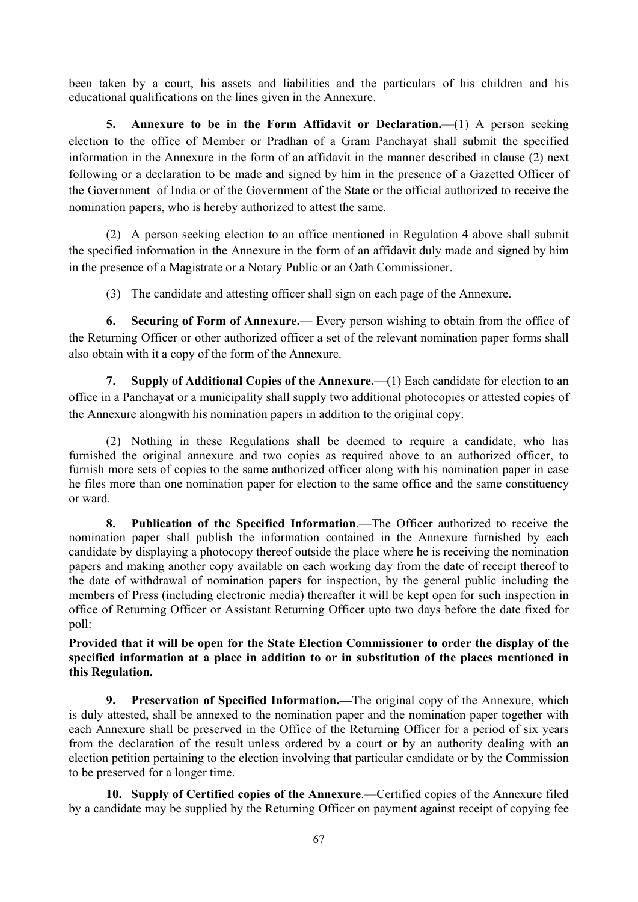been taken by a court, his assets and liabilities and the particulars of his children and his educational qualifications on the lines given in the Annexure.

 **5. Annexure to be in the Form Affidavit or Declaration.**—(1) A person seeking election to the office of Member or Pradhan of a Gram Panchayat shall submit the specified information in the Annexure in the form of an affidavit in the manner described in clause (2) next following or a declaration to be made and signed by him in the presence of a Gazetted Officer of the Government of India or of the Government of the State or the official authorized to receive the nomination papers, who is hereby authorized to attest the same.

 (2) A person seeking election to an office mentioned in Regulation 4 above shall submit the specified information in the Annexure in the form of an affidavit duly made and signed by him in the presence of a Magistrate or a Notary Public or an Oath Commissioner.

(3) The candidate and attesting officer shall sign on each page of the Annexure.

 **6. Securing of Form of Annexure.—** Every person wishing to obtain from the office of the Returning Officer or other authorized officer a set of the relevant nomination paper forms shall also obtain with it a copy of the form of the Annexure.

 **7. Supply of Additional Copies of the Annexure.—**(1) Each candidate for election to an office in a Panchayat or a municipality shall supply two additional photocopies or attested copies of the Annexure alongwith his nomination papers in addition to the original copy.

 (2) Nothing in these Regulations shall be deemed to require a candidate, who has furnished the original annexure and two copies as required above to an authorized officer, to furnish more sets of copies to the same authorized officer along with his nomination paper in case he files more than one nomination paper for election to the same office and the same constituency or ward.

 **8. Publication of the Specified Information**.—The Officer authorized to receive the nomination paper shall publish the information contained in the Annexure furnished by each candidate by displaying a photocopy thereof outside the place where he is receiving the nomination papers and making another copy available on each working day from the date of receipt thereof to the date of withdrawal of nomination papers for inspection, by the general public including the members of Press (including electronic media) thereafter it will be kept open for such inspection in office of Returning Officer or Assistant Returning Officer upto two days before the date fixed for poll:

**Provided that it will be open for the State Election Commissioner to order the display of the specified information at a place in addition to or in substitution of the places mentioned in this Regulation.** 

 **9. Preservation of Specified Information.—**The original copy of the Annexure, which is duly attested, shall be annexed to the nomination paper and the nomination paper together with each Annexure shall be preserved in the Office of the Returning Officer for a period of six years from the declaration of the result unless ordered by a court or by an authority dealing with an election petition pertaining to the election involving that particular candidate or by the Commission to be preserved for a longer time.

 **10. Supply of Certified copies of the Annexure**.—Certified copies of the Annexure filed by a candidate may be supplied by the Returning Officer on payment against receipt of copying fee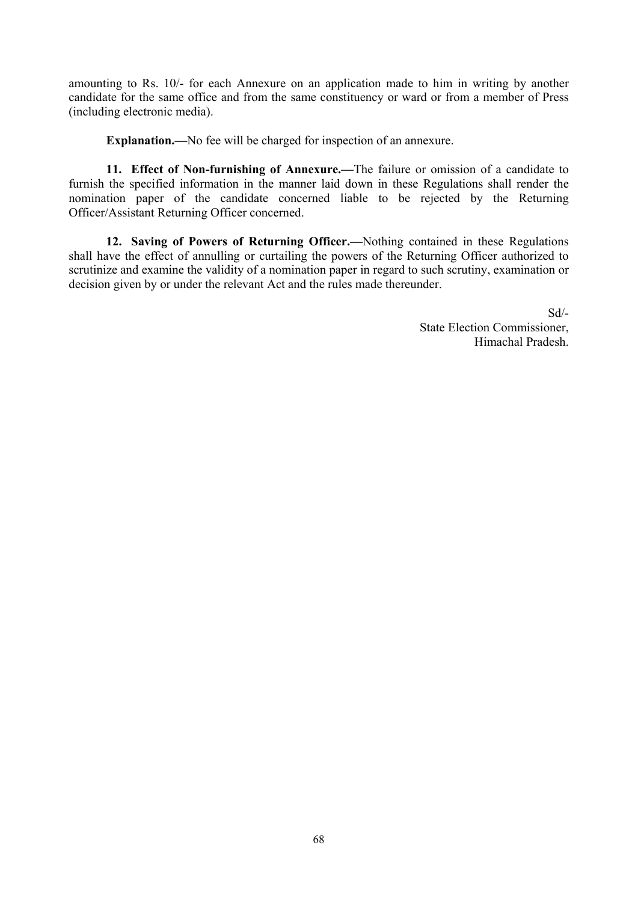amounting to Rs. 10/- for each Annexure on an application made to him in writing by another candidate for the same office and from the same constituency or ward or from a member of Press (including electronic media).

**Explanation.—**No fee will be charged for inspection of an annexure.

 **11. Effect of Non-furnishing of Annexure.—**The failure or omission of a candidate to furnish the specified information in the manner laid down in these Regulations shall render the nomination paper of the candidate concerned liable to be rejected by the Returning Officer/Assistant Returning Officer concerned.

 **12. Saving of Powers of Returning Officer.—**Nothing contained in these Regulations shall have the effect of annulling or curtailing the powers of the Returning Officer authorized to scrutinize and examine the validity of a nomination paper in regard to such scrutiny, examination or decision given by or under the relevant Act and the rules made thereunder.

> Sd/- State Election Commissioner, Himachal Pradesh.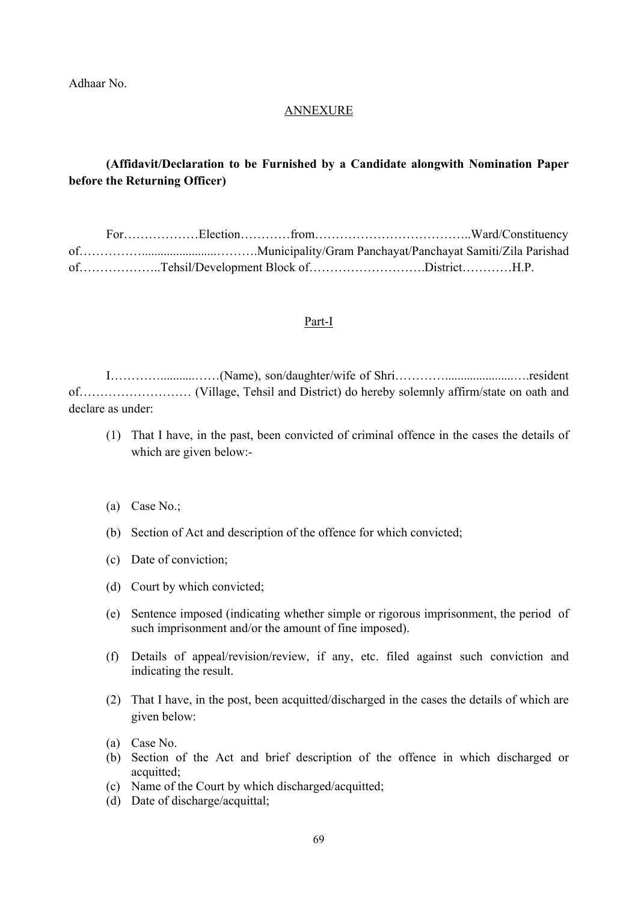Adhaar No.

### ANNEXURE

## **(Affidavit/Declaration to be Furnished by a Candidate alongwith Nomination Paper before the Returning Officer)**

|  |  | ofTehsil/Development Block ofDistrictH.P. |  |
|--|--|-------------------------------------------|--|

#### Part-I

 I…………...........……(Name), son/daughter/wife of Shri…………......................….resident of……………………… (Village, Tehsil and District) do hereby solemnly affirm/state on oath and declare as under:

- (1) That I have, in the past, been convicted of criminal offence in the cases the details of which are given below:-
- (a) Case No.;
- (b) Section of Act and description of the offence for which convicted;
- (c) Date of conviction;
- (d) Court by which convicted;
- (e) Sentence imposed (indicating whether simple or rigorous imprisonment, the period of such imprisonment and/or the amount of fine imposed).
- (f) Details of appeal/revision/review, if any, etc. filed against such conviction and indicating the result.
- (2) That I have, in the post, been acquitted/discharged in the cases the details of which are given below:
- (a) Case No.
- (b) Section of the Act and brief description of the offence in which discharged or acquitted;
- (c) Name of the Court by which discharged/acquitted;
- (d) Date of discharge/acquittal;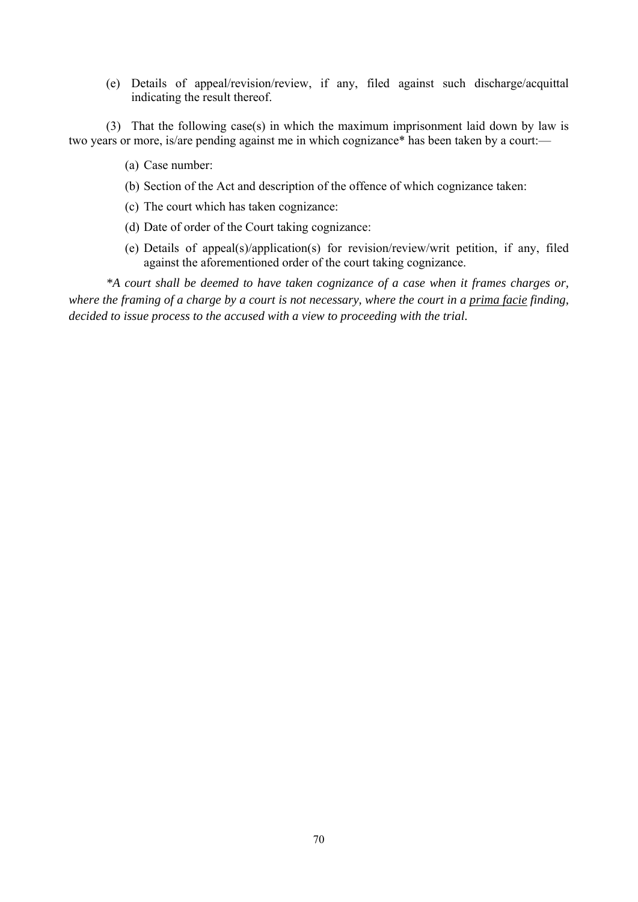(e) Details of appeal/revision/review, if any, filed against such discharge/acquittal indicating the result thereof.

 (3) That the following case(s) in which the maximum imprisonment laid down by law is two years or more, is/are pending against me in which cognizance\* has been taken by a court:—

- (a) Case number:
- (b) Section of the Act and description of the offence of which cognizance taken:
- (c) The court which has taken cognizance:
- (d) Date of order of the Court taking cognizance:
- (e) Details of appeal(s)/application(s) for revision/review/writ petition, if any, filed against the aforementioned order of the court taking cognizance.

*\*A court shall be deemed to have taken cognizance of a case when it frames charges or, where the framing of a charge by a court is not necessary, where the court in a prima facie finding, decided to issue process to the accused with a view to proceeding with the trial.*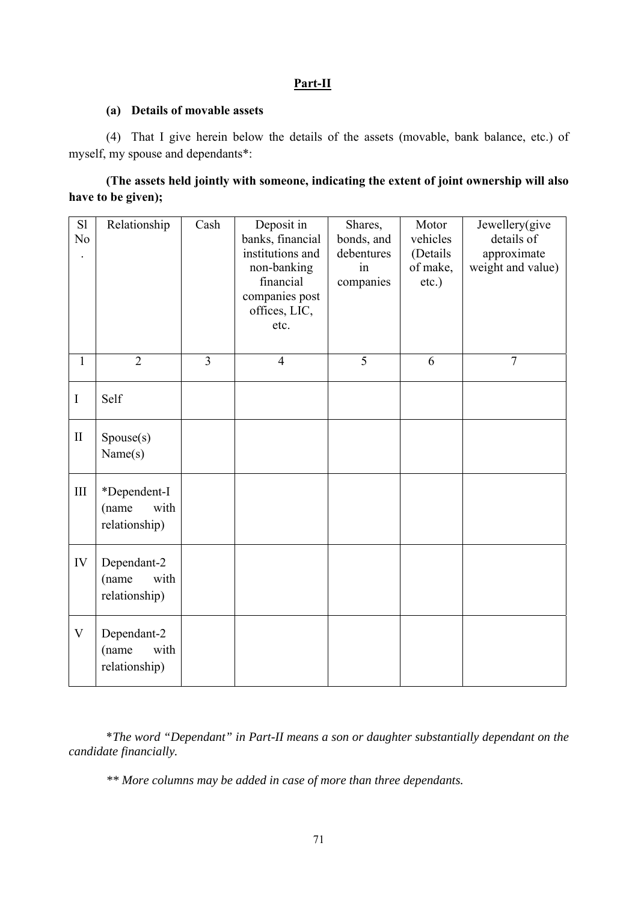## **Part-II**

#### **(a) Details of movable assets**

 (4) That I give herein below the details of the assets (movable, bank balance, etc.) of myself, my spouse and dependants\*:

|                    | (The assets held jointly with someone, indicating the extent of joint ownership will also |  |
|--------------------|-------------------------------------------------------------------------------------------|--|
| have to be given); |                                                                                           |  |

| S1<br>N <sub>o</sub>      | Relationship                                   | Cash           | Deposit in<br>banks, financial<br>institutions and<br>non-banking<br>financial<br>companies post<br>offices, LIC,<br>etc. | Shares,<br>bonds, and<br>debentures<br>in<br>companies | Motor<br>vehicles<br>(Details<br>of make,<br>etc.) | Jewellery(give<br>details of<br>approximate<br>weight and value) |
|---------------------------|------------------------------------------------|----------------|---------------------------------------------------------------------------------------------------------------------------|--------------------------------------------------------|----------------------------------------------------|------------------------------------------------------------------|
| $\mathbf{1}$              | $\overline{2}$                                 | $\overline{3}$ | $\overline{4}$                                                                                                            | 5                                                      | 6                                                  | $\overline{7}$                                                   |
| $\mathbf I$               | Self                                           |                |                                                                                                                           |                                                        |                                                    |                                                                  |
| $\rm II$                  | Spouse(s)<br>Name(s)                           |                |                                                                                                                           |                                                        |                                                    |                                                                  |
| $\rm III$                 | *Dependent-I<br>with<br>(name<br>relationship) |                |                                                                                                                           |                                                        |                                                    |                                                                  |
| IV                        | Dependant-2<br>with<br>(name<br>relationship)  |                |                                                                                                                           |                                                        |                                                    |                                                                  |
| $\boldsymbol{\mathrm{V}}$ | Dependant-2<br>with<br>(name<br>relationship)  |                |                                                                                                                           |                                                        |                                                    |                                                                  |

 \**The word "Dependant" in Part-II means a son or daughter substantially dependant on the candidate financially.* 

 *\*\* More columns may be added in case of more than three dependants.*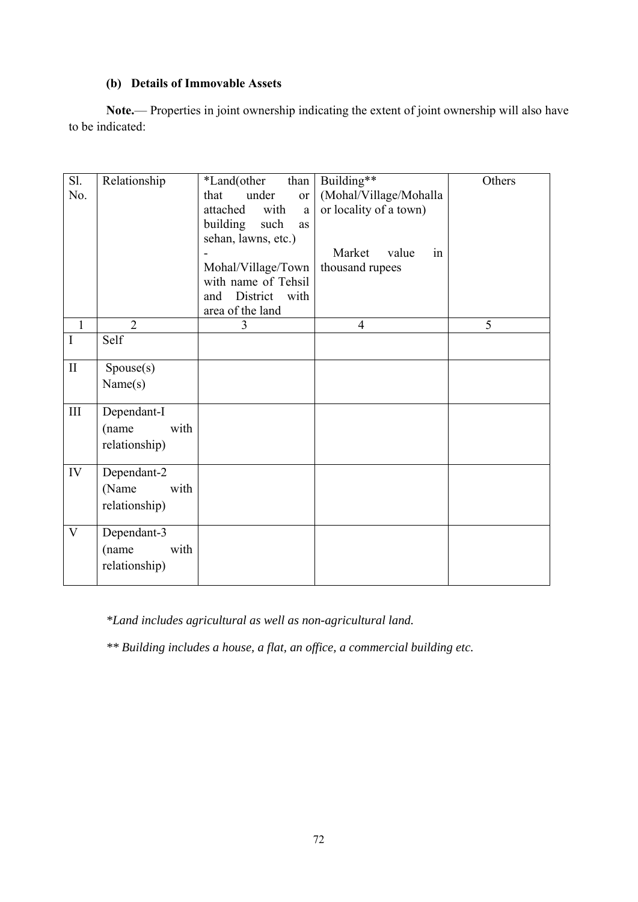# **(b) Details of Immovable Assets**

**Note.**— Properties in joint ownership indicating the extent of joint ownership will also have to be indicated:

| Sl.            | Relationship   | *Land(other<br>than    | Building**             | Others |
|----------------|----------------|------------------------|------------------------|--------|
| No.            |                | under<br>that<br>or    | (Mohal/Village/Mohalla |        |
|                |                | attached<br>with<br>a  | or locality of a town) |        |
|                |                | building<br>such<br>as |                        |        |
|                |                | sehan, lawns, etc.)    |                        |        |
|                |                |                        | Market<br>value<br>in  |        |
|                |                | Mohal/Village/Town     | thousand rupees        |        |
|                |                | with name of Tehsil    |                        |        |
|                |                | District with<br>and   |                        |        |
|                |                | area of the land       |                        |        |
| $\overline{1}$ | $\overline{2}$ | 3                      | $\overline{4}$         | 5      |
| $\mathbf I$    | Self           |                        |                        |        |
| $\mathbf{I}$   | Spouse(s)      |                        |                        |        |
|                | Name(s)        |                        |                        |        |
|                |                |                        |                        |        |
| $\rm III$      | Dependant-I    |                        |                        |        |
|                | (name<br>with  |                        |                        |        |
|                | relationship)  |                        |                        |        |
|                |                |                        |                        |        |
| IV             | Dependant-2    |                        |                        |        |
|                | (Name<br>with  |                        |                        |        |
|                | relationship)  |                        |                        |        |
|                |                |                        |                        |        |
| V              | Dependant-3    |                        |                        |        |
|                | (name<br>with  |                        |                        |        |
|                | relationship)  |                        |                        |        |
|                |                |                        |                        |        |

*\*Land includes agricultural as well as non-agricultural land.* 

 *\*\* Building includes a house, a flat, an office, a commercial building etc.*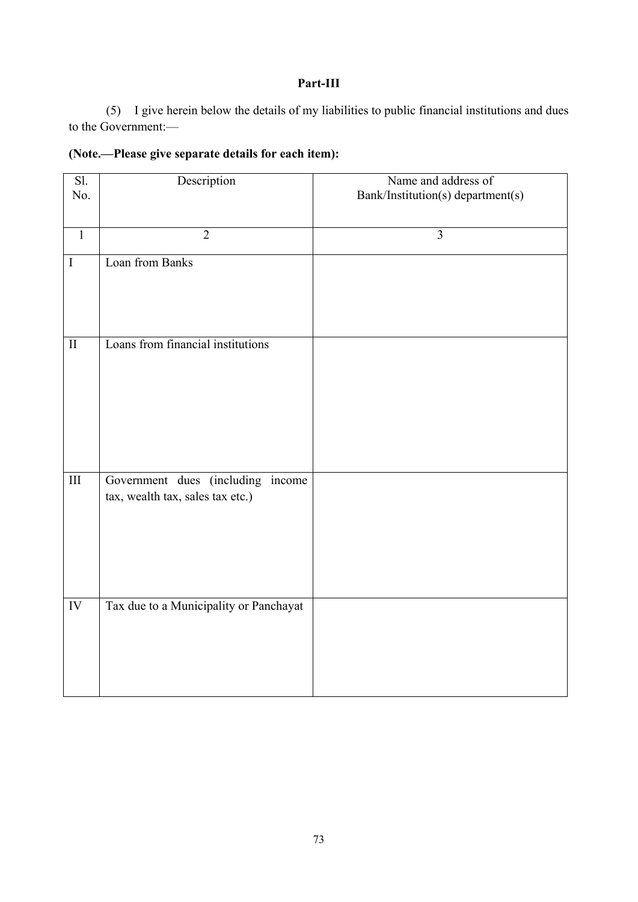# **Part-III**

 (5) I give herein below the details of my liabilities to public financial institutions and dues to the Government:—

| $\overline{SI}$ .<br>No. | Description                                                           | Name and address of<br>Bank/Institution(s) department(s) |
|--------------------------|-----------------------------------------------------------------------|----------------------------------------------------------|
| $\mathbf{1}$             | $\overline{2}$                                                        | $\overline{3}$                                           |
| $\rm I$                  | Loan from Banks                                                       |                                                          |
| $\rm II$                 | Loans from financial institutions                                     |                                                          |
| $\rm III$                | Government dues (including income<br>tax, wealth tax, sales tax etc.) |                                                          |
| IV                       | Tax due to a Municipality or Panchayat                                |                                                          |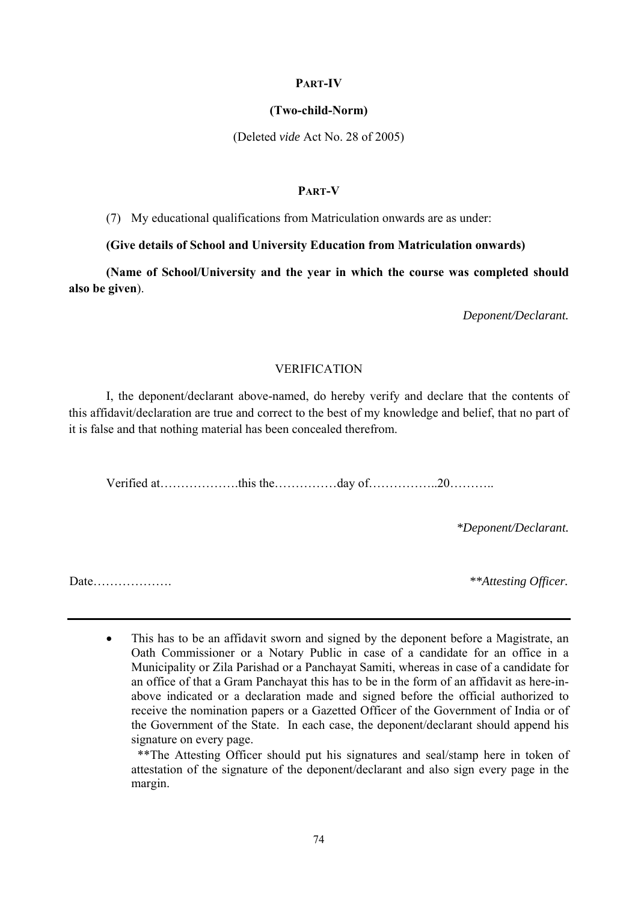#### **PART-IV**

#### **(Two-child-Norm)**

(Deleted *vide* Act No. 28 of 2005)

#### **PART-V**

(7) My educational qualifications from Matriculation onwards are as under:

#### **(Give details of School and University Education from Matriculation onwards)**

 **(Name of School/University and the year in which the course was completed should also be given**).

*Deponent/Declarant.* 

#### VERIFICATION

 I, the deponent/declarant above-named, do hereby verify and declare that the contents of this affidavit/declaration are true and correct to the best of my knowledge and belief, that no part of it is false and that nothing material has been concealed therefrom.

Verified at……………….this the……………day of……………..20………..

*\*Deponent/Declarant.* 

Date………………. *\*\*Attesting Officer.* 

 This has to be an affidavit sworn and signed by the deponent before a Magistrate, an Oath Commissioner or a Notary Public in case of a candidate for an office in a Municipality or Zila Parishad or a Panchayat Samiti, whereas in case of a candidate for an office of that a Gram Panchayat this has to be in the form of an affidavit as here-inabove indicated or a declaration made and signed before the official authorized to receive the nomination papers or a Gazetted Officer of the Government of India or of the Government of the State. In each case, the deponent/declarant should append his signature on every page.

 \*\*The Attesting Officer should put his signatures and seal/stamp here in token of attestation of the signature of the deponent/declarant and also sign every page in the margin.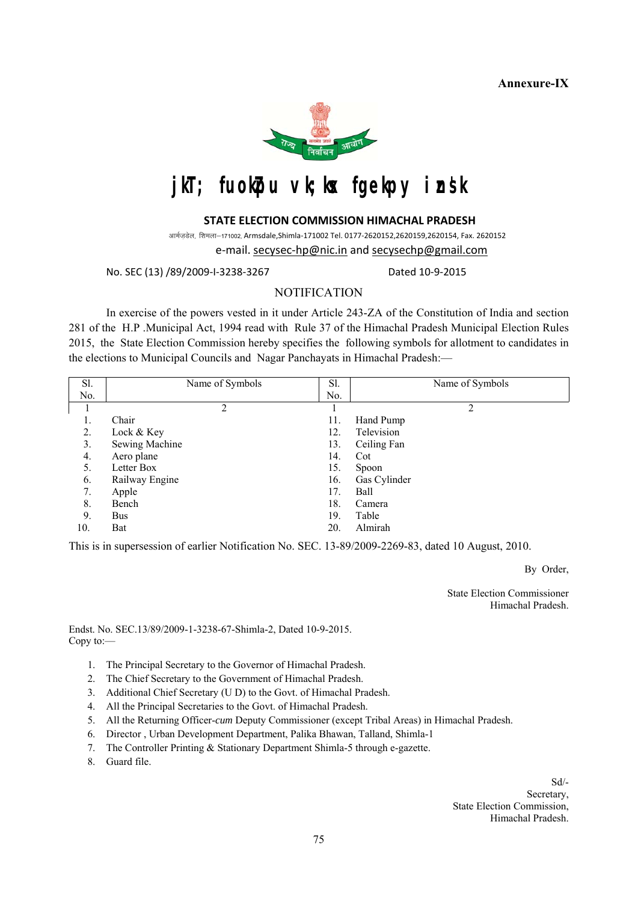**Annexure-IX** 



# jkT; fuokpu vk;kx fgekpy insk

#### **STATE ELECTION COMMISSION HIMACHAL PRADESH**

आर्मजडेल, शिमला-171002, Armsdale,Shimla-171002 Tel. 0177-2620152,2620159,2620154, Fax. 2620152 e-mail. secysec-hp@nic.in and secysechp@gmail.com

No. SEC (13) /89/2009-I-3238-3267 Dated 10-9-2015

#### **NOTIFICATION**

In exercise of the powers vested in it under Article 243-ZA of the Constitution of India and section 281 of the H.P .Municipal Act, 1994 read with Rule 37 of the Himachal Pradesh Municipal Election Rules 2015, the State Election Commission hereby specifies the following symbols for allotment to candidates in the elections to Municipal Councils and Nagar Panchayats in Himachal Pradesh:—

| Sl. | Name of Symbols | Sl. | Name of Symbols |
|-----|-----------------|-----|-----------------|
| No. |                 | No. |                 |
|     | 2               |     | 2               |
| Ī.  | Chair           | 11. | Hand Pump       |
| 2.  | Lock & Key      | 12. | Television      |
| 3.  | Sewing Machine  | 13. | Ceiling Fan     |
| 4.  | Aero plane      | 14. | Cot             |
| 5.  | Letter Box      | 15. | Spoon           |
| 6.  | Railway Engine  | 16. | Gas Cylinder    |
| 7.  | Apple           | 17. | Ball            |
| 8.  | Bench           | 18. | Camera          |
| 9.  | <b>Bus</b>      | 19. | Table           |
| 10. | Bat             | 20. | Almirah         |

This is in supersession of earlier Notification No. SEC. 13-89/2009-2269-83, dated 10 August, 2010.

By Order,

 State Election Commissioner Himachal Pradesh.

Endst. No. SEC.13/89/2009-1-3238-67-Shimla-2, Dated 10-9-2015. Copy to:—

- 1. The Principal Secretary to the Governor of Himachal Pradesh.
- 2. The Chief Secretary to the Government of Himachal Pradesh.
- 3. Additional Chief Secretary (U D) to the Govt. of Himachal Pradesh.
- 4. All the Principal Secretaries to the Govt. of Himachal Pradesh.
- 5. All the Returning Officer-*cum* Deputy Commissioner (except Tribal Areas) in Himachal Pradesh.
- 6. Director , Urban Development Department, Palika Bhawan, Talland, Shimla-1
- 7. The Controller Printing & Stationary Department Shimla-5 through e-gazette.
- 8. Guard file.

Sd/- Secretary,

 State Election Commission, Himachal Pradesh.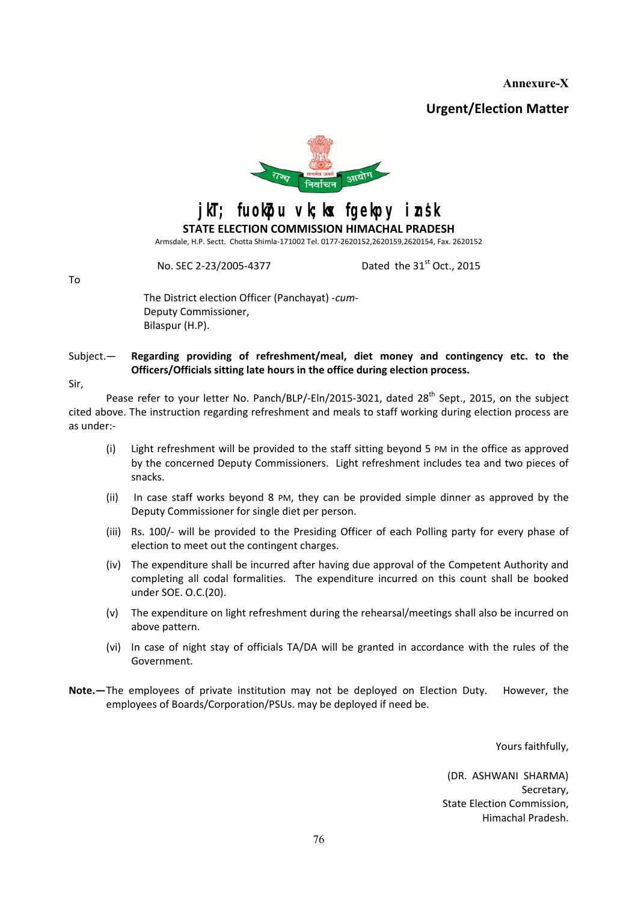**Annexure-X** 

**Urgent/Election Matter** 



jkT; fuokpu vk;kx fgekpy insk

**STATE ELECTION COMMISSION HIMACHAL PRADESH** Armsdale, H.P. Sectt. Chotta Shimla-171002 Tel. 0177-2620152,2620159,2620154, Fax. 2620152

No. SEC 2-23/2005-4377 Dated the 31<sup>st</sup> Oct., 2015

To

The District election Officer (Panchayat) -*cum*-Deputy Commissioner, Bilaspur (H.P).

Subject.— **Regarding providing of refreshment/meal, diet money and contingency etc. to the Officers/Officials sitting late hours in the office during election process.**

Sir,

Pease refer to your letter No. Panch/BLP/-Eln/2015-3021, dated 28<sup>th</sup> Sept., 2015, on the subject cited above. The instruction regarding refreshment and meals to staff working during election process are as under:-

- (i) Light refreshment will be provided to the staff sitting beyond 5 PM in the office as approved by the concerned Deputy Commissioners. Light refreshment includes tea and two pieces of snacks.
- (ii) In case staff works beyond 8 PM, they can be provided simple dinner as approved by the Deputy Commissioner for single diet per person.
- (iii) Rs. 100/- will be provided to the Presiding Officer of each Polling party for every phase of election to meet out the contingent charges.
- (iv) The expenditure shall be incurred after having due approval of the Competent Authority and completing all codal formalities. The expenditure incurred on this count shall be booked under SOE. O.C.(20).
- (v) The expenditure on light refreshment during the rehearsal/meetings shall also be incurred on above pattern.
- (vi) In case of night stay of officials TA/DA will be granted in accordance with the rules of the Government.
- **Note.—** The employees of private institution may not be deployed on Election Duty. However, the employees of Boards/Corporation/PSUs. may be deployed if need be.

Yours faithfully,

(DR. ASHWANI SHARMA) Secretary, State Election Commission, Himachal Pradesh.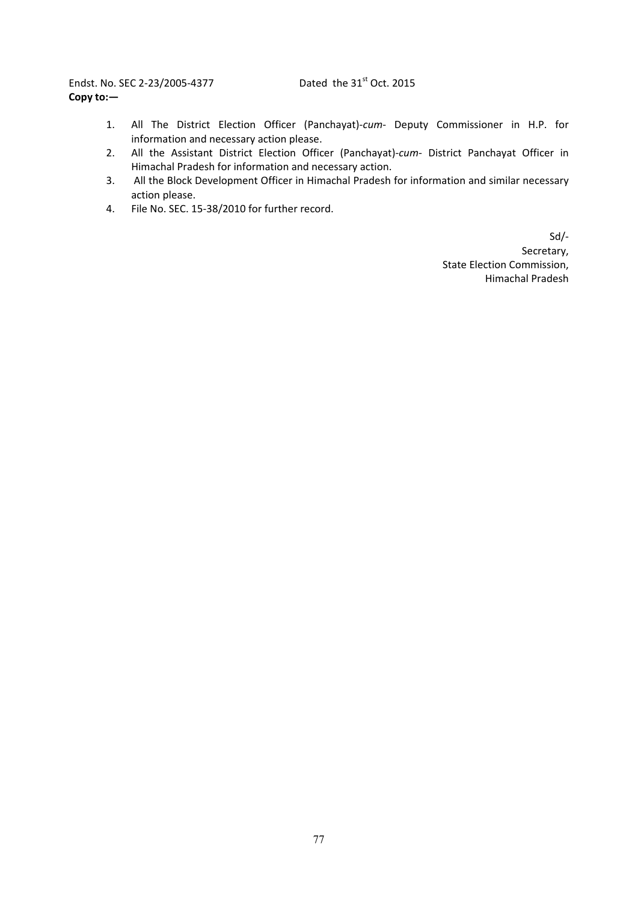Endst. No. SEC 2-23/2005-4377 Dated the 31<sup>st</sup> Oct. 2015 **Copy to:—** 

- 1. All The District Election Officer (Panchayat)-*cum* Deputy Commissioner in H.P. for information and necessary action please.
- 2. All the Assistant District Election Officer (Panchayat)-*cum-* District Panchayat Officer in Himachal Pradesh for information and necessary action.
- 3. All the Block Development Officer in Himachal Pradesh for information and similar necessary action please.
- 4. File No. SEC. 15-38/2010 for further record.

Sd/- Secretary, State Election Commission, Himachal Pradesh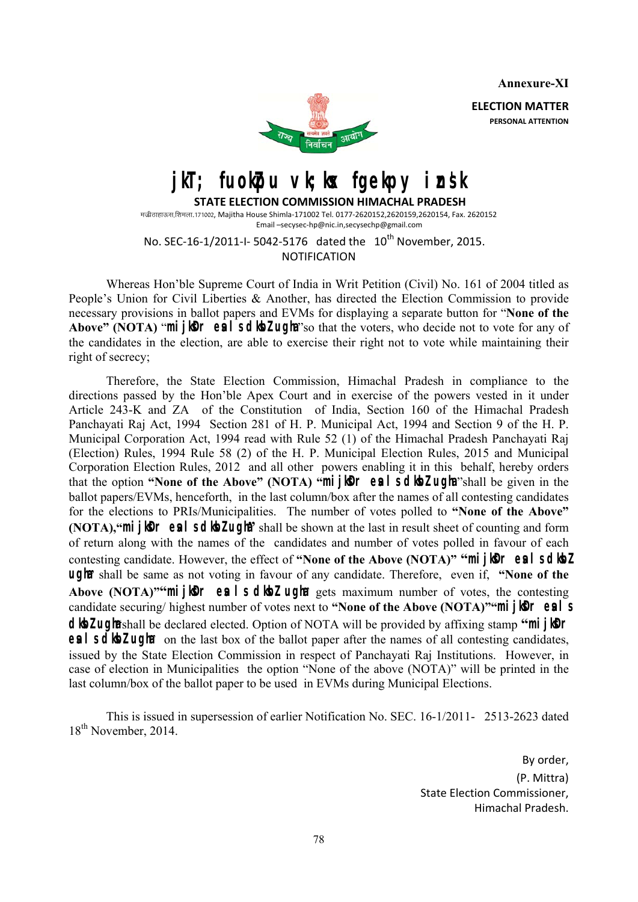**Annexure-XI** 

**ELECTION MATTER PERSONAL ATTENTION**



**jkT; fuokpu vk;kx fgekpy insk** 

 **STATE ELECTION COMMISSION HIMACHAL PRADESH** मज्रीठाहाऊस.शिमला.171002, Majitha House Shimla-171002 Tel. 0177-2620152.2620159.2620154, Fax. 2620152 Email –secysec-hp@nic.in,secysechp@gmail.com

No. SEC-16-1/2011-I-5042-5176 dated the 10<sup>th</sup> November, 2015. NOTIFICATION

 Whereas Hon'ble Supreme Court of India in Writ Petition (Civil) No. 161 of 2004 titled as People's Union for Civil Liberties & Another, has directed the Election Commission to provide necessary provisions in ballot papers and EVMs for displaying a separate button for "**None of the**  Above" (NOTA) "**mijker eal sdkeZ ugha** "so that the voters, who decide not to vote for any of the candidates in the election, are able to exercise their right not to vote while maintaining their right of secrecy;

 Therefore, the State Election Commission, Himachal Pradesh in compliance to the directions passed by the Hon'ble Apex Court and in exercise of the powers vested in it under Article 243-K and ZA of the Constitution of India, Section 160 of the Himachal Pradesh Panchayati Raj Act, 1994 Section 281 of H. P. Municipal Act, 1994 and Section 9 of the H. P. Municipal Corporation Act, 1994 read with Rule 52 (1) of the Himachal Pradesh Panchayati Raj (Election) Rules, 1994 Rule 58 (2) of the H. P. Municipal Election Rules, 2015 and Municipal Corporation Election Rules, 2012 and all other powers enabling it in this behalf, hereby orders that the option **"None of the Above" (NOTA) "mijker es is diez ugha** shall be given in the ballot papers/EVMs, henceforth, in the last column/box after the names of all contesting candidates for the elections to PRIs/Municipalities. The number of votes polled to **"None of the Above" (NOTA), "<b>mi** ilor eal sdlot ught shall be shown at the last in result sheet of counting and form of return along with the names of the candidates and number of votes polled in favour of each contesting candidate. However, the effect of "None of the Above (NOTA)" "**mijker eal schold ugh** shall be same as not voting in favour of any candidate. Therefore, even if, "None of the **Above (NOTA)<sup>""</sup>mijk<sup>o</sup>r es is dibz ugha** gets maximum number of votes, the contesting candidate securing/ highest number of votes next to "None of the Above (NOTA)""**mijker eals dlbz ugha** shall be declared elected. Option of NOTA will be provided by affixing stamp "**mijler esl s dibition on the last box of the ballot paper after the names of all contesting candidates,** issued by the State Election Commission in respect of Panchayati Raj Institutions. However, in case of election in Municipalities the option "None of the above (NOTA)" will be printed in the last column/box of the ballot paper to be used in EVMs during Municipal Elections.

 This is issued in supersession of earlier Notification No. SEC. 16-1/2011- 2513-2623 dated 18<sup>th</sup> November, 2014.

> By order, (P. Mittra) State Election Commissioner, Himachal Pradesh.